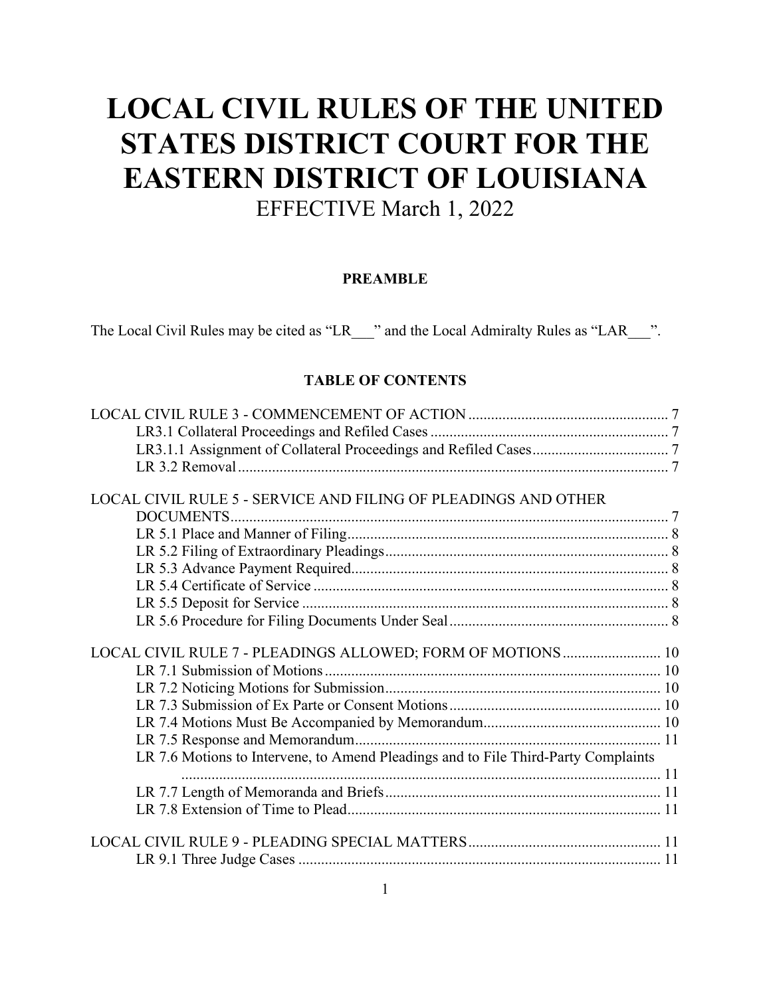# **LOCAL CIVIL RULES OF THE UNITED STATES DISTRICT COURT FOR THE EASTERN DISTRICT OF LOUISIANA** EFFECTIVE March 1, 2022

### **PREAMBLE**

The Local Civil Rules may be cited as "LR\_\_\_" and the Local Admiralty Rules as "LAR\_\_\_".

## **TABLE OF CONTENTS**

| LOCAL CIVIL RULE 5 - SERVICE AND FILING OF PLEADINGS AND OTHER                     |  |
|------------------------------------------------------------------------------------|--|
|                                                                                    |  |
|                                                                                    |  |
|                                                                                    |  |
|                                                                                    |  |
|                                                                                    |  |
|                                                                                    |  |
|                                                                                    |  |
|                                                                                    |  |
| LOCAL CIVIL RULE 7 - PLEADINGS ALLOWED; FORM OF MOTIONS  10                        |  |
|                                                                                    |  |
|                                                                                    |  |
|                                                                                    |  |
|                                                                                    |  |
|                                                                                    |  |
| LR 7.6 Motions to Intervene, to Amend Pleadings and to File Third-Party Complaints |  |
|                                                                                    |  |
|                                                                                    |  |
|                                                                                    |  |
|                                                                                    |  |
|                                                                                    |  |
|                                                                                    |  |
|                                                                                    |  |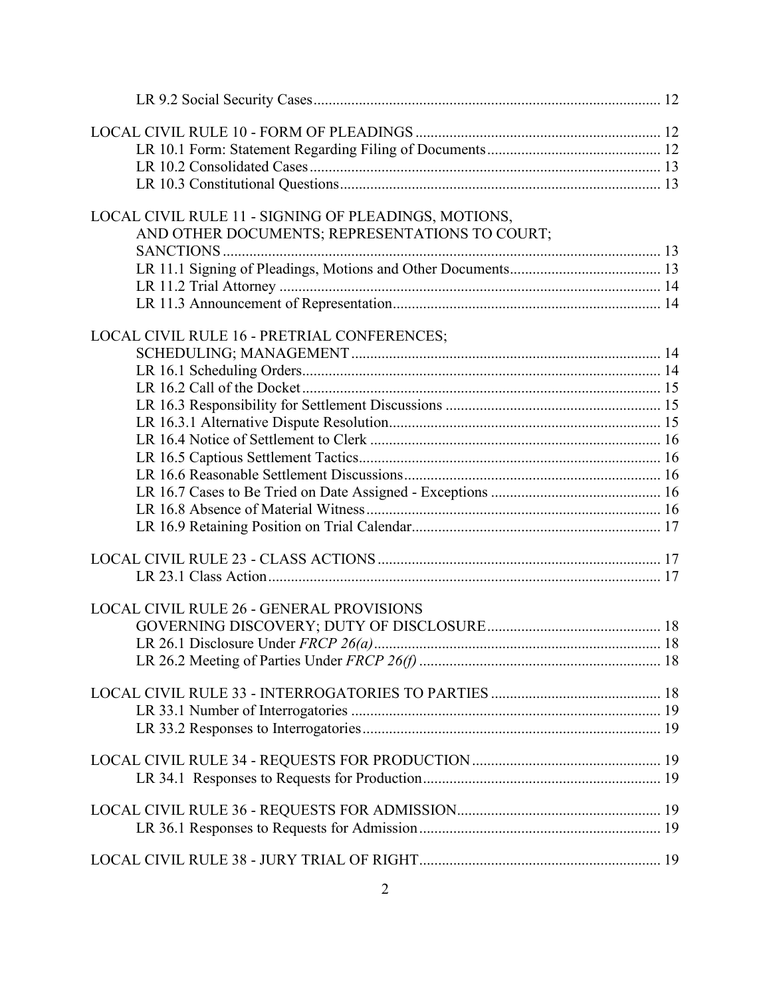| LOCAL CIVIL RULE 11 - SIGNING OF PLEADINGS, MOTIONS, |  |
|------------------------------------------------------|--|
| AND OTHER DOCUMENTS; REPRESENTATIONS TO COURT;       |  |
|                                                      |  |
|                                                      |  |
|                                                      |  |
|                                                      |  |
| LOCAL CIVIL RULE 16 - PRETRIAL CONFERENCES;          |  |
|                                                      |  |
|                                                      |  |
|                                                      |  |
|                                                      |  |
|                                                      |  |
|                                                      |  |
|                                                      |  |
|                                                      |  |
|                                                      |  |
|                                                      |  |
|                                                      |  |
|                                                      |  |
|                                                      |  |
|                                                      |  |
|                                                      |  |
| LOCAL CIVIL RULE 26 - GENERAL PROVISIONS             |  |
|                                                      |  |
|                                                      |  |
|                                                      |  |
|                                                      |  |
|                                                      |  |
|                                                      |  |
|                                                      |  |
|                                                      |  |
|                                                      |  |
|                                                      |  |
|                                                      |  |
|                                                      |  |
|                                                      |  |
|                                                      |  |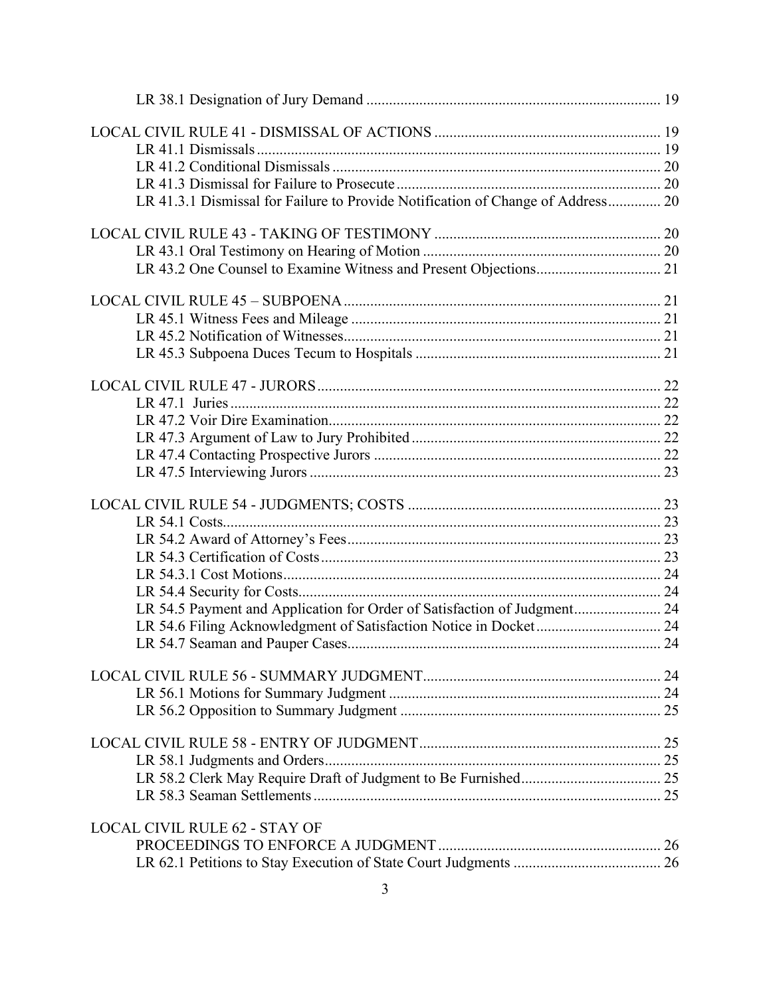| LR 41.3.1 Dismissal for Failure to Provide Notification of Change of Address 20 |  |
|---------------------------------------------------------------------------------|--|
|                                                                                 |  |
|                                                                                 |  |
|                                                                                 |  |
|                                                                                 |  |
|                                                                                 |  |
|                                                                                 |  |
|                                                                                 |  |
|                                                                                 |  |
|                                                                                 |  |
|                                                                                 |  |
|                                                                                 |  |
|                                                                                 |  |
|                                                                                 |  |
|                                                                                 |  |
|                                                                                 |  |
|                                                                                 |  |
|                                                                                 |  |
|                                                                                 |  |
|                                                                                 |  |
| LR 54.5 Payment and Application for Order of Satisfaction of Judgment 24        |  |
|                                                                                 |  |
|                                                                                 |  |
|                                                                                 |  |
|                                                                                 |  |
|                                                                                 |  |
|                                                                                 |  |
|                                                                                 |  |
|                                                                                 |  |
|                                                                                 |  |
| <b>LOCAL CIVIL RULE 62 - STAY OF</b>                                            |  |
|                                                                                 |  |
|                                                                                 |  |
|                                                                                 |  |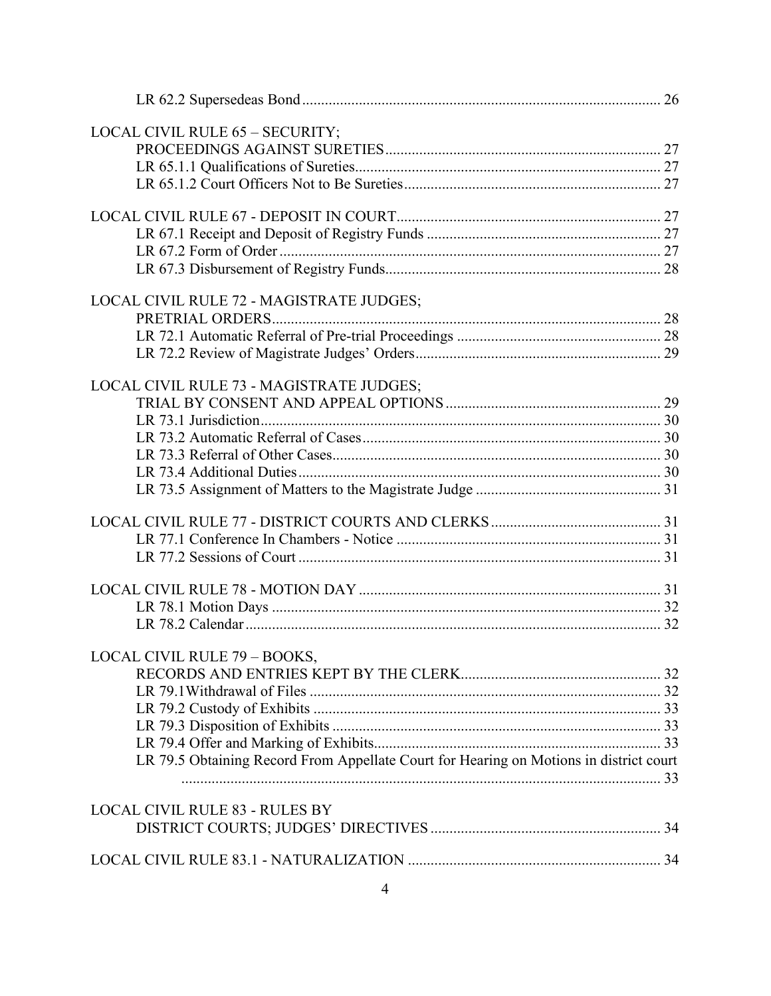| LOCAL CIVIL RULE 65 - SECURITY;                                                        |  |
|----------------------------------------------------------------------------------------|--|
|                                                                                        |  |
|                                                                                        |  |
|                                                                                        |  |
|                                                                                        |  |
|                                                                                        |  |
|                                                                                        |  |
|                                                                                        |  |
|                                                                                        |  |
| LOCAL CIVIL RULE 72 - MAGISTRATE JUDGES;                                               |  |
|                                                                                        |  |
|                                                                                        |  |
|                                                                                        |  |
|                                                                                        |  |
| LOCAL CIVIL RULE 73 - MAGISTRATE JUDGES;                                               |  |
|                                                                                        |  |
|                                                                                        |  |
|                                                                                        |  |
|                                                                                        |  |
|                                                                                        |  |
|                                                                                        |  |
|                                                                                        |  |
|                                                                                        |  |
|                                                                                        |  |
|                                                                                        |  |
|                                                                                        |  |
|                                                                                        |  |
|                                                                                        |  |
| LOCAL CIVIL RULE 79 - BOOKS,                                                           |  |
|                                                                                        |  |
|                                                                                        |  |
|                                                                                        |  |
|                                                                                        |  |
|                                                                                        |  |
| LR 79.5 Obtaining Record From Appellate Court for Hearing on Motions in district court |  |
|                                                                                        |  |
|                                                                                        |  |
| <b>LOCAL CIVIL RULE 83 - RULES BY</b>                                                  |  |
|                                                                                        |  |
|                                                                                        |  |
|                                                                                        |  |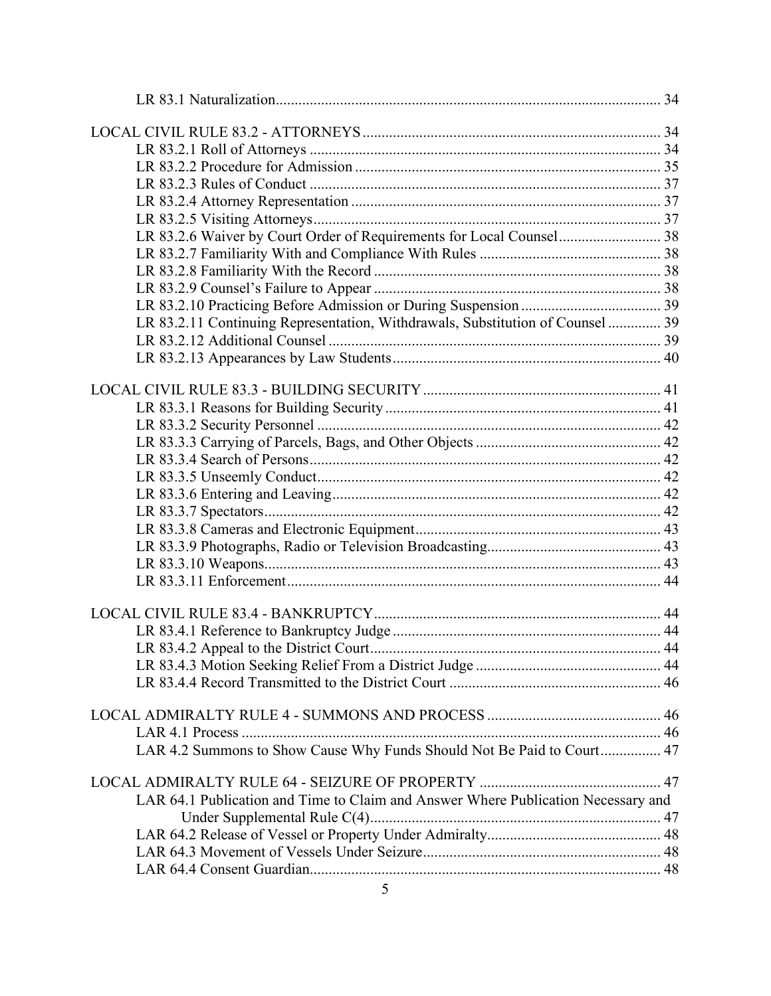| LR 83.2.6 Waiver by Court Order of Requirements for Local Counsel 38              |  |
|-----------------------------------------------------------------------------------|--|
|                                                                                   |  |
|                                                                                   |  |
|                                                                                   |  |
|                                                                                   |  |
| LR 83.2.11 Continuing Representation, Withdrawals, Substitution of Counsel  39    |  |
|                                                                                   |  |
|                                                                                   |  |
|                                                                                   |  |
|                                                                                   |  |
|                                                                                   |  |
|                                                                                   |  |
|                                                                                   |  |
|                                                                                   |  |
|                                                                                   |  |
|                                                                                   |  |
|                                                                                   |  |
|                                                                                   |  |
|                                                                                   |  |
|                                                                                   |  |
|                                                                                   |  |
|                                                                                   |  |
|                                                                                   |  |
|                                                                                   |  |
|                                                                                   |  |
|                                                                                   |  |
|                                                                                   |  |
|                                                                                   |  |
|                                                                                   |  |
| LAR 4.2 Summons to Show Cause Why Funds Should Not Be Paid to Court 47            |  |
|                                                                                   |  |
|                                                                                   |  |
| LAR 64.1 Publication and Time to Claim and Answer Where Publication Necessary and |  |
|                                                                                   |  |
|                                                                                   |  |
|                                                                                   |  |
|                                                                                   |  |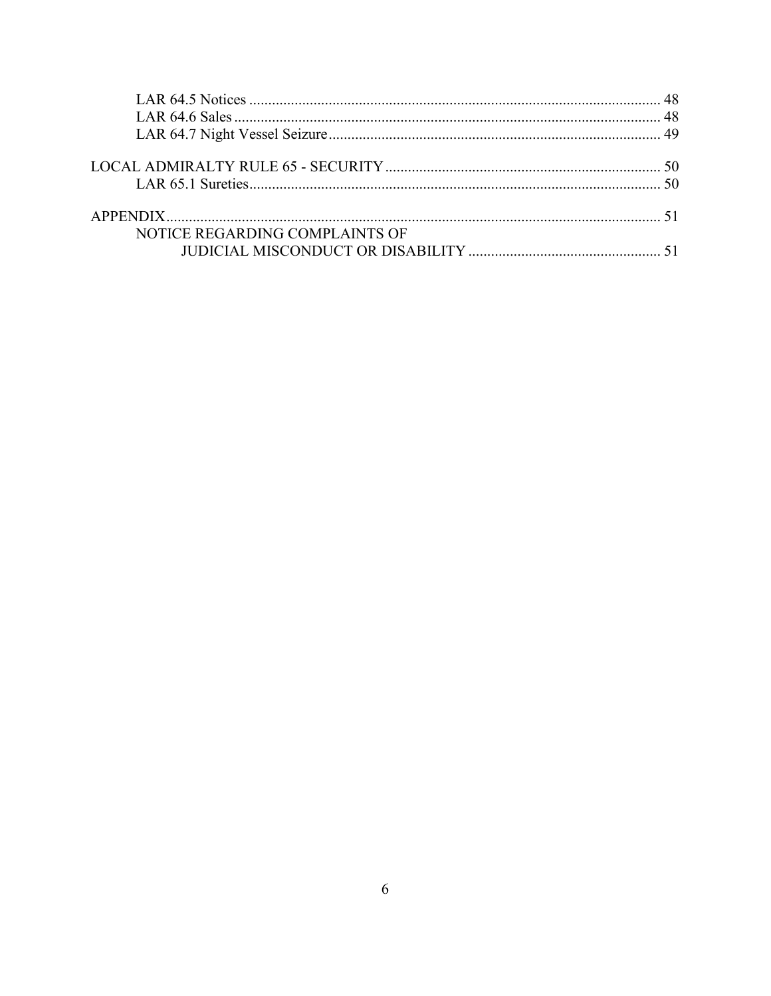| NOTICE REGARDING COMPLAINTS OF |  |
|--------------------------------|--|
|                                |  |
|                                |  |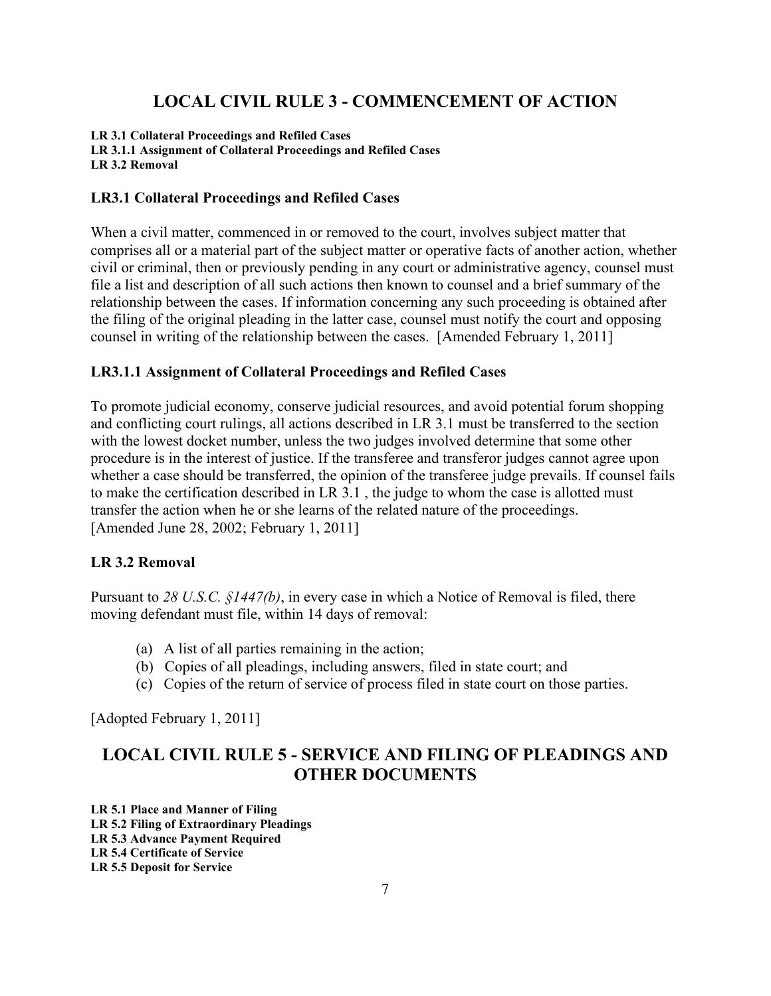## **LOCAL CIVIL RULE 3 - COMMENCEMENT OF ACTION**

<span id="page-6-0"></span>**LR 3.1 Collateral Proceedings and Refiled Cases LR 3.1.1 Assignment of Collateral Proceedings and Refiled Cases LR 3.2 Removal**

### <span id="page-6-1"></span>**LR3.1 Collateral Proceedings and Refiled Cases**

When a civil matter, commenced in or removed to the court, involves subject matter that comprises all or a material part of the subject matter or operative facts of another action, whether civil or criminal, then or previously pending in any court or administrative agency, counsel must file a list and description of all such actions then known to counsel and a brief summary of the relationship between the cases. If information concerning any such proceeding is obtained after the filing of the original pleading in the latter case, counsel must notify the court and opposing counsel in writing of the relationship between the cases. [Amended February 1, 2011]

#### <span id="page-6-2"></span>**LR3.1.1 Assignment of Collateral Proceedings and Refiled Cases**

To promote judicial economy, conserve judicial resources, and avoid potential forum shopping and conflicting court rulings, all actions described in LR 3.1 must be transferred to the section with the lowest docket number, unless the two judges involved determine that some other procedure is in the interest of justice. If the transferee and transferor judges cannot agree upon whether a case should be transferred, the opinion of the transferee judge prevails. If counsel fails to make the certification described in LR 3.1 , the judge to whom the case is allotted must transfer the action when he or she learns of the related nature of the proceedings. [Amended June 28, 2002; February 1, 2011]

#### <span id="page-6-3"></span>**LR 3.2 Removal**

Pursuant to *28 U.S.C. §1447(b)*, in every case in which a Notice of Removal is filed, there moving defendant must file, within 14 days of removal:

- (a) A list of all parties remaining in the action;
- (b) Copies of all pleadings, including answers, filed in state court; and
- (c) Copies of the return of service of process filed in state court on those parties.

[Adopted February 1, 2011]

## <span id="page-6-4"></span>**LOCAL CIVIL RULE 5 - SERVICE AND FILING OF PLEADINGS AND OTHER DOCUMENTS**

**LR 5.1 Place and Manner of Filing LR 5.2 Filing of Extraordinary Pleadings LR 5.3 Advance Payment Required LR 5.4 Certificate of Service LR 5.5 Deposit for Service**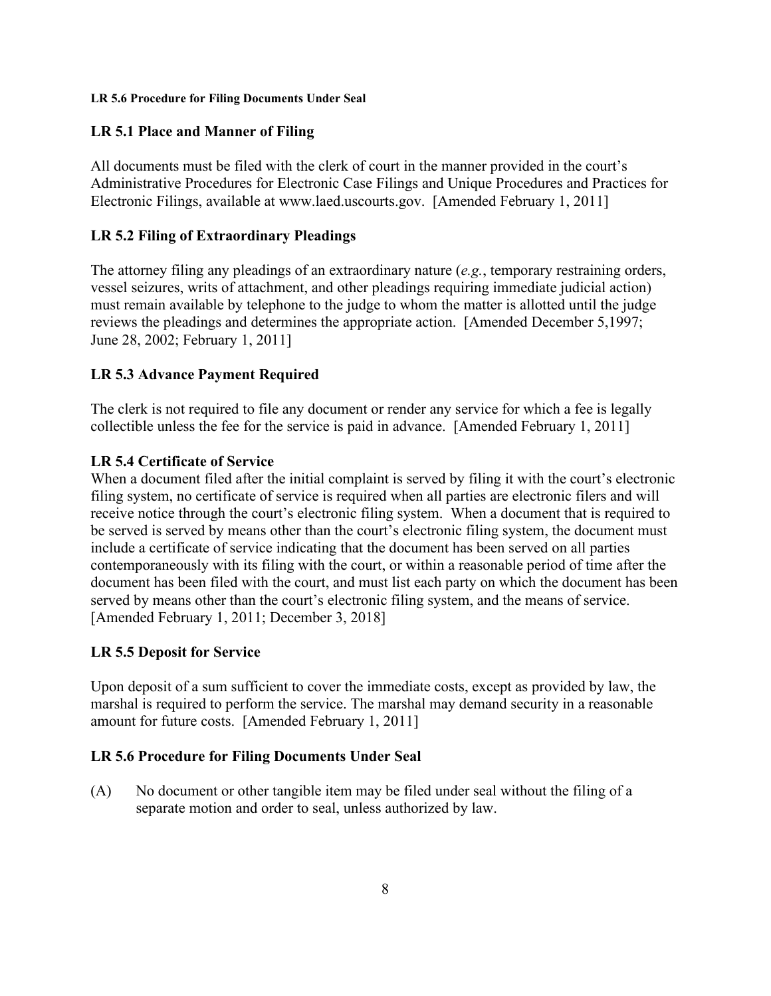#### **LR 5.6 Procedure for Filing Documents Under Seal**

## <span id="page-7-0"></span>**LR 5.1 Place and Manner of Filing**

All documents must be filed with the clerk of court in the manner provided in the court's Administrative Procedures for Electronic Case Filings and Unique Procedures and Practices for Electronic Filings, available at www.laed.uscourts.gov. [Amended February 1, 2011]

## <span id="page-7-1"></span>**LR 5.2 Filing of Extraordinary Pleadings**

The attorney filing any pleadings of an extraordinary nature (*e.g.*, temporary restraining orders, vessel seizures, writs of attachment, and other pleadings requiring immediate judicial action) must remain available by telephone to the judge to whom the matter is allotted until the judge reviews the pleadings and determines the appropriate action. [Amended December 5,1997; June 28, 2002; February 1, 2011]

## <span id="page-7-2"></span>**LR 5.3 Advance Payment Required**

The clerk is not required to file any document or render any service for which a fee is legally collectible unless the fee for the service is paid in advance. [Amended February 1, 2011]

## <span id="page-7-3"></span>**LR 5.4 Certificate of Service**

When a document filed after the initial complaint is served by filing it with the court's electronic filing system, no certificate of service is required when all parties are electronic filers and will receive notice through the court's electronic filing system. When a document that is required to be served is served by means other than the court's electronic filing system, the document must include a certificate of service indicating that the document has been served on all parties contemporaneously with its filing with the court, or within a reasonable period of time after the document has been filed with the court, and must list each party on which the document has been served by means other than the court's electronic filing system, and the means of service. [Amended February 1, 2011; December 3, 2018]

## <span id="page-7-4"></span>**LR 5.5 Deposit for Service**

Upon deposit of a sum sufficient to cover the immediate costs, except as provided by law, the marshal is required to perform the service. The marshal may demand security in a reasonable amount for future costs. [Amended February 1, 2011]

## <span id="page-7-5"></span>**LR 5.6 Procedure for Filing Documents Under Seal**

(A) No document or other tangible item may be filed under seal without the filing of a separate motion and order to seal, unless authorized by law.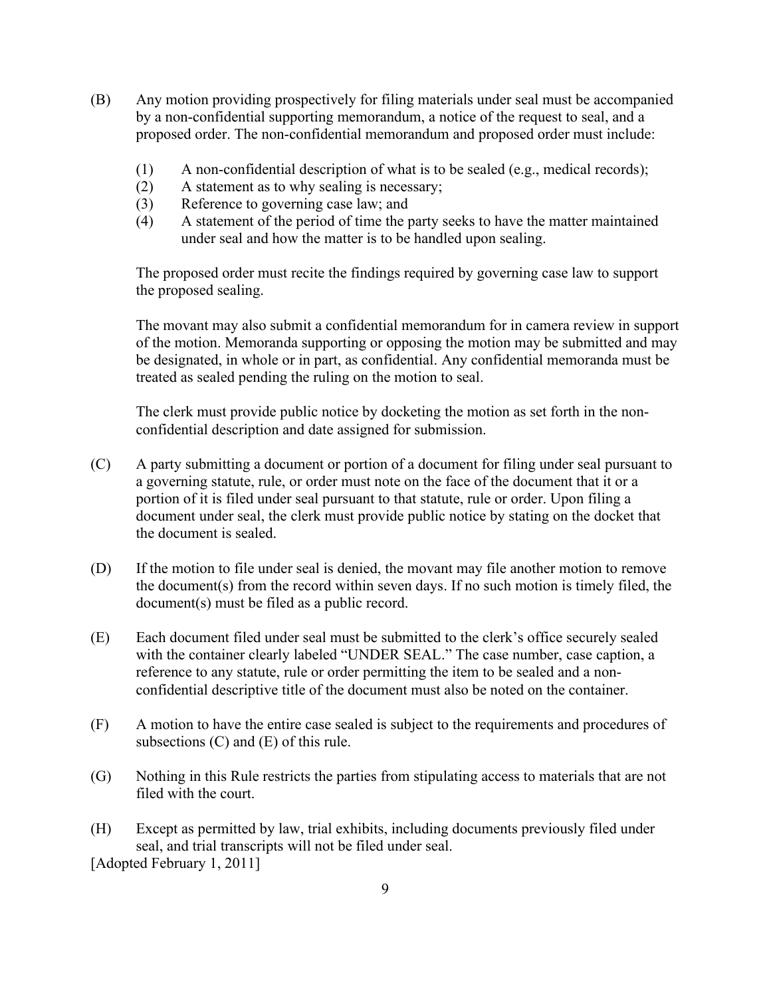- (B) Any motion providing prospectively for filing materials under seal must be accompanied by a non-confidential supporting memorandum, a notice of the request to seal, and a proposed order. The non-confidential memorandum and proposed order must include:
	- (1) A non-confidential description of what is to be sealed (e.g., medical records);
	- (2) A statement as to why sealing is necessary;
	- (3) Reference to governing case law; and
	- (4) A statement of the period of time the party seeks to have the matter maintained under seal and how the matter is to be handled upon sealing.

The proposed order must recite the findings required by governing case law to support the proposed sealing.

The movant may also submit a confidential memorandum for in camera review in support of the motion. Memoranda supporting or opposing the motion may be submitted and may be designated, in whole or in part, as confidential. Any confidential memoranda must be treated as sealed pending the ruling on the motion to seal.

The clerk must provide public notice by docketing the motion as set forth in the nonconfidential description and date assigned for submission.

- (C) A party submitting a document or portion of a document for filing under seal pursuant to a governing statute, rule, or order must note on the face of the document that it or a portion of it is filed under seal pursuant to that statute, rule or order. Upon filing a document under seal, the clerk must provide public notice by stating on the docket that the document is sealed.
- (D) If the motion to file under seal is denied, the movant may file another motion to remove the document(s) from the record within seven days. If no such motion is timely filed, the document(s) must be filed as a public record.
- (E) Each document filed under seal must be submitted to the clerk's office securely sealed with the container clearly labeled "UNDER SEAL." The case number, case caption, a reference to any statute, rule or order permitting the item to be sealed and a nonconfidential descriptive title of the document must also be noted on the container.
- (F) A motion to have the entire case sealed is subject to the requirements and procedures of subsections (C) and (E) of this rule.
- (G) Nothing in this Rule restricts the parties from stipulating access to materials that are not filed with the court.
- (H) Except as permitted by law, trial exhibits, including documents previously filed under seal, and trial transcripts will not be filed under seal. [Adopted February 1, 2011]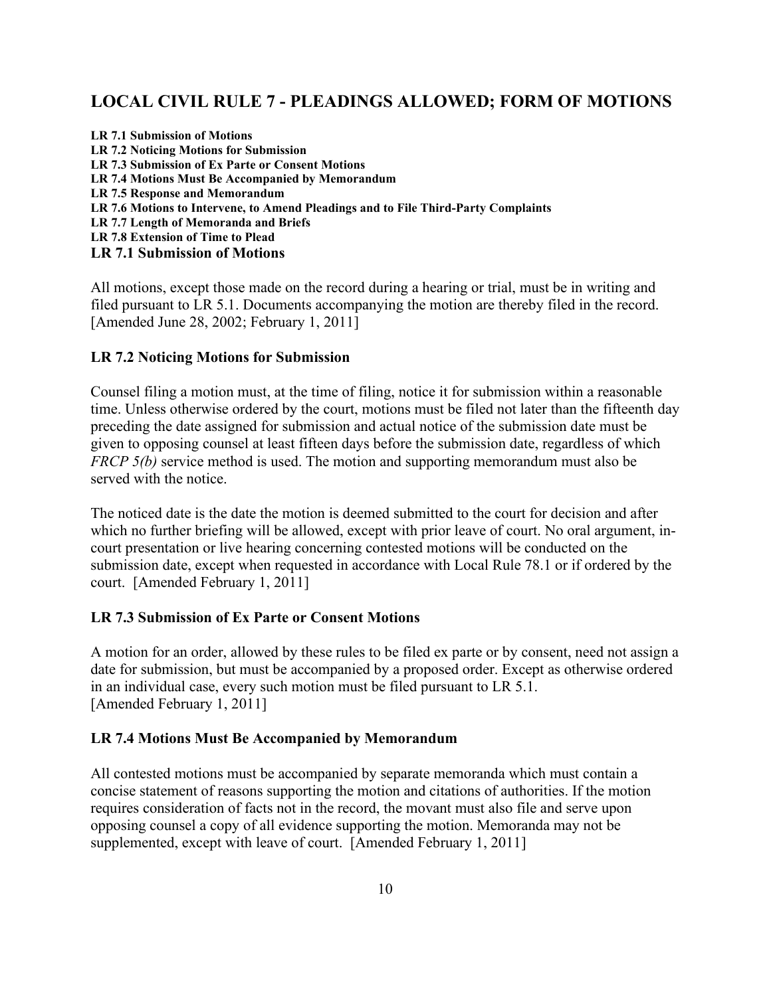## <span id="page-9-0"></span>**LOCAL CIVIL RULE 7 - PLEADINGS ALLOWED; FORM OF MOTIONS**

| <b>LR 7.1 Submission of Motions</b>                                                |
|------------------------------------------------------------------------------------|
| LR 7.2 Noticing Motions for Submission                                             |
| <b>LR 7.3 Submission of Ex Parte or Consent Motions</b>                            |
| LR 7.4 Motions Must Be Accompanied by Memorandum                                   |
| LR 7.5 Response and Memorandum                                                     |
| LR 7.6 Motions to Intervene, to Amend Pleadings and to File Third-Party Complaints |
| LR 7.7 Length of Memoranda and Briefs                                              |
| LR 7.8 Extension of Time to Plead                                                  |
| <b>LR 7.1 Submission of Motions</b>                                                |

<span id="page-9-1"></span>All motions, except those made on the record during a hearing or trial, must be in writing and filed pursuant to LR 5.1. Documents accompanying the motion are thereby filed in the record. [Amended June 28, 2002; February 1, 2011]

#### <span id="page-9-2"></span>**LR 7.2 Noticing Motions for Submission**

Counsel filing a motion must, at the time of filing, notice it for submission within a reasonable time. Unless otherwise ordered by the court, motions must be filed not later than the fifteenth day preceding the date assigned for submission and actual notice of the submission date must be given to opposing counsel at least fifteen days before the submission date, regardless of which *FRCP 5(b)* service method is used. The motion and supporting memorandum must also be served with the notice.

The noticed date is the date the motion is deemed submitted to the court for decision and after which no further briefing will be allowed, except with prior leave of court. No oral argument, incourt presentation or live hearing concerning contested motions will be conducted on the submission date, except when requested in accordance with Local Rule 78.1 or if ordered by the court. [Amended February 1, 2011]

#### <span id="page-9-3"></span>**LR 7.3 Submission of Ex Parte or Consent Motions**

A motion for an order, allowed by these rules to be filed ex parte or by consent, need not assign a date for submission, but must be accompanied by a proposed order. Except as otherwise ordered in an individual case, every such motion must be filed pursuant to LR 5.1. [Amended February 1, 2011]

#### <span id="page-9-4"></span>**LR 7.4 Motions Must Be Accompanied by Memorandum**

All contested motions must be accompanied by separate memoranda which must contain a concise statement of reasons supporting the motion and citations of authorities. If the motion requires consideration of facts not in the record, the movant must also file and serve upon opposing counsel a copy of all evidence supporting the motion. Memoranda may not be supplemented, except with leave of court. [Amended February 1, 2011]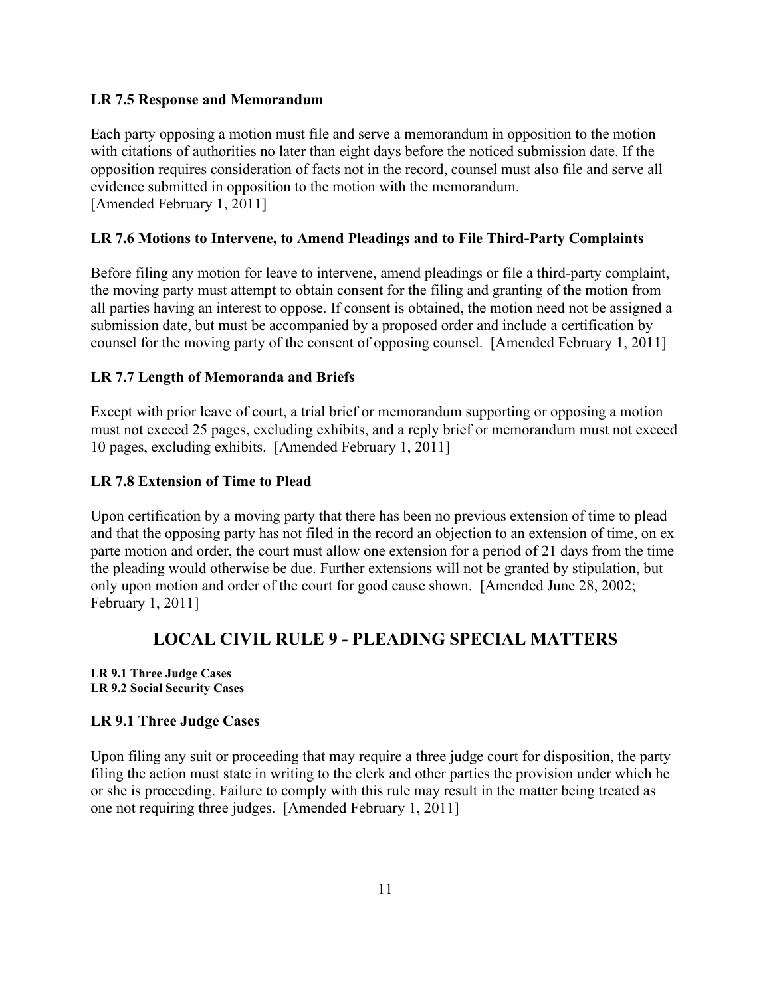### <span id="page-10-0"></span>**LR 7.5 Response and Memorandum**

Each party opposing a motion must file and serve a memorandum in opposition to the motion with citations of authorities no later than eight days before the noticed submission date. If the opposition requires consideration of facts not in the record, counsel must also file and serve all evidence submitted in opposition to the motion with the memorandum. [Amended February 1, 2011]

## <span id="page-10-1"></span>**LR 7.6 Motions to Intervene, to Amend Pleadings and to File Third-Party Complaints**

Before filing any motion for leave to intervene, amend pleadings or file a third-party complaint, the moving party must attempt to obtain consent for the filing and granting of the motion from all parties having an interest to oppose. If consent is obtained, the motion need not be assigned a submission date, but must be accompanied by a proposed order and include a certification by counsel for the moving party of the consent of opposing counsel. [Amended February 1, 2011]

## <span id="page-10-2"></span>**LR 7.7 Length of Memoranda and Briefs**

Except with prior leave of court, a trial brief or memorandum supporting or opposing a motion must not exceed 25 pages, excluding exhibits, and a reply brief or memorandum must not exceed 10 pages, excluding exhibits. [Amended February 1, 2011]

### <span id="page-10-3"></span>**LR 7.8 Extension of Time to Plead**

Upon certification by a moving party that there has been no previous extension of time to plead and that the opposing party has not filed in the record an objection to an extension of time, on ex parte motion and order, the court must allow one extension for a period of 21 days from the time the pleading would otherwise be due. Further extensions will not be granted by stipulation, but only upon motion and order of the court for good cause shown. [Amended June 28, 2002; February 1, 2011]

## **LOCAL CIVIL RULE 9 - PLEADING SPECIAL MATTERS**

<span id="page-10-4"></span>**LR 9.1 Three Judge Cases LR 9.2 Social Security Cases**

#### <span id="page-10-5"></span>**LR 9.1 Three Judge Cases**

Upon filing any suit or proceeding that may require a three judge court for disposition, the party filing the action must state in writing to the clerk and other parties the provision under which he or she is proceeding. Failure to comply with this rule may result in the matter being treated as one not requiring three judges. [Amended February 1, 2011]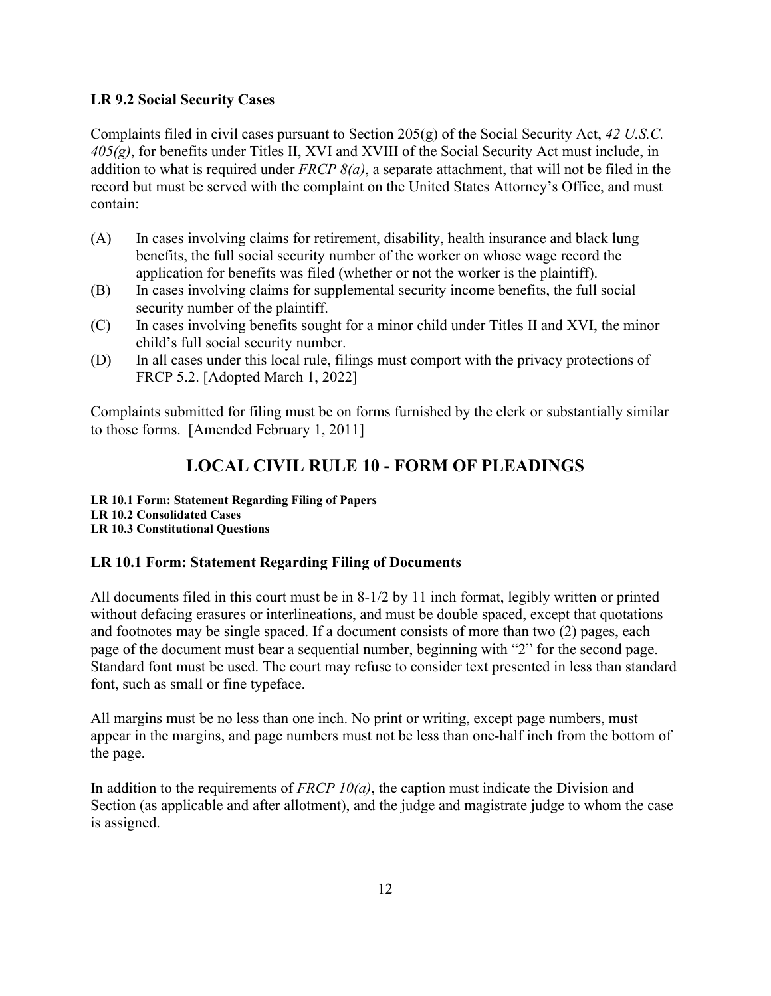## <span id="page-11-0"></span>**LR 9.2 Social Security Cases**

Complaints filed in civil cases pursuant to Section 205(g) of the Social Security Act, *42 U.S.C. 405(g)*, for benefits under Titles II, XVI and XVIII of the Social Security Act must include, in addition to what is required under *FRCP 8(a)*, a separate attachment, that will not be filed in the record but must be served with the complaint on the United States Attorney's Office, and must contain:

- (A) In cases involving claims for retirement, disability, health insurance and black lung benefits, the full social security number of the worker on whose wage record the application for benefits was filed (whether or not the worker is the plaintiff).
- (B) In cases involving claims for supplemental security income benefits, the full social security number of the plaintiff.
- (C) In cases involving benefits sought for a minor child under Titles II and XVI, the minor child's full social security number.
- (D) In all cases under this local rule, filings must comport with the privacy protections of FRCP 5.2. [Adopted March 1, 2022]

Complaints submitted for filing must be on forms furnished by the clerk or substantially similar to those forms. [Amended February 1, 2011]

## **LOCAL CIVIL RULE 10 - FORM OF PLEADINGS**

<span id="page-11-1"></span>**LR 10.1 Form: Statement Regarding Filing of Papers LR 10.2 Consolidated Cases LR 10.3 Constitutional Questions**

## <span id="page-11-2"></span>**LR 10.1 Form: Statement Regarding Filing of Documents**

All documents filed in this court must be in 8-1/2 by 11 inch format, legibly written or printed without defacing erasures or interlineations, and must be double spaced, except that quotations and footnotes may be single spaced. If a document consists of more than two (2) pages, each page of the document must bear a sequential number, beginning with "2" for the second page. Standard font must be used. The court may refuse to consider text presented in less than standard font, such as small or fine typeface.

All margins must be no less than one inch. No print or writing, except page numbers, must appear in the margins, and page numbers must not be less than one-half inch from the bottom of the page.

In addition to the requirements of *FRCP 10(a)*, the caption must indicate the Division and Section (as applicable and after allotment), and the judge and magistrate judge to whom the case is assigned.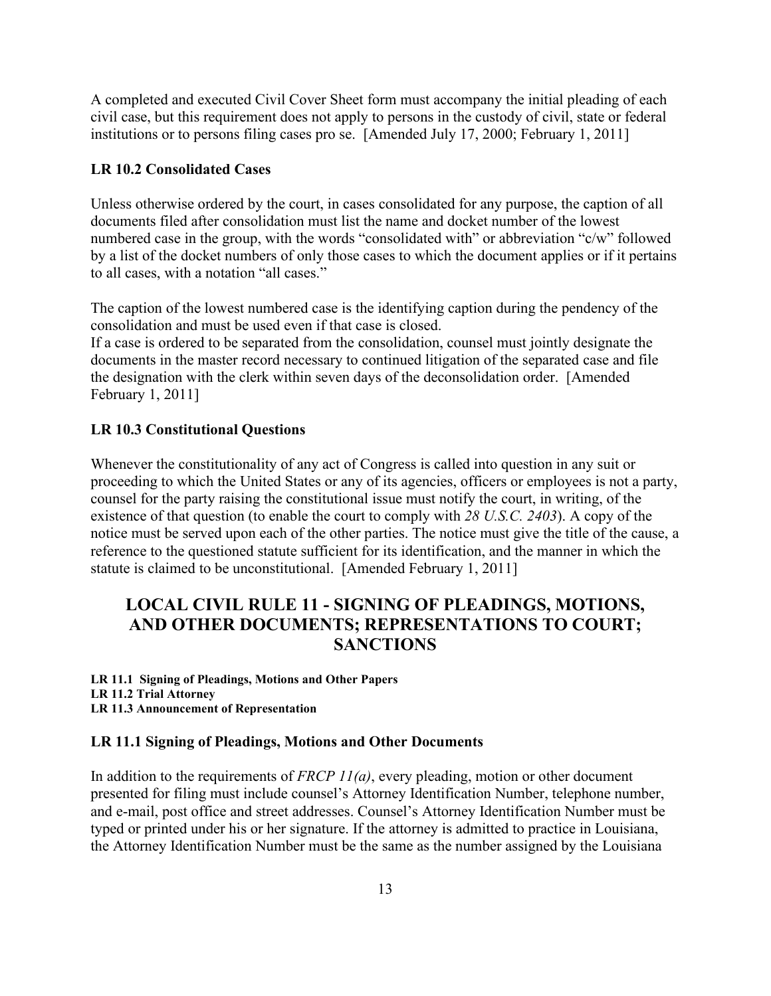A completed and executed Civil Cover Sheet form must accompany the initial pleading of each civil case, but this requirement does not apply to persons in the custody of civil, state or federal institutions or to persons filing cases pro se. [Amended July 17, 2000; February 1, 2011]

#### <span id="page-12-0"></span>**LR 10.2 Consolidated Cases**

Unless otherwise ordered by the court, in cases consolidated for any purpose, the caption of all documents filed after consolidation must list the name and docket number of the lowest numbered case in the group, with the words "consolidated with" or abbreviation "c/w" followed by a list of the docket numbers of only those cases to which the document applies or if it pertains to all cases, with a notation "all cases."

The caption of the lowest numbered case is the identifying caption during the pendency of the consolidation and must be used even if that case is closed.

If a case is ordered to be separated from the consolidation, counsel must jointly designate the documents in the master record necessary to continued litigation of the separated case and file the designation with the clerk within seven days of the deconsolidation order. [Amended February 1, 2011]

#### <span id="page-12-1"></span>**LR 10.3 Constitutional Questions**

Whenever the constitutionality of any act of Congress is called into question in any suit or proceeding to which the United States or any of its agencies, officers or employees is not a party, counsel for the party raising the constitutional issue must notify the court, in writing, of the existence of that question (to enable the court to comply with *28 U.S.C. 2403*). A copy of the notice must be served upon each of the other parties. The notice must give the title of the cause, a reference to the questioned statute sufficient for its identification, and the manner in which the statute is claimed to be unconstitutional. [Amended February 1, 2011]

## <span id="page-12-2"></span>**LOCAL CIVIL RULE 11 - SIGNING OF PLEADINGS, MOTIONS, AND OTHER DOCUMENTS; REPRESENTATIONS TO COURT; SANCTIONS**

**LR 11.1 Signing of Pleadings, Motions and Other Papers LR 11.2 Trial Attorney LR 11.3 Announcement of Representation**

#### <span id="page-12-3"></span>**LR 11.1 Signing of Pleadings, Motions and Other Documents**

In addition to the requirements of *FRCP 11(a)*, every pleading, motion or other document presented for filing must include counsel's Attorney Identification Number, telephone number, and e-mail, post office and street addresses. Counsel's Attorney Identification Number must be typed or printed under his or her signature. If the attorney is admitted to practice in Louisiana, the Attorney Identification Number must be the same as the number assigned by the Louisiana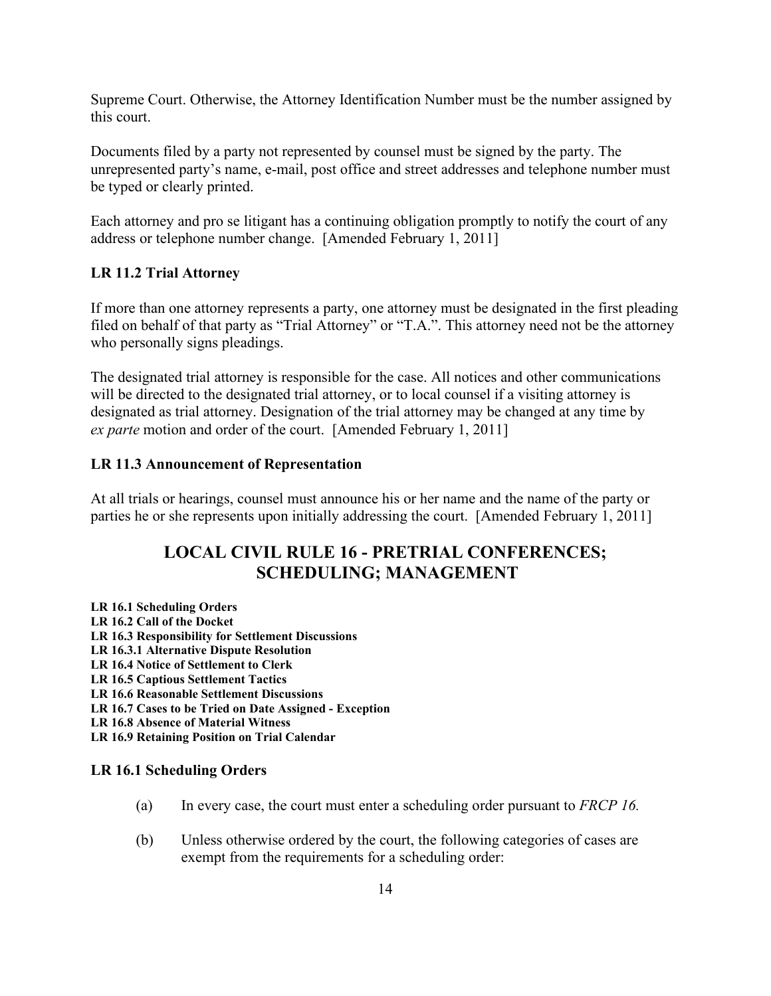Supreme Court. Otherwise, the Attorney Identification Number must be the number assigned by this court.

Documents filed by a party not represented by counsel must be signed by the party. The unrepresented party's name, e-mail, post office and street addresses and telephone number must be typed or clearly printed.

Each attorney and pro se litigant has a continuing obligation promptly to notify the court of any address or telephone number change. [Amended February 1, 2011]

#### <span id="page-13-0"></span>**LR 11.2 Trial Attorney**

If more than one attorney represents a party, one attorney must be designated in the first pleading filed on behalf of that party as "Trial Attorney" or "T.A.". This attorney need not be the attorney who personally signs pleadings.

The designated trial attorney is responsible for the case. All notices and other communications will be directed to the designated trial attorney, or to local counsel if a visiting attorney is designated as trial attorney. Designation of the trial attorney may be changed at any time by *ex parte* motion and order of the court. [Amended February 1, 2011]

#### <span id="page-13-1"></span>**LR 11.3 Announcement of Representation**

<span id="page-13-2"></span>At all trials or hearings, counsel must announce his or her name and the name of the party or parties he or she represents upon initially addressing the court. [Amended February 1, 2011]

## **LOCAL CIVIL RULE 16 - PRETRIAL CONFERENCES; SCHEDULING; MANAGEMENT**

**LR 16.1 Scheduling Orders LR 16.2 Call of the Docket LR 16.3 Responsibility for Settlement Discussions LR 16.3.1 Alternative Dispute Resolution LR 16.4 Notice of Settlement to Clerk LR 16.5 Captious Settlement Tactics LR 16.6 Reasonable Settlement Discussions LR 16.7 Cases to be Tried on Date Assigned - Exception LR 16.8 Absence of Material Witness LR 16.9 Retaining Position on Trial Calendar**

#### <span id="page-13-3"></span>**LR 16.1 Scheduling Orders**

- (a) In every case, the court must enter a scheduling order pursuant to *FRCP 16.*
- (b) Unless otherwise ordered by the court, the following categories of cases are exempt from the requirements for a scheduling order: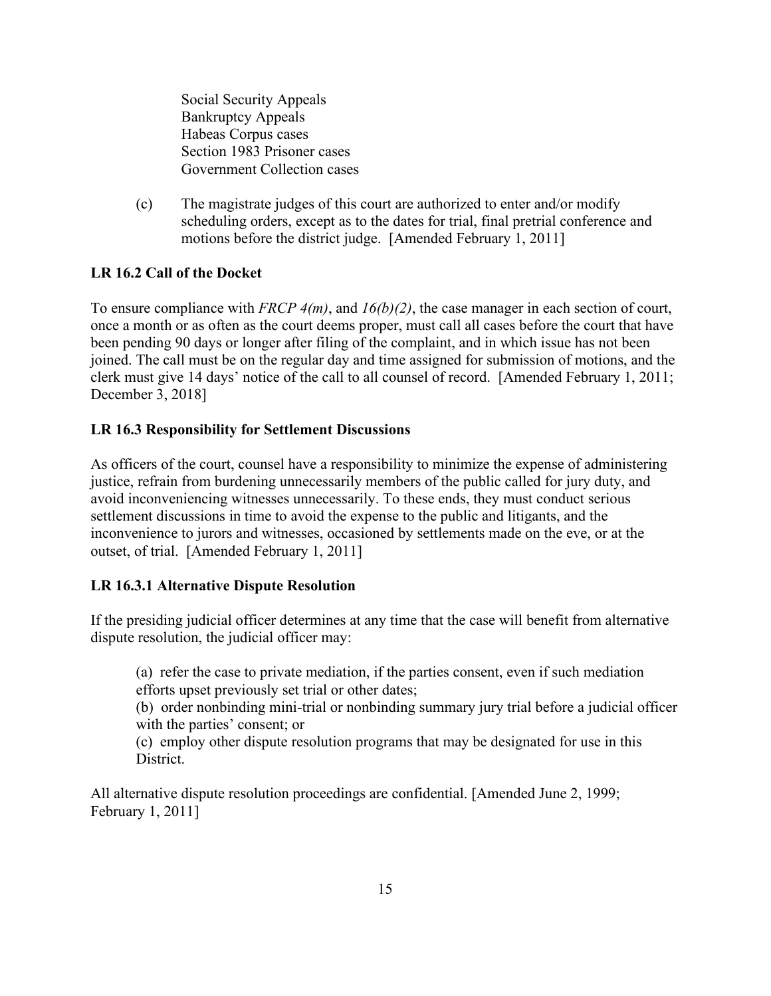Social Security Appeals Bankruptcy Appeals Habeas Corpus cases Section 1983 Prisoner cases Government Collection cases

(c) The magistrate judges of this court are authorized to enter and/or modify scheduling orders, except as to the dates for trial, final pretrial conference and motions before the district judge. [Amended February 1, 2011]

## <span id="page-14-0"></span>**LR 16.2 Call of the Docket**

To ensure compliance with *FRCP 4(m)*, and *16(b)(2)*, the case manager in each section of court, once a month or as often as the court deems proper, must call all cases before the court that have been pending 90 days or longer after filing of the complaint, and in which issue has not been joined. The call must be on the regular day and time assigned for submission of motions, and the clerk must give 14 days' notice of the call to all counsel of record. [Amended February 1, 2011; December 3, 2018]

## <span id="page-14-1"></span>**LR 16.3 Responsibility for Settlement Discussions**

As officers of the court, counsel have a responsibility to minimize the expense of administering justice, refrain from burdening unnecessarily members of the public called for jury duty, and avoid inconveniencing witnesses unnecessarily. To these ends, they must conduct serious settlement discussions in time to avoid the expense to the public and litigants, and the inconvenience to jurors and witnesses, occasioned by settlements made on the eve, or at the outset, of trial. [Amended February 1, 2011]

#### <span id="page-14-2"></span>**LR 16.3.1 Alternative Dispute Resolution**

If the presiding judicial officer determines at any time that the case will benefit from alternative dispute resolution, the judicial officer may:

(a) refer the case to private mediation, if the parties consent, even if such mediation efforts upset previously set trial or other dates;

(b) order nonbinding mini-trial or nonbinding summary jury trial before a judicial officer with the parties' consent; or

(c) employ other dispute resolution programs that may be designated for use in this District.

All alternative dispute resolution proceedings are confidential. [Amended June 2, 1999; February 1, 2011]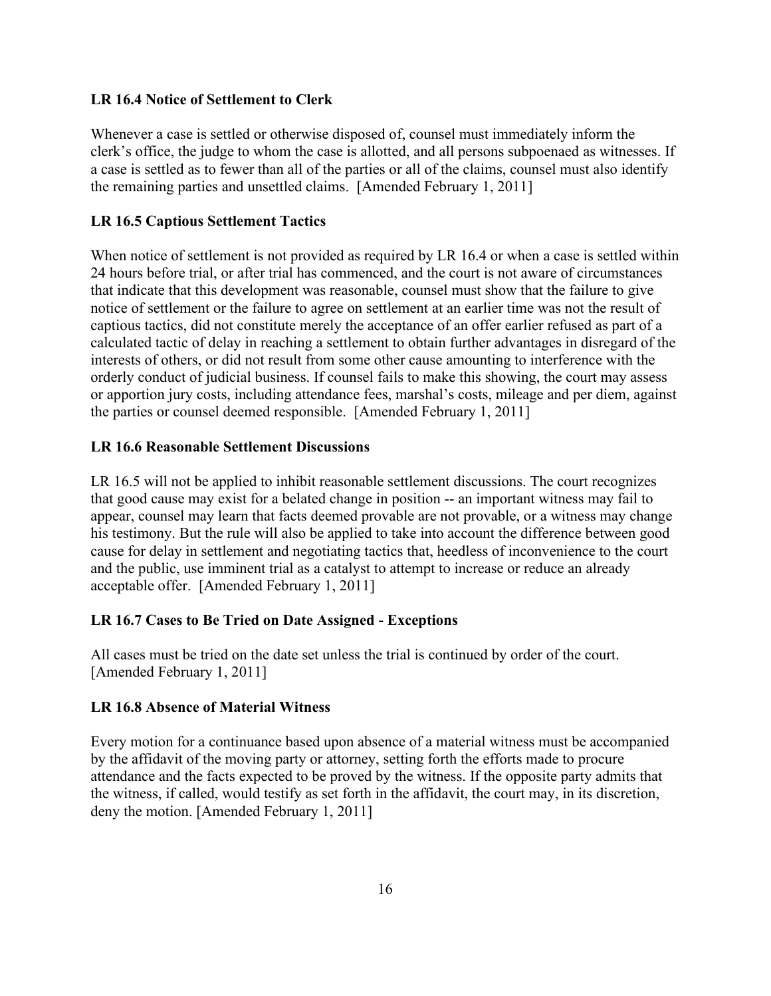#### <span id="page-15-0"></span>**LR 16.4 Notice of Settlement to Clerk**

Whenever a case is settled or otherwise disposed of, counsel must immediately inform the clerk's office, the judge to whom the case is allotted, and all persons subpoenaed as witnesses. If a case is settled as to fewer than all of the parties or all of the claims, counsel must also identify the remaining parties and unsettled claims. [Amended February 1, 2011]

#### <span id="page-15-1"></span>**LR 16.5 Captious Settlement Tactics**

When notice of settlement is not provided as required by LR 16.4 or when a case is settled within 24 hours before trial, or after trial has commenced, and the court is not aware of circumstances that indicate that this development was reasonable, counsel must show that the failure to give notice of settlement or the failure to agree on settlement at an earlier time was not the result of captious tactics, did not constitute merely the acceptance of an offer earlier refused as part of a calculated tactic of delay in reaching a settlement to obtain further advantages in disregard of the interests of others, or did not result from some other cause amounting to interference with the orderly conduct of judicial business. If counsel fails to make this showing, the court may assess or apportion jury costs, including attendance fees, marshal's costs, mileage and per diem, against the parties or counsel deemed responsible. [Amended February 1, 2011]

#### <span id="page-15-2"></span>**LR 16.6 Reasonable Settlement Discussions**

LR 16.5 will not be applied to inhibit reasonable settlement discussions. The court recognizes that good cause may exist for a belated change in position -- an important witness may fail to appear, counsel may learn that facts deemed provable are not provable, or a witness may change his testimony. But the rule will also be applied to take into account the difference between good cause for delay in settlement and negotiating tactics that, heedless of inconvenience to the court and the public, use imminent trial as a catalyst to attempt to increase or reduce an already acceptable offer. [Amended February 1, 2011]

#### <span id="page-15-3"></span>**LR 16.7 Cases to Be Tried on Date Assigned - Exceptions**

All cases must be tried on the date set unless the trial is continued by order of the court. [Amended February 1, 2011]

#### <span id="page-15-4"></span>**LR 16.8 Absence of Material Witness**

Every motion for a continuance based upon absence of a material witness must be accompanied by the affidavit of the moving party or attorney, setting forth the efforts made to procure attendance and the facts expected to be proved by the witness. If the opposite party admits that the witness, if called, would testify as set forth in the affidavit, the court may, in its discretion, deny the motion. [Amended February 1, 2011]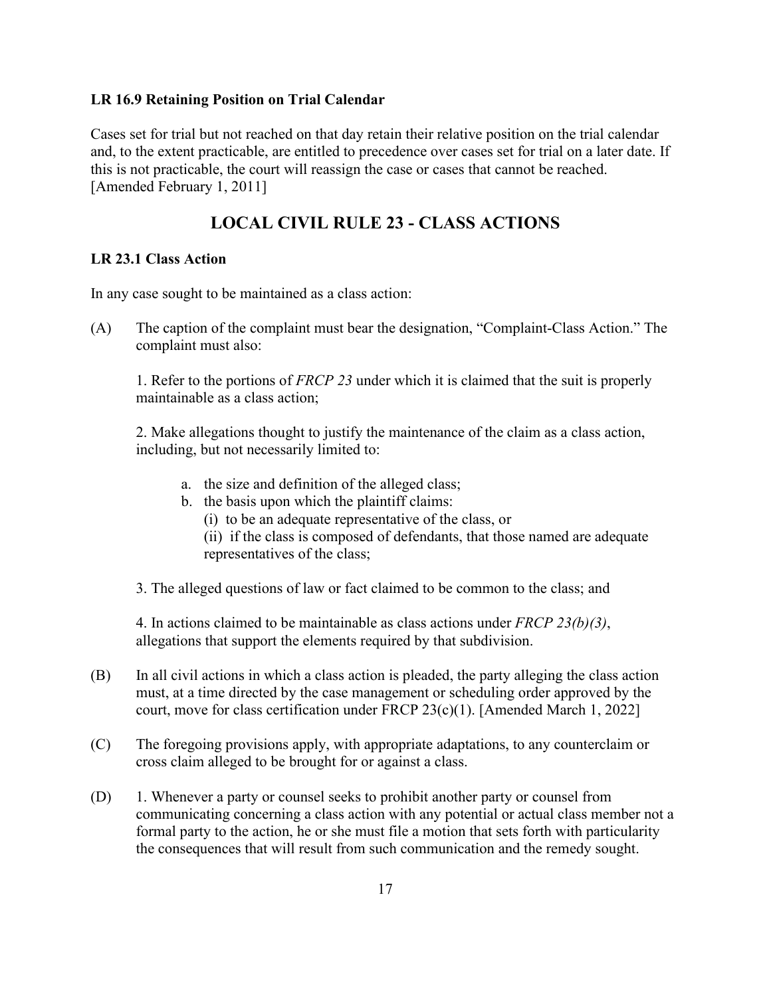#### <span id="page-16-0"></span>**LR 16.9 Retaining Position on Trial Calendar**

Cases set for trial but not reached on that day retain their relative position on the trial calendar and, to the extent practicable, are entitled to precedence over cases set for trial on a later date. If this is not practicable, the court will reassign the case or cases that cannot be reached. [Amended February 1, 2011]

## **LOCAL CIVIL RULE 23 - CLASS ACTIONS**

### <span id="page-16-2"></span><span id="page-16-1"></span>**LR 23.1 Class Action**

In any case sought to be maintained as a class action:

(A) The caption of the complaint must bear the designation, "Complaint-Class Action." The complaint must also:

1. Refer to the portions of *FRCP 23* under which it is claimed that the suit is properly maintainable as a class action;

2. Make allegations thought to justify the maintenance of the claim as a class action, including, but not necessarily limited to:

- a. the size and definition of the alleged class;
- b. the basis upon which the plaintiff claims:
	- (i) to be an adequate representative of the class, or
	- (ii) if the class is composed of defendants, that those named are adequate representatives of the class;

3. The alleged questions of law or fact claimed to be common to the class; and

4. In actions claimed to be maintainable as class actions under *FRCP 23(b)(3)*, allegations that support the elements required by that subdivision.

- (B) In all civil actions in which a class action is pleaded, the party alleging the class action must, at a time directed by the case management or scheduling order approved by the court, move for class certification under FRCP 23(c)(1). [Amended March 1, 2022]
- (C) The foregoing provisions apply, with appropriate adaptations, to any counterclaim or cross claim alleged to be brought for or against a class.
- (D) 1. Whenever a party or counsel seeks to prohibit another party or counsel from communicating concerning a class action with any potential or actual class member not a formal party to the action, he or she must file a motion that sets forth with particularity the consequences that will result from such communication and the remedy sought.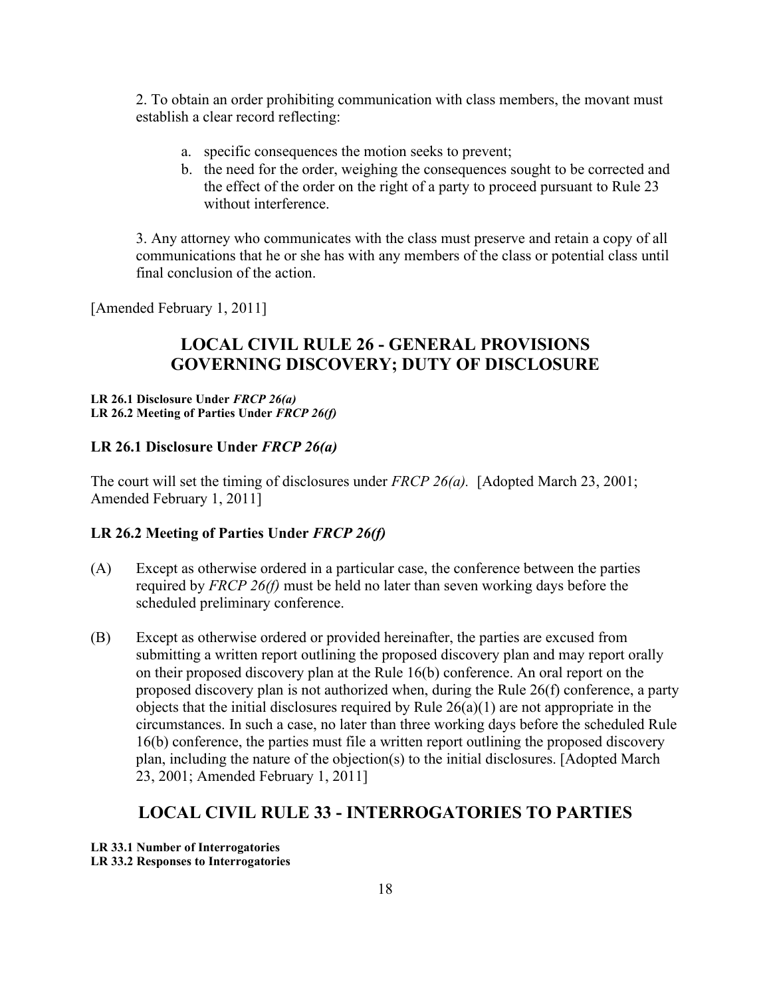2. To obtain an order prohibiting communication with class members, the movant must establish a clear record reflecting:

- a. specific consequences the motion seeks to prevent;
- b. the need for the order, weighing the consequences sought to be corrected and the effect of the order on the right of a party to proceed pursuant to Rule 23 without interference.

3. Any attorney who communicates with the class must preserve and retain a copy of all communications that he or she has with any members of the class or potential class until final conclusion of the action.

<span id="page-17-0"></span>[Amended February 1, 2011]

## **LOCAL CIVIL RULE 26 - GENERAL PROVISIONS GOVERNING DISCOVERY; DUTY OF DISCLOSURE**

#### **LR 26.1 Disclosure Under** *FRCP 26(a)* **LR 26.2 Meeting of Parties Under** *FRCP 26(f)*

#### <span id="page-17-1"></span>**LR 26.1 Disclosure Under** *FRCP 26(a)*

The court will set the timing of disclosures under *FRCP 26(a).* [Adopted March 23, 2001; Amended February 1, 2011]

#### <span id="page-17-2"></span>**LR 26.2 Meeting of Parties Under** *FRCP 26(f)*

- (A) Except as otherwise ordered in a particular case, the conference between the parties required by *FRCP 26(f)* must be held no later than seven working days before the scheduled preliminary conference.
- (B) Except as otherwise ordered or provided hereinafter, the parties are excused from submitting a written report outlining the proposed discovery plan and may report orally on their proposed discovery plan at the Rule 16(b) conference. An oral report on the proposed discovery plan is not authorized when, during the Rule 26(f) conference, a party objects that the initial disclosures required by Rule  $26(a)(1)$  are not appropriate in the circumstances. In such a case, no later than three working days before the scheduled Rule 16(b) conference, the parties must file a written report outlining the proposed discovery plan, including the nature of the objection(s) to the initial disclosures. [Adopted March 23, 2001; Amended February 1, 2011]

## **LOCAL CIVIL RULE 33 - INTERROGATORIES TO PARTIES**

<span id="page-17-3"></span>**LR 33.1 Number of Interrogatories**

**LR 33.2 Responses to Interrogatories**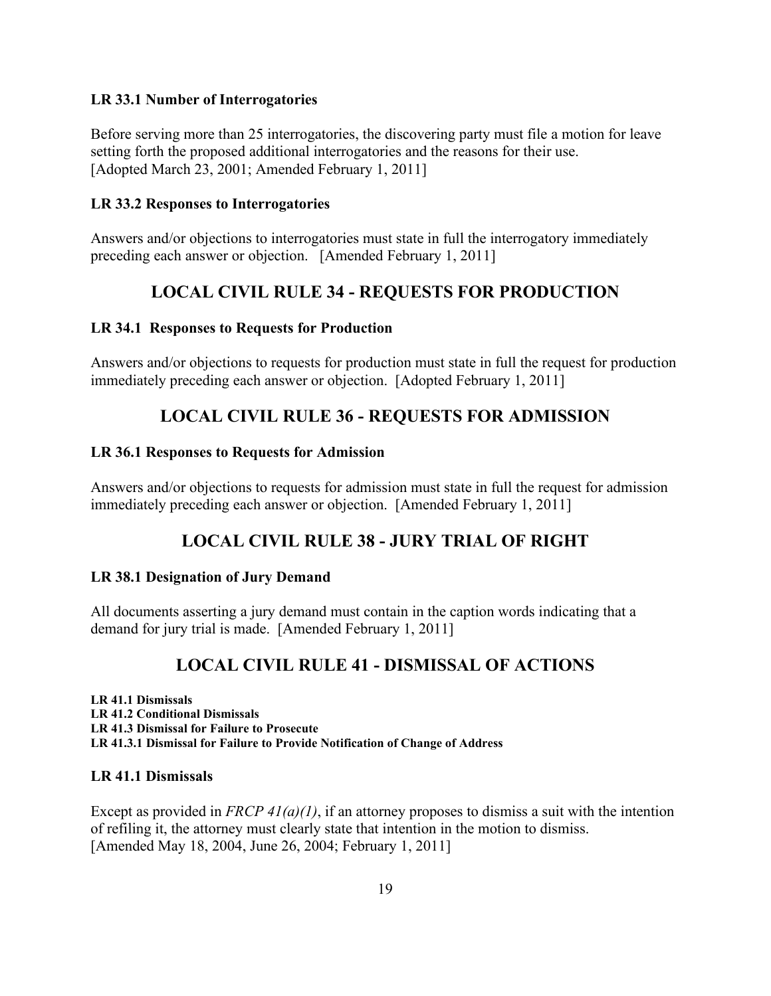#### <span id="page-18-0"></span>**LR 33.1 Number of Interrogatories**

Before serving more than 25 interrogatories, the discovering party must file a motion for leave setting forth the proposed additional interrogatories and the reasons for their use. [Adopted March 23, 2001; Amended February 1, 2011]

### <span id="page-18-1"></span>**LR 33.2 Responses to Interrogatories**

Answers and/or objections to interrogatories must state in full the interrogatory immediately preceding each answer or objection. [Amended February 1, 2011]

## **LOCAL CIVIL RULE 34 - REQUESTS FOR PRODUCTION**

## <span id="page-18-3"></span><span id="page-18-2"></span>**LR 34.1 Responses to Requests for Production**

Answers and/or objections to requests for production must state in full the request for production immediately preceding each answer or objection. [Adopted February 1, 2011]

## **LOCAL CIVIL RULE 36 - REQUESTS FOR ADMISSION**

#### <span id="page-18-5"></span><span id="page-18-4"></span>**LR 36.1 Responses to Requests for Admission**

Answers and/or objections to requests for admission must state in full the request for admission immediately preceding each answer or objection. [Amended February 1, 2011]

## **LOCAL CIVIL RULE 38 - JURY TRIAL OF RIGHT**

## <span id="page-18-7"></span><span id="page-18-6"></span>**LR 38.1 Designation of Jury Demand**

All documents asserting a jury demand must contain in the caption words indicating that a demand for jury trial is made. [Amended February 1, 2011]

## **LOCAL CIVIL RULE 41 - DISMISSAL OF ACTIONS**

<span id="page-18-8"></span>**LR 41.1 Dismissals LR 41.2 Conditional Dismissals LR 41.3 Dismissal for Failure to Prosecute LR 41.3.1 Dismissal for Failure to Provide Notification of Change of Address**

#### <span id="page-18-9"></span>**LR 41.1 Dismissals**

Except as provided in *FRCP 41(a)(1)*, if an attorney proposes to dismiss a suit with the intention of refiling it, the attorney must clearly state that intention in the motion to dismiss. [Amended May 18, 2004, June 26, 2004; February 1, 2011]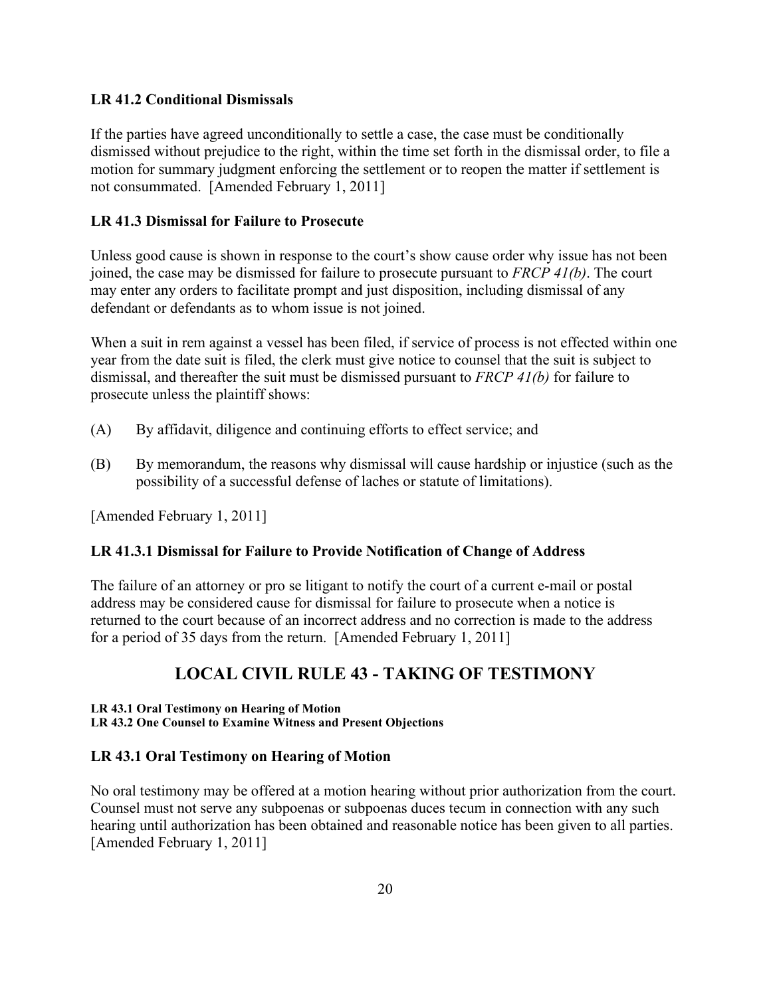### <span id="page-19-0"></span>**LR 41.2 Conditional Dismissals**

If the parties have agreed unconditionally to settle a case, the case must be conditionally dismissed without prejudice to the right, within the time set forth in the dismissal order, to file a motion for summary judgment enforcing the settlement or to reopen the matter if settlement is not consummated. [Amended February 1, 2011]

### <span id="page-19-1"></span>**LR 41.3 Dismissal for Failure to Prosecute**

Unless good cause is shown in response to the court's show cause order why issue has not been joined, the case may be dismissed for failure to prosecute pursuant to *FRCP 41(b)*. The court may enter any orders to facilitate prompt and just disposition, including dismissal of any defendant or defendants as to whom issue is not joined.

When a suit in rem against a vessel has been filed, if service of process is not effected within one year from the date suit is filed, the clerk must give notice to counsel that the suit is subject to dismissal, and thereafter the suit must be dismissed pursuant to *FRCP 41(b)* for failure to prosecute unless the plaintiff shows:

- (A) By affidavit, diligence and continuing efforts to effect service; and
- (B) By memorandum, the reasons why dismissal will cause hardship or injustice (such as the possibility of a successful defense of laches or statute of limitations).

[Amended February 1, 2011]

#### <span id="page-19-2"></span>**LR 41.3.1 Dismissal for Failure to Provide Notification of Change of Address**

The failure of an attorney or pro se litigant to notify the court of a current e-mail or postal address may be considered cause for dismissal for failure to prosecute when a notice is returned to the court because of an incorrect address and no correction is made to the address for a period of 35 days from the return. [Amended February 1, 2011]

## <span id="page-19-3"></span>**LOCAL CIVIL RULE 43 - TAKING OF TESTIMONY**

**LR 43.1 Oral Testimony on Hearing of Motion**

**LR 43.2 One Counsel to Examine Witness and Present Objections**

#### <span id="page-19-4"></span>**LR 43.1 Oral Testimony on Hearing of Motion**

No oral testimony may be offered at a motion hearing without prior authorization from the court. Counsel must not serve any subpoenas or subpoenas duces tecum in connection with any such hearing until authorization has been obtained and reasonable notice has been given to all parties. [Amended February 1, 2011]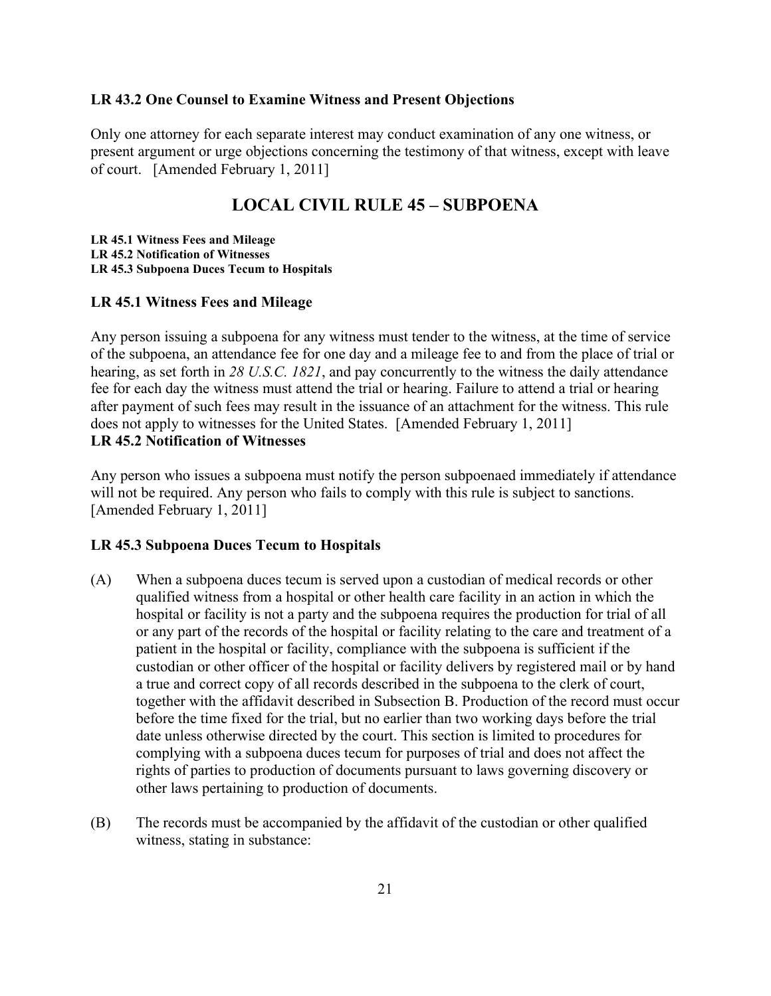#### <span id="page-20-0"></span>**LR 43.2 One Counsel to Examine Witness and Present Objections**

Only one attorney for each separate interest may conduct examination of any one witness, or present argument or urge objections concerning the testimony of that witness, except with leave of court. [Amended February 1, 2011]

## **LOCAL CIVIL RULE 45 – SUBPOENA**

<span id="page-20-1"></span>**LR 45.1 Witness Fees and Mileage LR 45.2 Notification of Witnesses LR 45.3 Subpoena Duces Tecum to Hospitals**

#### <span id="page-20-2"></span>**LR 45.1 Witness Fees and Mileage**

Any person issuing a subpoena for any witness must tender to the witness, at the time of service of the subpoena, an attendance fee for one day and a mileage fee to and from the place of trial or hearing, as set forth in *28 U.S.C. 1821*, and pay concurrently to the witness the daily attendance fee for each day the witness must attend the trial or hearing. Failure to attend a trial or hearing after payment of such fees may result in the issuance of an attachment for the witness. This rule does not apply to witnesses for the United States. [Amended February 1, 2011] **LR 45.2 Notification of Witnesses**

<span id="page-20-3"></span>Any person who issues a subpoena must notify the person subpoenaed immediately if attendance will not be required. Any person who fails to comply with this rule is subject to sanctions. [Amended February 1, 2011]

#### <span id="page-20-4"></span>**LR 45.3 Subpoena Duces Tecum to Hospitals**

- (A) When a subpoena duces tecum is served upon a custodian of medical records or other qualified witness from a hospital or other health care facility in an action in which the hospital or facility is not a party and the subpoena requires the production for trial of all or any part of the records of the hospital or facility relating to the care and treatment of a patient in the hospital or facility, compliance with the subpoena is sufficient if the custodian or other officer of the hospital or facility delivers by registered mail or by hand a true and correct copy of all records described in the subpoena to the clerk of court, together with the affidavit described in Subsection B. Production of the record must occur before the time fixed for the trial, but no earlier than two working days before the trial date unless otherwise directed by the court. This section is limited to procedures for complying with a subpoena duces tecum for purposes of trial and does not affect the rights of parties to production of documents pursuant to laws governing discovery or other laws pertaining to production of documents.
- (B) The records must be accompanied by the affidavit of the custodian or other qualified witness, stating in substance: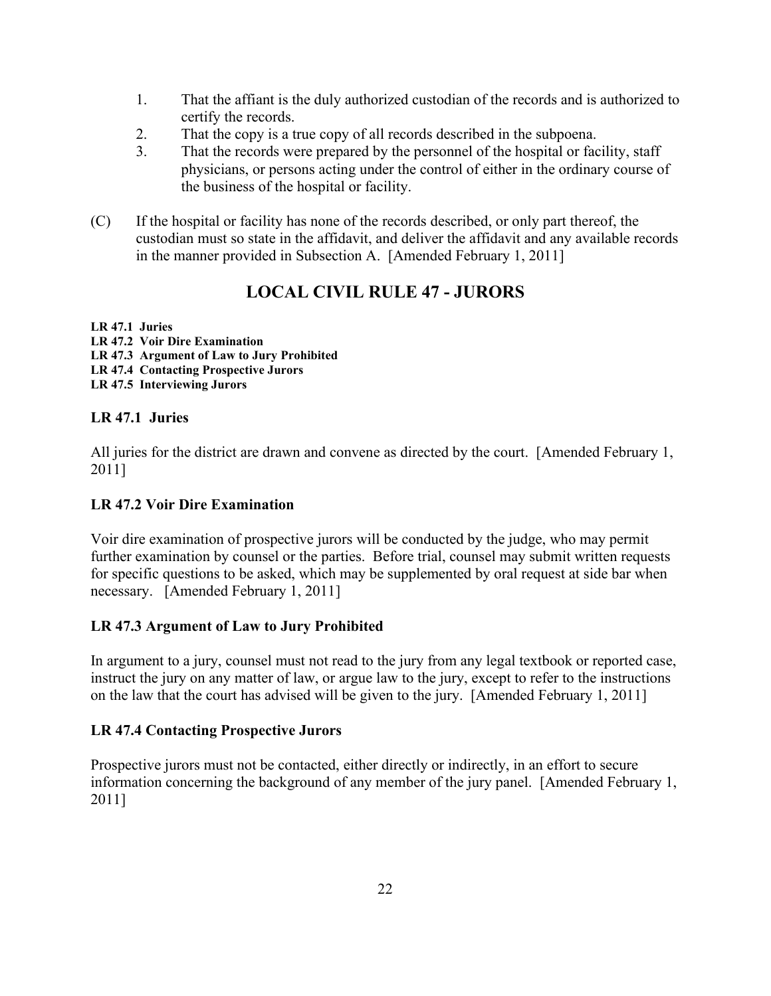- 1. That the affiant is the duly authorized custodian of the records and is authorized to certify the records.
- 2. That the copy is a true copy of all records described in the subpoena.
- 3. That the records were prepared by the personnel of the hospital or facility, staff physicians, or persons acting under the control of either in the ordinary course of the business of the hospital or facility.
- (C) If the hospital or facility has none of the records described, or only part thereof, the custodian must so state in the affidavit, and deliver the affidavit and any available records in the manner provided in Subsection A. [Amended February 1, 2011]

## **LOCAL CIVIL RULE 47 - JURORS**

## <span id="page-21-0"></span>**LR 47.1 Juries**

- **LR 47.2 Voir Dire Examination**
- **LR 47.3 Argument of Law to Jury Prohibited**
- **LR 47.4 Contacting Prospective Jurors**
- **LR 47.5 Interviewing Jurors**

## <span id="page-21-1"></span>**LR 47.1 Juries**

All juries for the district are drawn and convene as directed by the court. [Amended February 1, 2011]

## <span id="page-21-2"></span>**LR 47.2 Voir Dire Examination**

Voir dire examination of prospective jurors will be conducted by the judge, who may permit further examination by counsel or the parties. Before trial, counsel may submit written requests for specific questions to be asked, which may be supplemented by oral request at side bar when necessary. [Amended February 1, 2011]

## <span id="page-21-3"></span>**LR 47.3 Argument of Law to Jury Prohibited**

In argument to a jury, counsel must not read to the jury from any legal textbook or reported case, instruct the jury on any matter of law, or argue law to the jury, except to refer to the instructions on the law that the court has advised will be given to the jury. [Amended February 1, 2011]

## <span id="page-21-4"></span>**LR 47.4 Contacting Prospective Jurors**

Prospective jurors must not be contacted, either directly or indirectly, in an effort to secure information concerning the background of any member of the jury panel. [Amended February 1, 2011]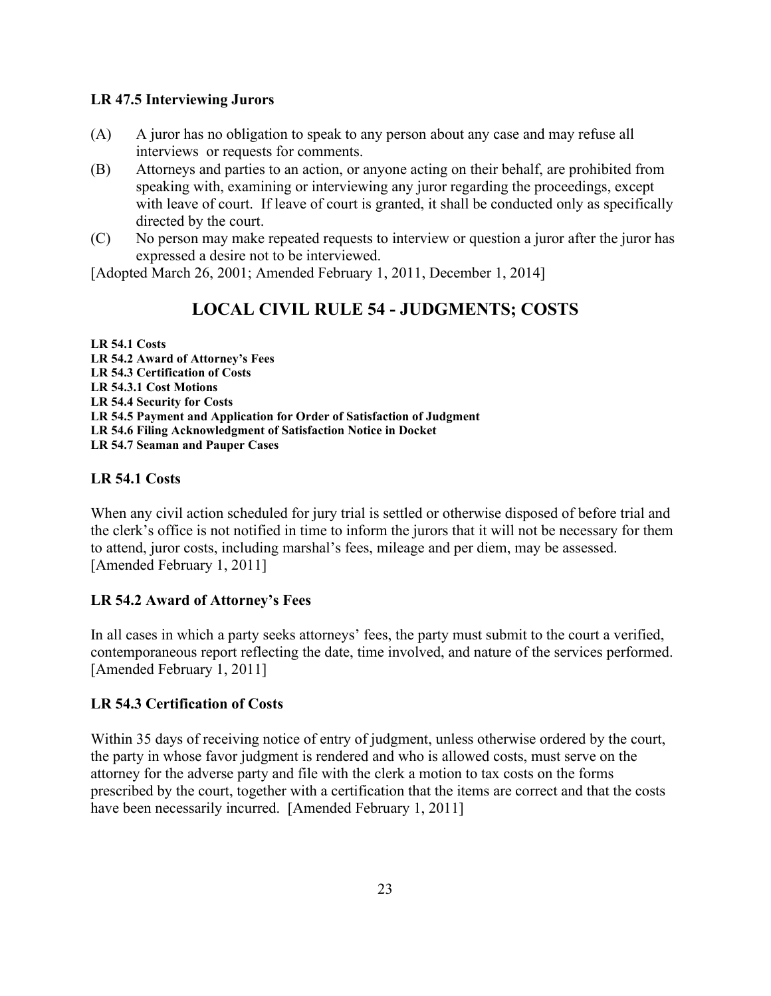### <span id="page-22-0"></span>**LR 47.5 Interviewing Jurors**

- (A) A juror has no obligation to speak to any person about any case and may refuse all interviews or requests for comments.
- (B) Attorneys and parties to an action, or anyone acting on their behalf, are prohibited from speaking with, examining or interviewing any juror regarding the proceedings, except with leave of court. If leave of court is granted, it shall be conducted only as specifically directed by the court.
- (C) No person may make repeated requests to interview or question a juror after the juror has expressed a desire not to be interviewed.

<span id="page-22-1"></span>[Adopted March 26, 2001; Amended February 1, 2011, December 1, 2014]

## **LOCAL CIVIL RULE 54 - JUDGMENTS; COSTS**

**LR 54.1 Costs LR 54.2 Award of Attorney's Fees LR 54.3 Certification of Costs LR 54.3.1 Cost Motions LR 54.4 Security for Costs LR 54.5 Payment and Application for Order of Satisfaction of Judgment LR 54.6 Filing Acknowledgment of Satisfaction Notice in Docket LR 54.7 Seaman and Pauper Cases**

## <span id="page-22-2"></span>**LR 54.1 Costs**

When any civil action scheduled for jury trial is settled or otherwise disposed of before trial and the clerk's office is not notified in time to inform the jurors that it will not be necessary for them to attend, juror costs, including marshal's fees, mileage and per diem, may be assessed. [Amended February 1, 2011]

## <span id="page-22-3"></span>**LR 54.2 Award of Attorney's Fees**

In all cases in which a party seeks attorneys' fees, the party must submit to the court a verified, contemporaneous report reflecting the date, time involved, and nature of the services performed. [Amended February 1, 2011]

## <span id="page-22-4"></span>**LR 54.3 Certification of Costs**

Within 35 days of receiving notice of entry of judgment, unless otherwise ordered by the court, the party in whose favor judgment is rendered and who is allowed costs, must serve on the attorney for the adverse party and file with the clerk a motion to tax costs on the forms prescribed by the court, together with a certification that the items are correct and that the costs have been necessarily incurred. [Amended February 1, 2011]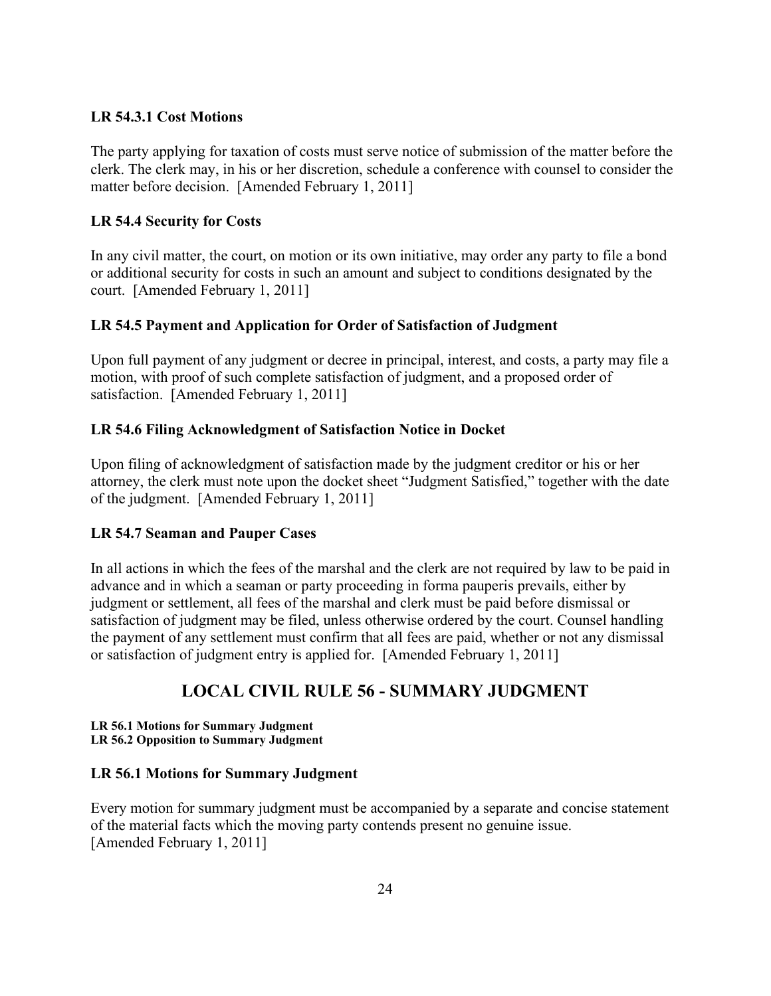### <span id="page-23-0"></span>**LR 54.3.1 Cost Motions**

The party applying for taxation of costs must serve notice of submission of the matter before the clerk. The clerk may, in his or her discretion, schedule a conference with counsel to consider the matter before decision. [Amended February 1, 2011]

## <span id="page-23-1"></span>**LR 54.4 Security for Costs**

In any civil matter, the court, on motion or its own initiative, may order any party to file a bond or additional security for costs in such an amount and subject to conditions designated by the court. [Amended February 1, 2011]

## <span id="page-23-2"></span>**LR 54.5 Payment and Application for Order of Satisfaction of Judgment**

Upon full payment of any judgment or decree in principal, interest, and costs, a party may file a motion, with proof of such complete satisfaction of judgment, and a proposed order of satisfaction. [Amended February 1, 2011]

### <span id="page-23-3"></span>**LR 54.6 Filing Acknowledgment of Satisfaction Notice in Docket**

Upon filing of acknowledgment of satisfaction made by the judgment creditor or his or her attorney, the clerk must note upon the docket sheet "Judgment Satisfied," together with the date of the judgment. [Amended February 1, 2011]

#### <span id="page-23-4"></span>**LR 54.7 Seaman and Pauper Cases**

In all actions in which the fees of the marshal and the clerk are not required by law to be paid in advance and in which a seaman or party proceeding in forma pauperis prevails, either by judgment or settlement, all fees of the marshal and clerk must be paid before dismissal or satisfaction of judgment may be filed, unless otherwise ordered by the court. Counsel handling the payment of any settlement must confirm that all fees are paid, whether or not any dismissal or satisfaction of judgment entry is applied for. [Amended February 1, 2011]

## **LOCAL CIVIL RULE 56 - SUMMARY JUDGMENT**

#### <span id="page-23-5"></span>**LR 56.1 Motions for Summary Judgment LR 56.2 Opposition to Summary Judgment**

#### <span id="page-23-6"></span>**LR 56.1 Motions for Summary Judgment**

Every motion for summary judgment must be accompanied by a separate and concise statement of the material facts which the moving party contends present no genuine issue. [Amended February 1, 2011]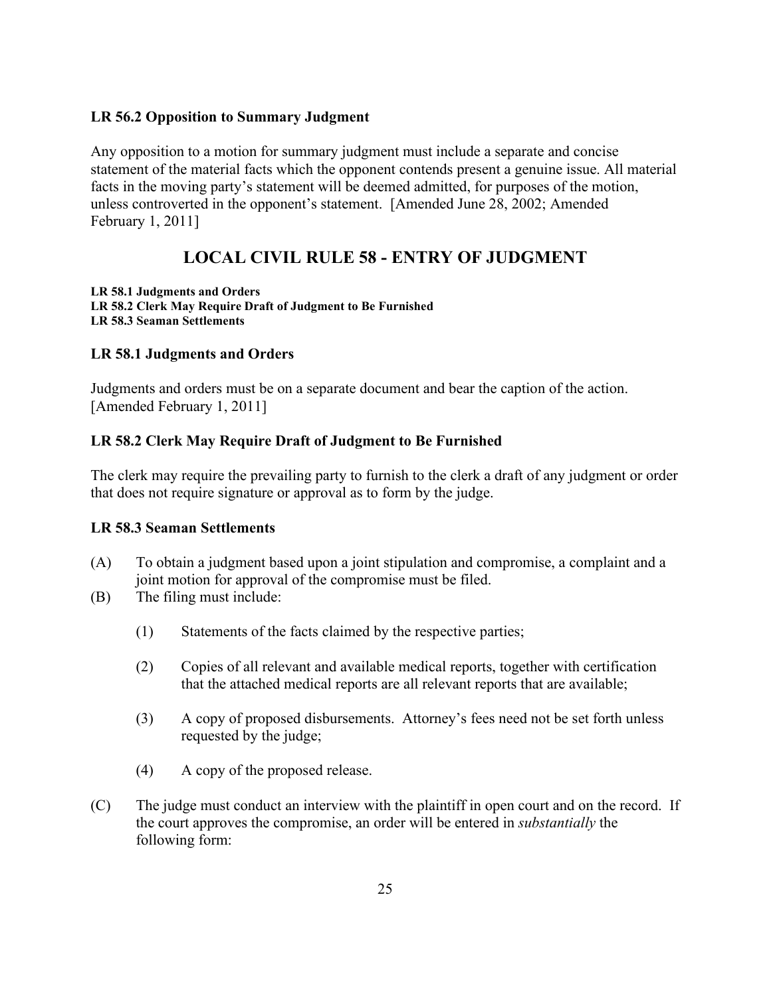## <span id="page-24-0"></span>**LR 56.2 Opposition to Summary Judgment**

Any opposition to a motion for summary judgment must include a separate and concise statement of the material facts which the opponent contends present a genuine issue. All material facts in the moving party's statement will be deemed admitted, for purposes of the motion, unless controverted in the opponent's statement. [Amended June 28, 2002; Amended February 1, 2011]

## **LOCAL CIVIL RULE 58 - ENTRY OF JUDGMENT**

<span id="page-24-1"></span>**LR 58.1 Judgments and Orders LR 58.2 Clerk May Require Draft of Judgment to Be Furnished LR 58.3 Seaman Settlements**

## <span id="page-24-2"></span>**LR 58.1 Judgments and Orders**

Judgments and orders must be on a separate document and bear the caption of the action. [Amended February 1, 2011]

## <span id="page-24-3"></span>**LR 58.2 Clerk May Require Draft of Judgment to Be Furnished**

The clerk may require the prevailing party to furnish to the clerk a draft of any judgment or order that does not require signature or approval as to form by the judge.

## <span id="page-24-4"></span>**LR 58.3 Seaman Settlements**

- (A) To obtain a judgment based upon a joint stipulation and compromise, a complaint and a joint motion for approval of the compromise must be filed.
- (B) The filing must include:
	- (1) Statements of the facts claimed by the respective parties;
	- (2) Copies of all relevant and available medical reports, together with certification that the attached medical reports are all relevant reports that are available;
	- (3) A copy of proposed disbursements. Attorney's fees need not be set forth unless requested by the judge;
	- (4) A copy of the proposed release.
- (C) The judge must conduct an interview with the plaintiff in open court and on the record. If the court approves the compromise, an order will be entered in *substantially* the following form: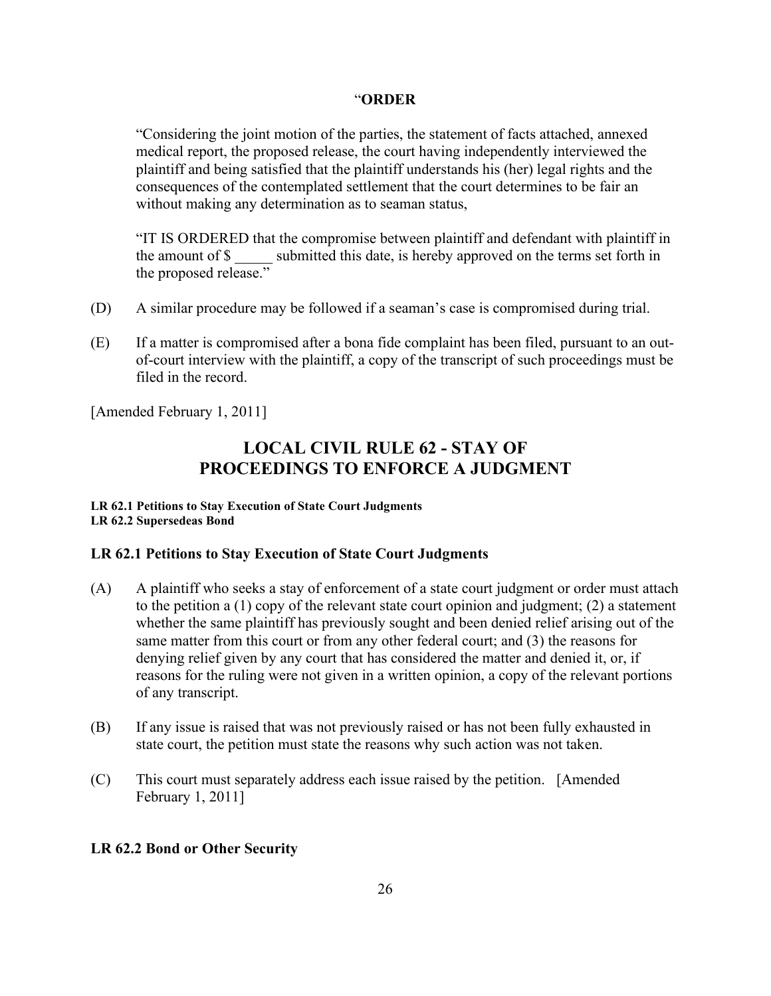#### "**ORDER**

"Considering the joint motion of the parties, the statement of facts attached, annexed medical report, the proposed release, the court having independently interviewed the plaintiff and being satisfied that the plaintiff understands his (her) legal rights and the consequences of the contemplated settlement that the court determines to be fair an without making any determination as to seaman status,

"IT IS ORDERED that the compromise between plaintiff and defendant with plaintiff in the amount of \$ submitted this date, is hereby approved on the terms set forth in the proposed release."

- (D) A similar procedure may be followed if a seaman's case is compromised during trial.
- (E) If a matter is compromised after a bona fide complaint has been filed, pursuant to an outof-court interview with the plaintiff, a copy of the transcript of such proceedings must be filed in the record.

<span id="page-25-0"></span>[Amended February 1, 2011]

## **LOCAL CIVIL RULE 62 - STAY OF PROCEEDINGS TO ENFORCE A JUDGMENT**

#### **LR 62.1 Petitions to Stay Execution of State Court Judgments LR 62.2 Supersedeas Bond**

## <span id="page-25-1"></span>**LR 62.1 Petitions to Stay Execution of State Court Judgments**

- (A) A plaintiff who seeks a stay of enforcement of a state court judgment or order must attach to the petition a (1) copy of the relevant state court opinion and judgment; (2) a statement whether the same plaintiff has previously sought and been denied relief arising out of the same matter from this court or from any other federal court; and (3) the reasons for denying relief given by any court that has considered the matter and denied it, or, if reasons for the ruling were not given in a written opinion, a copy of the relevant portions of any transcript.
- (B) If any issue is raised that was not previously raised or has not been fully exhausted in state court, the petition must state the reasons why such action was not taken.
- (C) This court must separately address each issue raised by the petition. [Amended February 1, 2011]

#### <span id="page-25-2"></span>**LR 62.2 Bond or Other Security**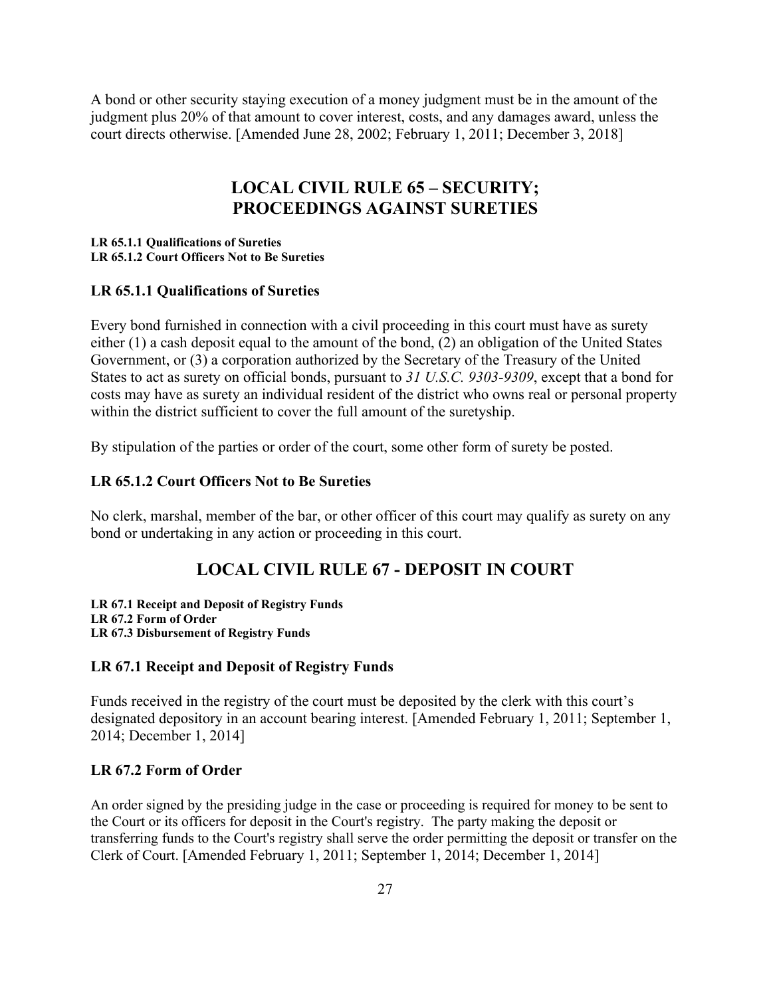A bond or other security staying execution of a money judgment must be in the amount of the judgment plus 20% of that amount to cover interest, costs, and any damages award, unless the court directs otherwise. [Amended June 28, 2002; February 1, 2011; December 3, 2018]

## **LOCAL CIVIL RULE 65 – SECURITY; PROCEEDINGS AGAINST SURETIES**

#### <span id="page-26-0"></span>**LR 65.1.1 Qualifications of Sureties LR 65.1.2 Court Officers Not to Be Sureties**

#### <span id="page-26-1"></span>**LR 65.1.1 Qualifications of Sureties**

Every bond furnished in connection with a civil proceeding in this court must have as surety either (1) a cash deposit equal to the amount of the bond, (2) an obligation of the United States Government, or (3) a corporation authorized by the Secretary of the Treasury of the United States to act as surety on official bonds, pursuant to *31 U.S.C. 9303*-*9309*, except that a bond for costs may have as surety an individual resident of the district who owns real or personal property within the district sufficient to cover the full amount of the suretyship.

By stipulation of the parties or order of the court, some other form of surety be posted.

#### <span id="page-26-2"></span>**LR 65.1.2 Court Officers Not to Be Sureties**

No clerk, marshal, member of the bar, or other officer of this court may qualify as surety on any bond or undertaking in any action or proceeding in this court.

## **LOCAL CIVIL RULE 67 - DEPOSIT IN COURT**

<span id="page-26-3"></span>**LR 67.1 Receipt and Deposit of Registry Funds LR 67.2 Form of Order LR 67.3 Disbursement of Registry Funds**

#### <span id="page-26-4"></span>**LR 67.1 Receipt and Deposit of Registry Funds**

Funds received in the registry of the court must be deposited by the clerk with this court's designated depository in an account bearing interest. [Amended February 1, 2011; September 1, 2014; December 1, 2014]

#### <span id="page-26-5"></span>**LR 67.2 Form of Order**

An order signed by the presiding judge in the case or proceeding is required for money to be sent to the Court or its officers for deposit in the Court's registry. The party making the deposit or transferring funds to the Court's registry shall serve the order permitting the deposit or transfer on the Clerk of Court. [Amended February 1, 2011; September 1, 2014; December 1, 2014]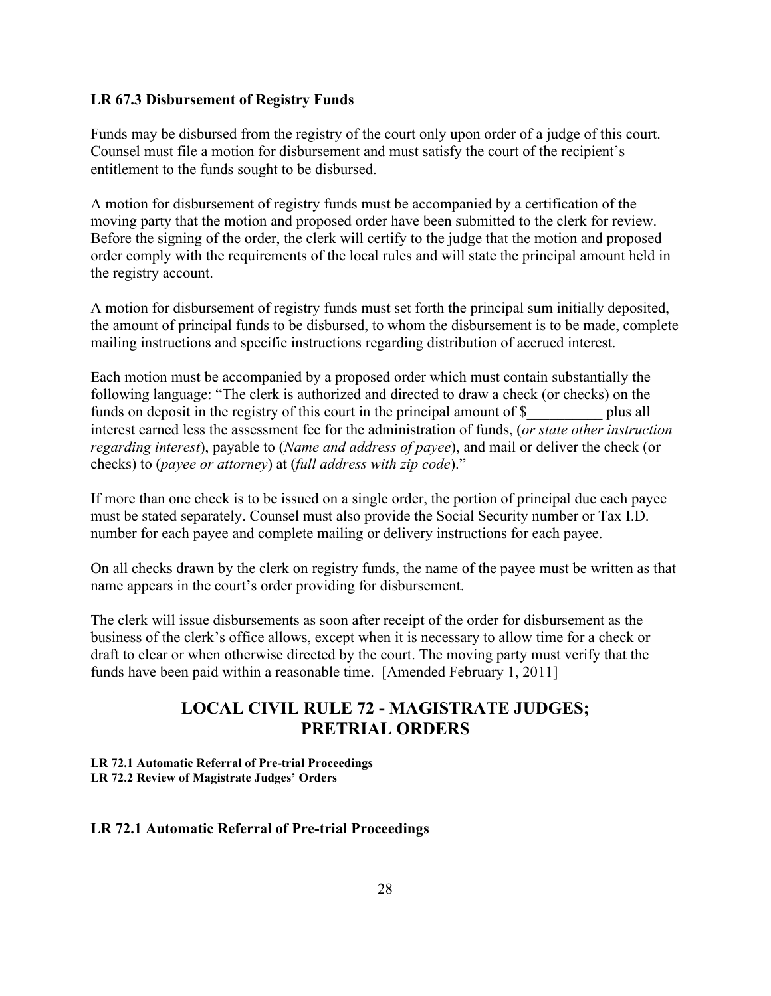#### <span id="page-27-0"></span>**LR 67.3 Disbursement of Registry Funds**

Funds may be disbursed from the registry of the court only upon order of a judge of this court. Counsel must file a motion for disbursement and must satisfy the court of the recipient's entitlement to the funds sought to be disbursed.

A motion for disbursement of registry funds must be accompanied by a certification of the moving party that the motion and proposed order have been submitted to the clerk for review. Before the signing of the order, the clerk will certify to the judge that the motion and proposed order comply with the requirements of the local rules and will state the principal amount held in the registry account.

A motion for disbursement of registry funds must set forth the principal sum initially deposited, the amount of principal funds to be disbursed, to whom the disbursement is to be made, complete mailing instructions and specific instructions regarding distribution of accrued interest.

Each motion must be accompanied by a proposed order which must contain substantially the following language: "The clerk is authorized and directed to draw a check (or checks) on the funds on deposit in the registry of this court in the principal amount of \$ plus all interest earned less the assessment fee for the administration of funds, (*or state other instruction regarding interest*), payable to (*Name and address of payee*), and mail or deliver the check (or checks) to (*payee or attorney*) at (*full address with zip code*)."

If more than one check is to be issued on a single order, the portion of principal due each payee must be stated separately. Counsel must also provide the Social Security number or Tax I.D. number for each payee and complete mailing or delivery instructions for each payee.

On all checks drawn by the clerk on registry funds, the name of the payee must be written as that name appears in the court's order providing for disbursement.

The clerk will issue disbursements as soon after receipt of the order for disbursement as the business of the clerk's office allows, except when it is necessary to allow time for a check or draft to clear or when otherwise directed by the court. The moving party must verify that the funds have been paid within a reasonable time. [Amended February 1, 2011]

## **LOCAL CIVIL RULE 72 - MAGISTRATE JUDGES; PRETRIAL ORDERS**

<span id="page-27-1"></span>**LR 72.1 Automatic Referral of Pre-trial Proceedings LR 72.2 Review of Magistrate Judges' Orders**

#### <span id="page-27-2"></span>**LR 72.1 Automatic Referral of Pre-trial Proceedings**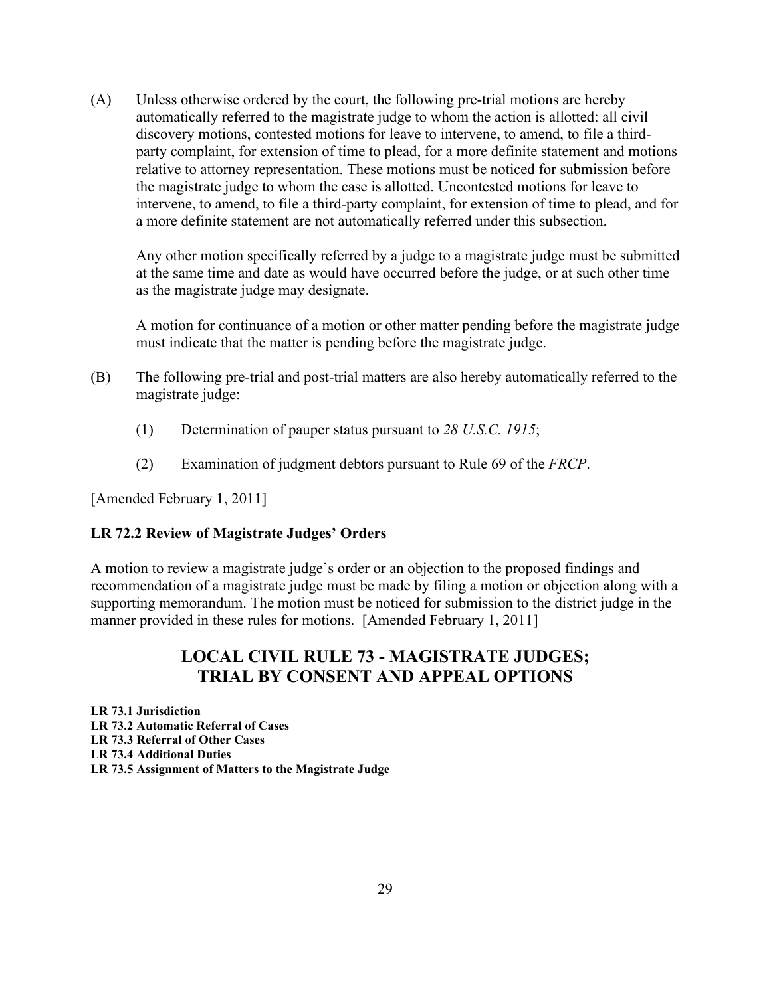(A) Unless otherwise ordered by the court, the following pre-trial motions are hereby automatically referred to the magistrate judge to whom the action is allotted: all civil discovery motions, contested motions for leave to intervene, to amend, to file a thirdparty complaint, for extension of time to plead, for a more definite statement and motions relative to attorney representation. These motions must be noticed for submission before the magistrate judge to whom the case is allotted. Uncontested motions for leave to intervene, to amend, to file a third-party complaint, for extension of time to plead, and for a more definite statement are not automatically referred under this subsection.

Any other motion specifically referred by a judge to a magistrate judge must be submitted at the same time and date as would have occurred before the judge, or at such other time as the magistrate judge may designate.

A motion for continuance of a motion or other matter pending before the magistrate judge must indicate that the matter is pending before the magistrate judge.

- (B) The following pre-trial and post-trial matters are also hereby automatically referred to the magistrate judge:
	- (1) Determination of pauper status pursuant to *28 U.S.C. 1915*;
	- (2) Examination of judgment debtors pursuant to Rule 69 of the *FRCP*.

[Amended February 1, 2011]

## <span id="page-28-0"></span>**LR 72.2 Review of Magistrate Judges' Orders**

A motion to review a magistrate judge's order or an objection to the proposed findings and recommendation of a magistrate judge must be made by filing a motion or objection along with a supporting memorandum. The motion must be noticed for submission to the district judge in the manner provided in these rules for motions. [Amended February 1, 2011]

## **LOCAL CIVIL RULE 73 - MAGISTRATE JUDGES; TRIAL BY CONSENT AND APPEAL OPTIONS**

<span id="page-28-1"></span>**LR 73.1 Jurisdiction LR 73.2 Automatic Referral of Cases LR 73.3 Referral of Other Cases LR 73.4 Additional Duties LR 73.5 Assignment of Matters to the Magistrate Judge**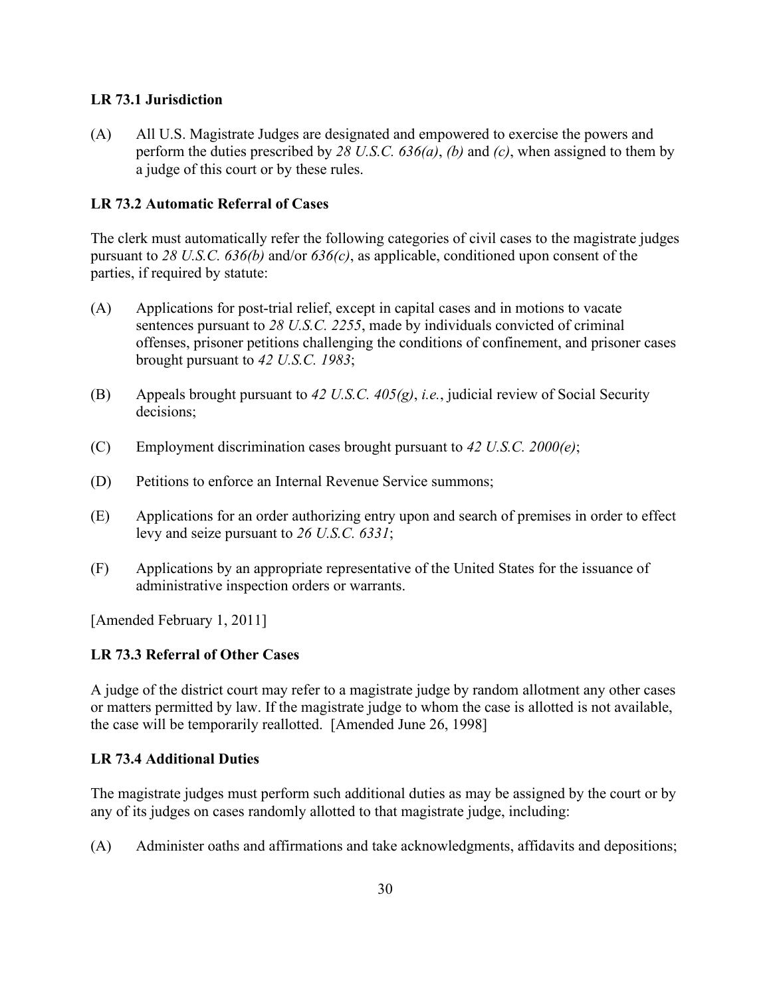## <span id="page-29-0"></span>**LR 73.1 Jurisdiction**

(A) All U.S. Magistrate Judges are designated and empowered to exercise the powers and perform the duties prescribed by *28 U.S.C. 636(a)*, *(b)* and *(c)*, when assigned to them by a judge of this court or by these rules.

## <span id="page-29-1"></span>**LR 73.2 Automatic Referral of Cases**

The clerk must automatically refer the following categories of civil cases to the magistrate judges pursuant to *28 U.S.C. 636(b)* and/or *636(c)*, as applicable, conditioned upon consent of the parties, if required by statute:

- (A) Applications for post-trial relief, except in capital cases and in motions to vacate sentences pursuant to *28 U.S.C. 2255*, made by individuals convicted of criminal offenses, prisoner petitions challenging the conditions of confinement, and prisoner cases brought pursuant to *42 U.S.C. 1983*;
- (B) Appeals brought pursuant to *42 U.S.C. 405(g)*, *i.e.*, judicial review of Social Security decisions;
- (C) Employment discrimination cases brought pursuant to *42 U.S.C. 2000(e)*;
- (D) Petitions to enforce an Internal Revenue Service summons;
- (E) Applications for an order authorizing entry upon and search of premises in order to effect levy and seize pursuant to *26 U.S.C. 6331*;
- (F) Applications by an appropriate representative of the United States for the issuance of administrative inspection orders or warrants.

[Amended February 1, 2011]

## <span id="page-29-2"></span>**LR 73.3 Referral of Other Cases**

A judge of the district court may refer to a magistrate judge by random allotment any other cases or matters permitted by law. If the magistrate judge to whom the case is allotted is not available, the case will be temporarily reallotted. [Amended June 26, 1998]

## <span id="page-29-3"></span>**LR 73.4 Additional Duties**

The magistrate judges must perform such additional duties as may be assigned by the court or by any of its judges on cases randomly allotted to that magistrate judge, including:

(A) Administer oaths and affirmations and take acknowledgments, affidavits and depositions;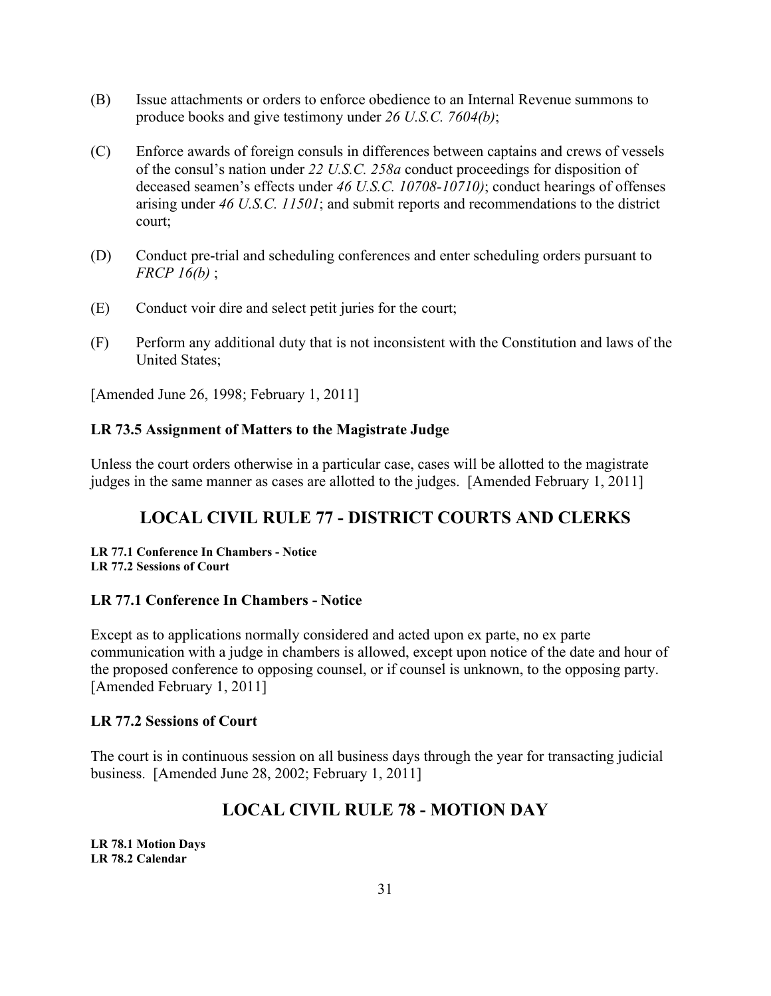- (B) Issue attachments or orders to enforce obedience to an Internal Revenue summons to produce books and give testimony under *26 U.S.C. 7604(b)*;
- (C) Enforce awards of foreign consuls in differences between captains and crews of vessels of the consul's nation under *22 U.S.C. 258a* conduct proceedings for disposition of deceased seamen's effects under *46 U.S.C. 10708-10710)*; conduct hearings of offenses arising under *46 U.S.C. 11501*; and submit reports and recommendations to the district court;
- (D) Conduct pre-trial and scheduling conferences and enter scheduling orders pursuant to *FRCP 16(b)* ;
- (E) Conduct voir dire and select petit juries for the court;
- (F) Perform any additional duty that is not inconsistent with the Constitution and laws of the United States;

[Amended June 26, 1998; February 1, 2011]

## <span id="page-30-0"></span>**LR 73.5 Assignment of Matters to the Magistrate Judge**

Unless the court orders otherwise in a particular case, cases will be allotted to the magistrate judges in the same manner as cases are allotted to the judges. [Amended February 1, 2011]

## **LOCAL CIVIL RULE 77 - DISTRICT COURTS AND CLERKS**

<span id="page-30-1"></span>**LR 77.1 Conference In Chambers - Notice LR 77.2 Sessions of Court**

#### <span id="page-30-2"></span>**LR 77.1 Conference In Chambers - Notice**

Except as to applications normally considered and acted upon ex parte, no ex parte communication with a judge in chambers is allowed, except upon notice of the date and hour of the proposed conference to opposing counsel, or if counsel is unknown, to the opposing party. [Amended February 1, 2011]

#### <span id="page-30-3"></span>**LR 77.2 Sessions of Court**

The court is in continuous session on all business days through the year for transacting judicial business. [Amended June 28, 2002; February 1, 2011]

## **LOCAL CIVIL RULE 78 - MOTION DAY**

<span id="page-30-4"></span>**LR 78.1 Motion Days LR 78.2 Calendar**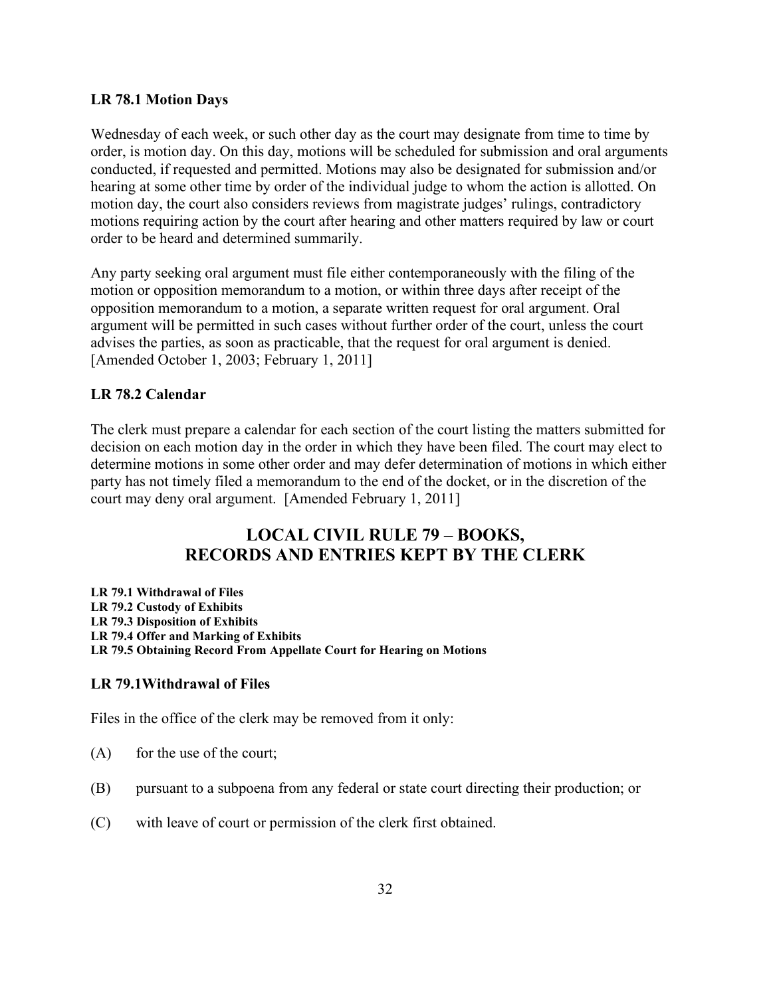### <span id="page-31-0"></span>**LR 78.1 Motion Days**

Wednesday of each week, or such other day as the court may designate from time to time by order, is motion day. On this day, motions will be scheduled for submission and oral arguments conducted, if requested and permitted. Motions may also be designated for submission and/or hearing at some other time by order of the individual judge to whom the action is allotted. On motion day, the court also considers reviews from magistrate judges' rulings, contradictory motions requiring action by the court after hearing and other matters required by law or court order to be heard and determined summarily.

Any party seeking oral argument must file either contemporaneously with the filing of the motion or opposition memorandum to a motion, or within three days after receipt of the opposition memorandum to a motion, a separate written request for oral argument. Oral argument will be permitted in such cases without further order of the court, unless the court advises the parties, as soon as practicable, that the request for oral argument is denied. [Amended October 1, 2003; February 1, 2011]

## <span id="page-31-1"></span>**LR 78.2 Calendar**

The clerk must prepare a calendar for each section of the court listing the matters submitted for decision on each motion day in the order in which they have been filed. The court may elect to determine motions in some other order and may defer determination of motions in which either party has not timely filed a memorandum to the end of the docket, or in the discretion of the court may deny oral argument. [Amended February 1, 2011]

## **LOCAL CIVIL RULE 79 – BOOKS, RECORDS AND ENTRIES KEPT BY THE CLERK**

<span id="page-31-2"></span>**LR 79.1 Withdrawal of Files LR 79.2 Custody of Exhibits LR 79.3 Disposition of Exhibits LR 79.4 Offer and Marking of Exhibits LR 79.5 Obtaining Record From Appellate Court for Hearing on Motions**

## <span id="page-31-3"></span>**LR 79.1Withdrawal of Files**

Files in the office of the clerk may be removed from it only:

- $(A)$  for the use of the court;
- (B) pursuant to a subpoena from any federal or state court directing their production; or
- (C) with leave of court or permission of the clerk first obtained.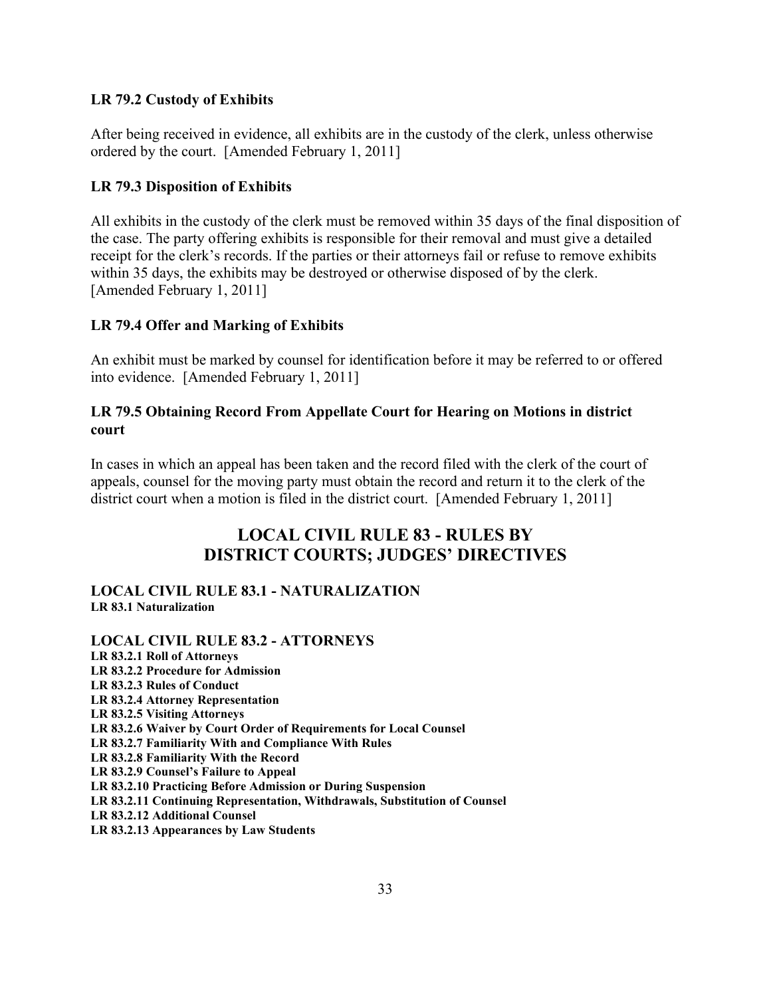## <span id="page-32-0"></span>**LR 79.2 Custody of Exhibits**

After being received in evidence, all exhibits are in the custody of the clerk, unless otherwise ordered by the court. [Amended February 1, 2011]

## <span id="page-32-1"></span>**LR 79.3 Disposition of Exhibits**

All exhibits in the custody of the clerk must be removed within 35 days of the final disposition of the case. The party offering exhibits is responsible for their removal and must give a detailed receipt for the clerk's records. If the parties or their attorneys fail or refuse to remove exhibits within 35 days, the exhibits may be destroyed or otherwise disposed of by the clerk. [Amended February 1, 2011]

## <span id="page-32-2"></span>**LR 79.4 Offer and Marking of Exhibits**

An exhibit must be marked by counsel for identification before it may be referred to or offered into evidence. [Amended February 1, 2011]

## <span id="page-32-3"></span>**LR 79.5 Obtaining Record From Appellate Court for Hearing on Motions in district court**

In cases in which an appeal has been taken and the record filed with the clerk of the court of appeals, counsel for the moving party must obtain the record and return it to the clerk of the district court when a motion is filed in the district court. [Amended February 1, 2011]

## **LOCAL CIVIL RULE 83 - RULES BY DISTRICT COURTS; JUDGES' DIRECTIVES**

## **LOCAL CIVIL RULE 83.1 - NATURALIZATION LR 83.1 Naturalization**

**LOCAL CIVIL RULE 83.2 - ATTORNEYS LR 83.2.1 Roll of Attorneys LR 83.2.2 Procedure for Admission LR 83.2.3 Rules of Conduct LR 83.2.4 Attorney Representation LR 83.2.5 Visiting Attorneys LR 83.2.6 Waiver by Court Order of Requirements for Local Counsel LR 83.2.7 Familiarity With and Compliance With Rules LR 83.2.8 Familiarity With the Record LR 83.2.9 Counsel's Failure to Appeal LR 83.2.10 Practicing Before Admission or During Suspension LR 83.2.11 Continuing Representation, Withdrawals, Substitution of Counsel LR 83.2.12 Additional Counsel LR 83.2.13 Appearances by Law Students**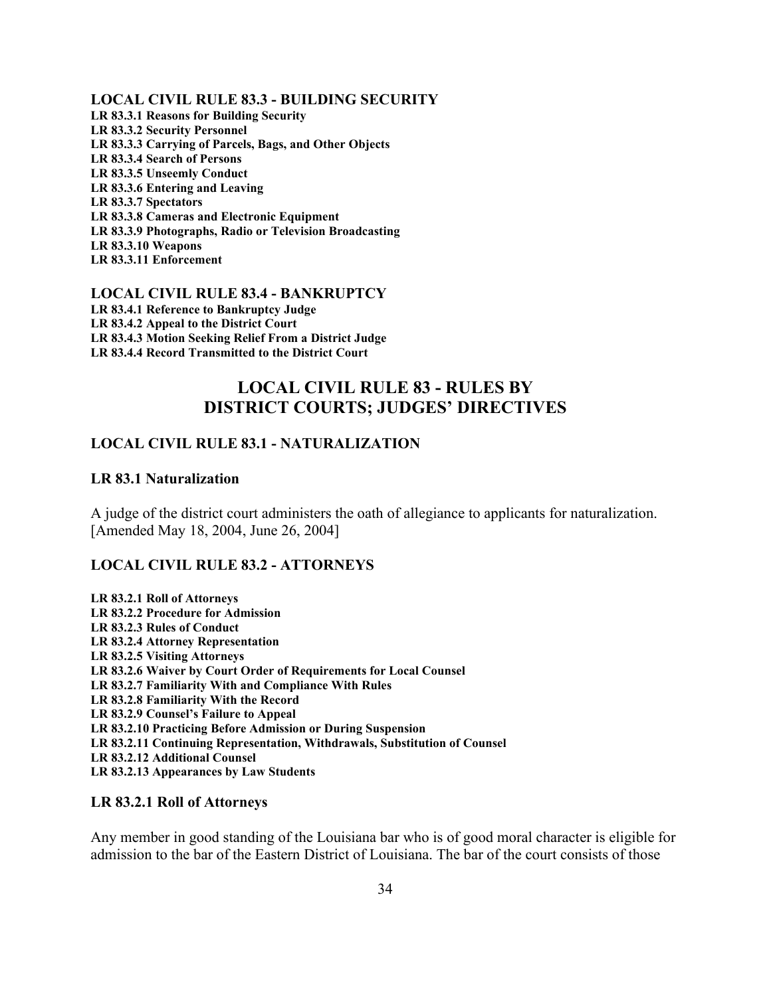**LOCAL CIVIL RULE 83.3 - BUILDING SECURITY LR 83.3.1 Reasons for Building Security LR 83.3.2 Security Personnel LR 83.3.3 Carrying of Parcels, Bags, and Other Objects LR 83.3.4 Search of Persons LR 83.3.5 Unseemly Conduct LR 83.3.6 Entering and Leaving LR 83.3.7 Spectators LR 83.3.8 Cameras and Electronic Equipment LR 83.3.9 Photographs, Radio or Television Broadcasting LR 83.3.10 Weapons LR 83.3.11 Enforcement**

**LOCAL CIVIL RULE 83.4 - BANKRUPTCY LR 83.4.1 Reference to Bankruptcy Judge LR 83.4.2 Appeal to the District Court LR 83.4.3 Motion Seeking Relief From a District Judge LR 83.4.4 Record Transmitted to the District Court**

## **LOCAL CIVIL RULE 83 - RULES BY DISTRICT COURTS; JUDGES' DIRECTIVES**

### <span id="page-33-1"></span><span id="page-33-0"></span>**LOCAL CIVIL RULE 83.1 - NATURALIZATION**

#### <span id="page-33-2"></span>**LR 83.1 Naturalization**

A judge of the district court administers the oath of allegiance to applicants for naturalization. [Amended May 18, 2004, June 26, 2004]

#### <span id="page-33-3"></span>**LOCAL CIVIL RULE 83.2 - ATTORNEYS**

**LR 83.2.1 Roll of Attorneys LR 83.2.2 Procedure for Admission LR 83.2.3 Rules of Conduct LR 83.2.4 Attorney Representation LR 83.2.5 Visiting Attorneys LR 83.2.6 Waiver by Court Order of Requirements for Local Counsel LR 83.2.7 Familiarity With and Compliance With Rules LR 83.2.8 Familiarity With the Record LR 83.2.9 Counsel's Failure to Appeal LR 83.2.10 Practicing Before Admission or During Suspension LR 83.2.11 Continuing Representation, Withdrawals, Substitution of Counsel LR 83.2.12 Additional Counsel LR 83.2.13 Appearances by Law Students**

#### <span id="page-33-4"></span>**LR 83.2.1 Roll of Attorneys**

Any member in good standing of the Louisiana bar who is of good moral character is eligible for admission to the bar of the Eastern District of Louisiana. The bar of the court consists of those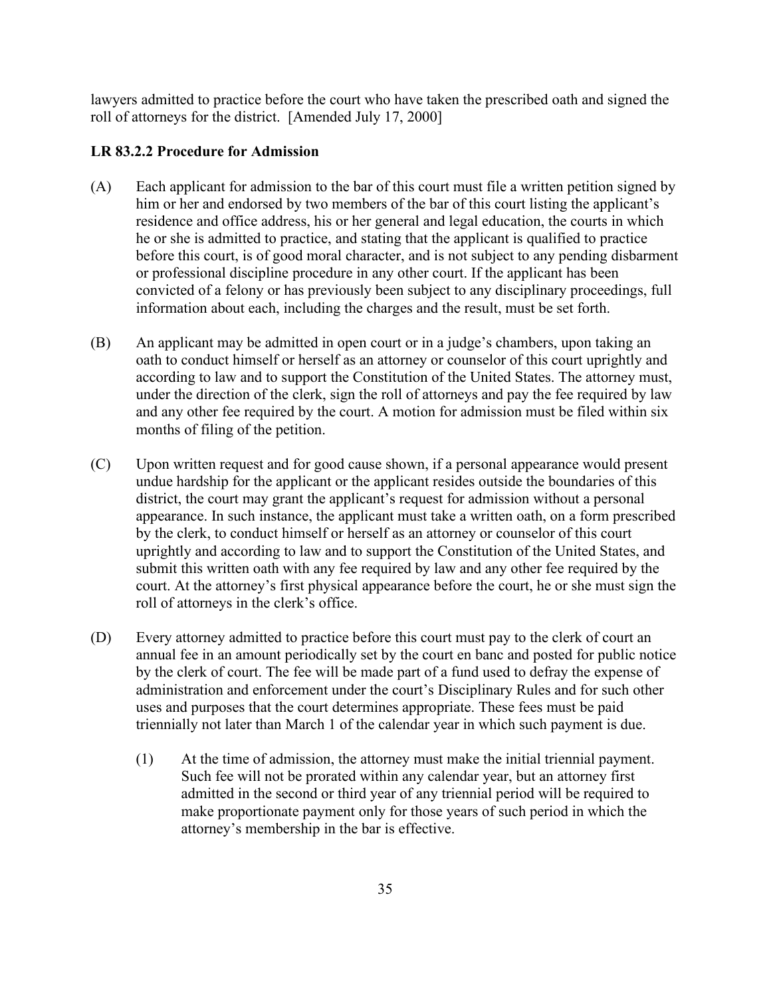lawyers admitted to practice before the court who have taken the prescribed oath and signed the roll of attorneys for the district. [Amended July 17, 2000]

#### <span id="page-34-0"></span>**LR 83.2.2 Procedure for Admission**

- (A) Each applicant for admission to the bar of this court must file a written petition signed by him or her and endorsed by two members of the bar of this court listing the applicant's residence and office address, his or her general and legal education, the courts in which he or she is admitted to practice, and stating that the applicant is qualified to practice before this court, is of good moral character, and is not subject to any pending disbarment or professional discipline procedure in any other court. If the applicant has been convicted of a felony or has previously been subject to any disciplinary proceedings, full information about each, including the charges and the result, must be set forth.
- (B) An applicant may be admitted in open court or in a judge's chambers, upon taking an oath to conduct himself or herself as an attorney or counselor of this court uprightly and according to law and to support the Constitution of the United States. The attorney must, under the direction of the clerk, sign the roll of attorneys and pay the fee required by law and any other fee required by the court. A motion for admission must be filed within six months of filing of the petition.
- (C) Upon written request and for good cause shown, if a personal appearance would present undue hardship for the applicant or the applicant resides outside the boundaries of this district, the court may grant the applicant's request for admission without a personal appearance. In such instance, the applicant must take a written oath, on a form prescribed by the clerk, to conduct himself or herself as an attorney or counselor of this court uprightly and according to law and to support the Constitution of the United States, and submit this written oath with any fee required by law and any other fee required by the court. At the attorney's first physical appearance before the court, he or she must sign the roll of attorneys in the clerk's office.
- (D) Every attorney admitted to practice before this court must pay to the clerk of court an annual fee in an amount periodically set by the court en banc and posted for public notice by the clerk of court. The fee will be made part of a fund used to defray the expense of administration and enforcement under the court's Disciplinary Rules and for such other uses and purposes that the court determines appropriate. These fees must be paid triennially not later than March 1 of the calendar year in which such payment is due.
	- (1) At the time of admission, the attorney must make the initial triennial payment. Such fee will not be prorated within any calendar year, but an attorney first admitted in the second or third year of any triennial period will be required to make proportionate payment only for those years of such period in which the attorney's membership in the bar is effective.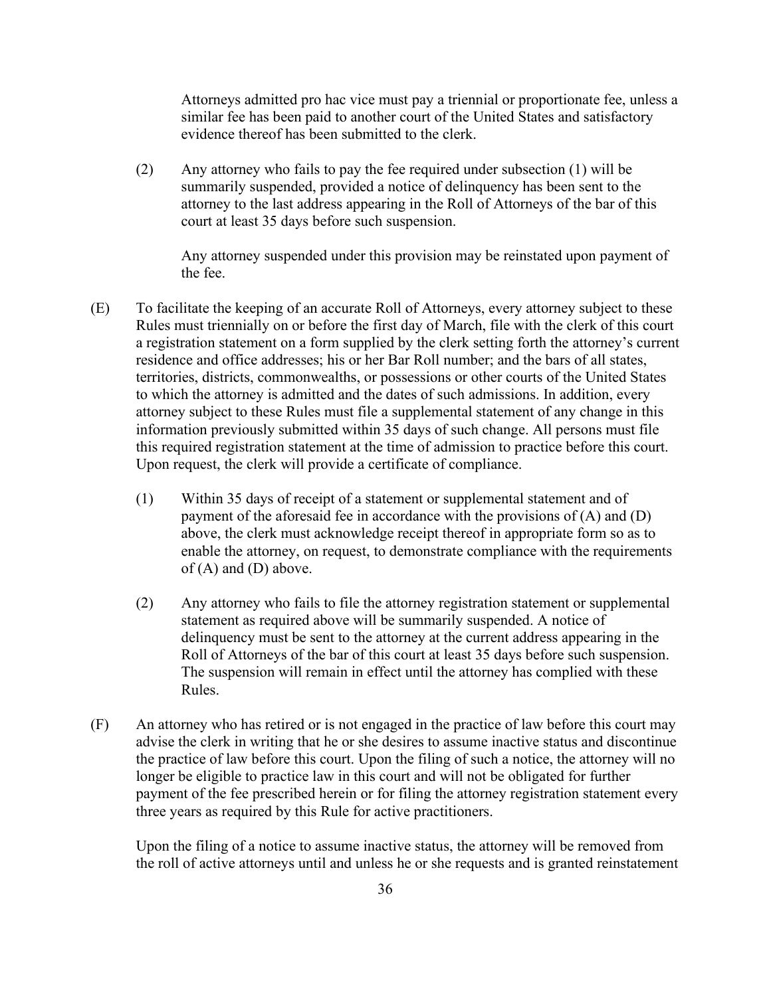Attorneys admitted pro hac vice must pay a triennial or proportionate fee, unless a similar fee has been paid to another court of the United States and satisfactory evidence thereof has been submitted to the clerk.

(2) Any attorney who fails to pay the fee required under subsection (1) will be summarily suspended, provided a notice of delinquency has been sent to the attorney to the last address appearing in the Roll of Attorneys of the bar of this court at least 35 days before such suspension.

Any attorney suspended under this provision may be reinstated upon payment of the fee.

- (E) To facilitate the keeping of an accurate Roll of Attorneys, every attorney subject to these Rules must triennially on or before the first day of March, file with the clerk of this court a registration statement on a form supplied by the clerk setting forth the attorney's current residence and office addresses; his or her Bar Roll number; and the bars of all states, territories, districts, commonwealths, or possessions or other courts of the United States to which the attorney is admitted and the dates of such admissions. In addition, every attorney subject to these Rules must file a supplemental statement of any change in this information previously submitted within 35 days of such change. All persons must file this required registration statement at the time of admission to practice before this court. Upon request, the clerk will provide a certificate of compliance.
	- (1) Within 35 days of receipt of a statement or supplemental statement and of payment of the aforesaid fee in accordance with the provisions of (A) and (D) above, the clerk must acknowledge receipt thereof in appropriate form so as to enable the attorney, on request, to demonstrate compliance with the requirements of  $(A)$  and  $(D)$  above.
	- (2) Any attorney who fails to file the attorney registration statement or supplemental statement as required above will be summarily suspended. A notice of delinquency must be sent to the attorney at the current address appearing in the Roll of Attorneys of the bar of this court at least 35 days before such suspension. The suspension will remain in effect until the attorney has complied with these Rules.
- (F) An attorney who has retired or is not engaged in the practice of law before this court may advise the clerk in writing that he or she desires to assume inactive status and discontinue the practice of law before this court. Upon the filing of such a notice, the attorney will no longer be eligible to practice law in this court and will not be obligated for further payment of the fee prescribed herein or for filing the attorney registration statement every three years as required by this Rule for active practitioners.

Upon the filing of a notice to assume inactive status, the attorney will be removed from the roll of active attorneys until and unless he or she requests and is granted reinstatement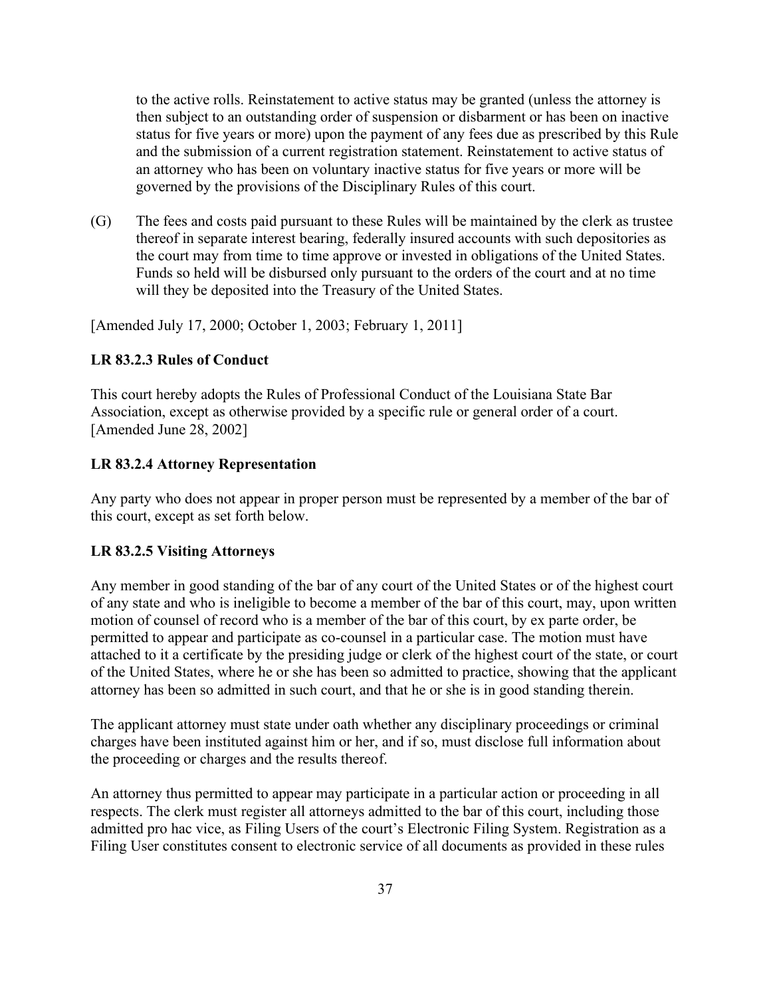to the active rolls. Reinstatement to active status may be granted (unless the attorney is then subject to an outstanding order of suspension or disbarment or has been on inactive status for five years or more) upon the payment of any fees due as prescribed by this Rule and the submission of a current registration statement. Reinstatement to active status of an attorney who has been on voluntary inactive status for five years or more will be governed by the provisions of the Disciplinary Rules of this court.

(G) The fees and costs paid pursuant to these Rules will be maintained by the clerk as trustee thereof in separate interest bearing, federally insured accounts with such depositories as the court may from time to time approve or invested in obligations of the United States. Funds so held will be disbursed only pursuant to the orders of the court and at no time will they be deposited into the Treasury of the United States.

[Amended July 17, 2000; October 1, 2003; February 1, 2011]

### <span id="page-36-0"></span>**LR 83.2.3 Rules of Conduct**

This court hereby adopts the Rules of Professional Conduct of the Louisiana State Bar Association, except as otherwise provided by a specific rule or general order of a court. [Amended June 28, 2002]

#### <span id="page-36-1"></span>**LR 83.2.4 Attorney Representation**

Any party who does not appear in proper person must be represented by a member of the bar of this court, except as set forth below.

#### <span id="page-36-2"></span>**LR 83.2.5 Visiting Attorneys**

Any member in good standing of the bar of any court of the United States or of the highest court of any state and who is ineligible to become a member of the bar of this court, may, upon written motion of counsel of record who is a member of the bar of this court, by ex parte order, be permitted to appear and participate as co-counsel in a particular case. The motion must have attached to it a certificate by the presiding judge or clerk of the highest court of the state, or court of the United States, where he or she has been so admitted to practice, showing that the applicant attorney has been so admitted in such court, and that he or she is in good standing therein.

The applicant attorney must state under oath whether any disciplinary proceedings or criminal charges have been instituted against him or her, and if so, must disclose full information about the proceeding or charges and the results thereof.

An attorney thus permitted to appear may participate in a particular action or proceeding in all respects. The clerk must register all attorneys admitted to the bar of this court, including those admitted pro hac vice, as Filing Users of the court's Electronic Filing System. Registration as a Filing User constitutes consent to electronic service of all documents as provided in these rules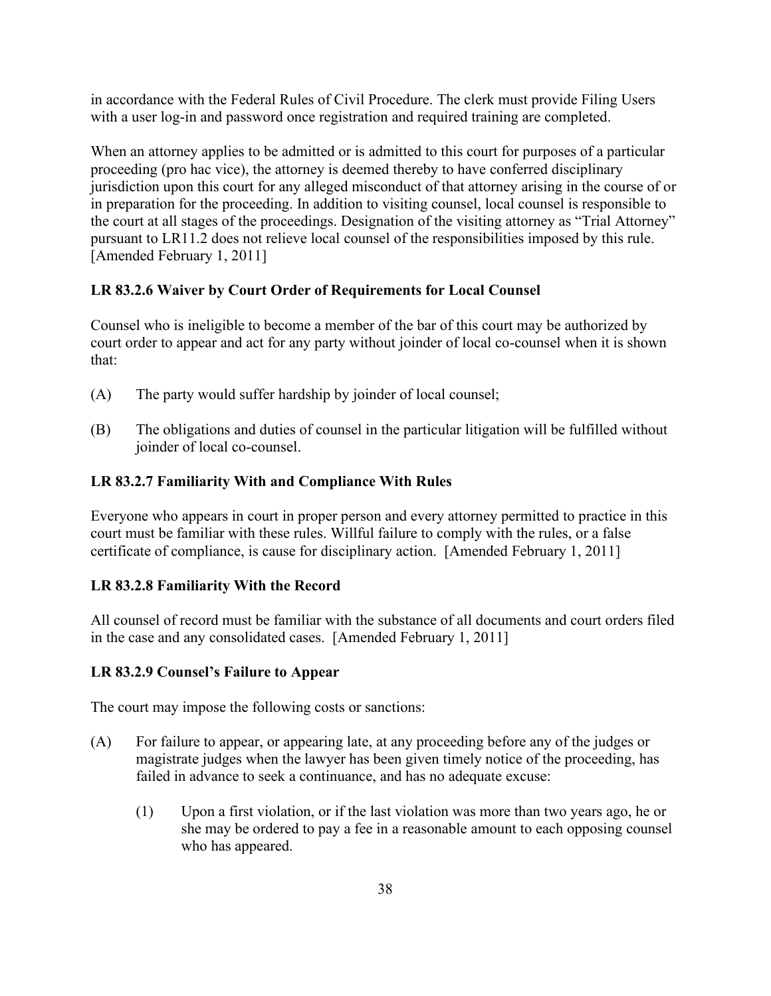in accordance with the Federal Rules of Civil Procedure. The clerk must provide Filing Users with a user log-in and password once registration and required training are completed.

When an attorney applies to be admitted or is admitted to this court for purposes of a particular proceeding (pro hac vice), the attorney is deemed thereby to have conferred disciplinary jurisdiction upon this court for any alleged misconduct of that attorney arising in the course of or in preparation for the proceeding. In addition to visiting counsel, local counsel is responsible to the court at all stages of the proceedings. Designation of the visiting attorney as "Trial Attorney" pursuant to LR11.2 does not relieve local counsel of the responsibilities imposed by this rule. [Amended February 1, 2011]

## <span id="page-37-0"></span>**LR 83.2.6 Waiver by Court Order of Requirements for Local Counsel**

Counsel who is ineligible to become a member of the bar of this court may be authorized by court order to appear and act for any party without joinder of local co-counsel when it is shown that:

- (A) The party would suffer hardship by joinder of local counsel;
- (B) The obligations and duties of counsel in the particular litigation will be fulfilled without joinder of local co-counsel.

## <span id="page-37-1"></span>**LR 83.2.7 Familiarity With and Compliance With Rules**

Everyone who appears in court in proper person and every attorney permitted to practice in this court must be familiar with these rules. Willful failure to comply with the rules, or a false certificate of compliance, is cause for disciplinary action. [Amended February 1, 2011]

## <span id="page-37-2"></span>**LR 83.2.8 Familiarity With the Record**

All counsel of record must be familiar with the substance of all documents and court orders filed in the case and any consolidated cases. [Amended February 1, 2011]

## <span id="page-37-3"></span>**LR 83.2.9 Counsel's Failure to Appear**

The court may impose the following costs or sanctions:

- (A) For failure to appear, or appearing late, at any proceeding before any of the judges or magistrate judges when the lawyer has been given timely notice of the proceeding, has failed in advance to seek a continuance, and has no adequate excuse:
	- (1) Upon a first violation, or if the last violation was more than two years ago, he or she may be ordered to pay a fee in a reasonable amount to each opposing counsel who has appeared.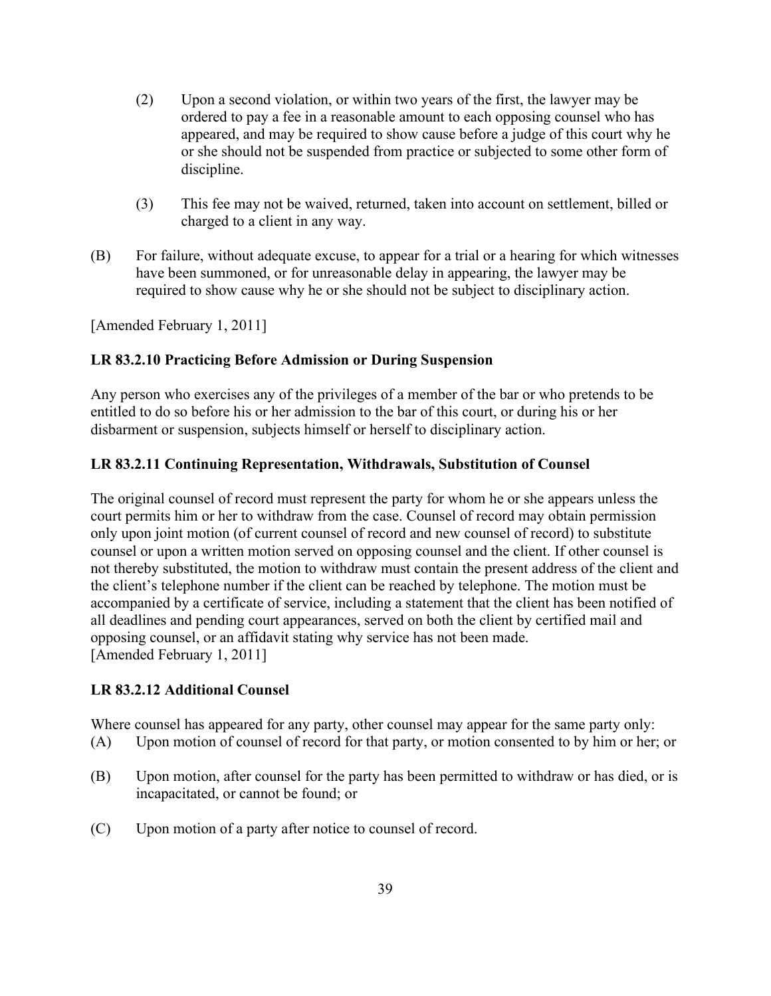- (2) Upon a second violation, or within two years of the first, the lawyer may be ordered to pay a fee in a reasonable amount to each opposing counsel who has appeared, and may be required to show cause before a judge of this court why he or she should not be suspended from practice or subjected to some other form of discipline.
- (3) This fee may not be waived, returned, taken into account on settlement, billed or charged to a client in any way.
- (B) For failure, without adequate excuse, to appear for a trial or a hearing for which witnesses have been summoned, or for unreasonable delay in appearing, the lawyer may be required to show cause why he or she should not be subject to disciplinary action.

[Amended February 1, 2011]

### <span id="page-38-0"></span>**LR 83.2.10 Practicing Before Admission or During Suspension**

Any person who exercises any of the privileges of a member of the bar or who pretends to be entitled to do so before his or her admission to the bar of this court, or during his or her disbarment or suspension, subjects himself or herself to disciplinary action.

### <span id="page-38-1"></span>**LR 83.2.11 Continuing Representation, Withdrawals, Substitution of Counsel**

The original counsel of record must represent the party for whom he or she appears unless the court permits him or her to withdraw from the case. Counsel of record may obtain permission only upon joint motion (of current counsel of record and new counsel of record) to substitute counsel or upon a written motion served on opposing counsel and the client. If other counsel is not thereby substituted, the motion to withdraw must contain the present address of the client and the client's telephone number if the client can be reached by telephone. The motion must be accompanied by a certificate of service, including a statement that the client has been notified of all deadlines and pending court appearances, served on both the client by certified mail and opposing counsel, or an affidavit stating why service has not been made. [Amended February 1, 2011]

#### <span id="page-38-2"></span>**LR 83.2.12 Additional Counsel**

Where counsel has appeared for any party, other counsel may appear for the same party only: (A) Upon motion of counsel of record for that party, or motion consented to by him or her; or

- (B) Upon motion, after counsel for the party has been permitted to withdraw or has died, or is incapacitated, or cannot be found; or
- (C) Upon motion of a party after notice to counsel of record.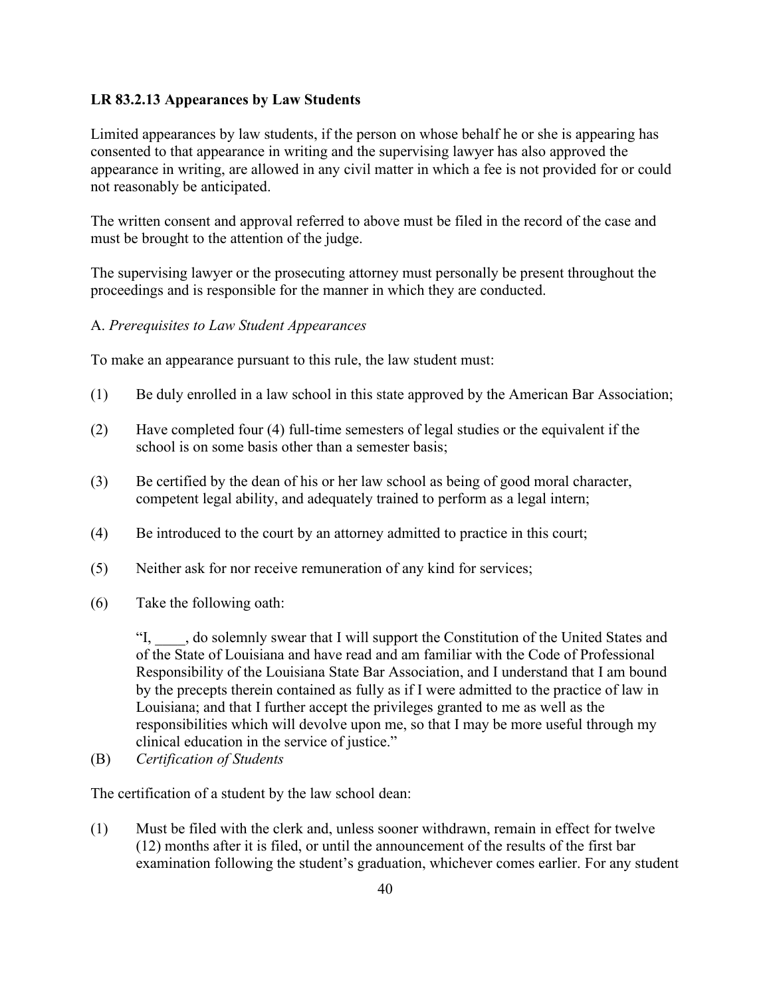### <span id="page-39-0"></span>**LR 83.2.13 Appearances by Law Students**

Limited appearances by law students, if the person on whose behalf he or she is appearing has consented to that appearance in writing and the supervising lawyer has also approved the appearance in writing, are allowed in any civil matter in which a fee is not provided for or could not reasonably be anticipated.

The written consent and approval referred to above must be filed in the record of the case and must be brought to the attention of the judge.

The supervising lawyer or the prosecuting attorney must personally be present throughout the proceedings and is responsible for the manner in which they are conducted.

#### A. *Prerequisites to Law Student Appearances*

To make an appearance pursuant to this rule, the law student must:

- (1) Be duly enrolled in a law school in this state approved by the American Bar Association;
- (2) Have completed four (4) full-time semesters of legal studies or the equivalent if the school is on some basis other than a semester basis;
- (3) Be certified by the dean of his or her law school as being of good moral character, competent legal ability, and adequately trained to perform as a legal intern;
- (4) Be introduced to the court by an attorney admitted to practice in this court;
- (5) Neither ask for nor receive remuneration of any kind for services;
- (6) Take the following oath:

"I, \_\_\_\_, do solemnly swear that I will support the Constitution of the United States and of the State of Louisiana and have read and am familiar with the Code of Professional Responsibility of the Louisiana State Bar Association, and I understand that I am bound by the precepts therein contained as fully as if I were admitted to the practice of law in Louisiana; and that I further accept the privileges granted to me as well as the responsibilities which will devolve upon me, so that I may be more useful through my clinical education in the service of justice."

(B) *Certification of Students*

The certification of a student by the law school dean:

(1) Must be filed with the clerk and, unless sooner withdrawn, remain in effect for twelve (12) months after it is filed, or until the announcement of the results of the first bar examination following the student's graduation, whichever comes earlier. For any student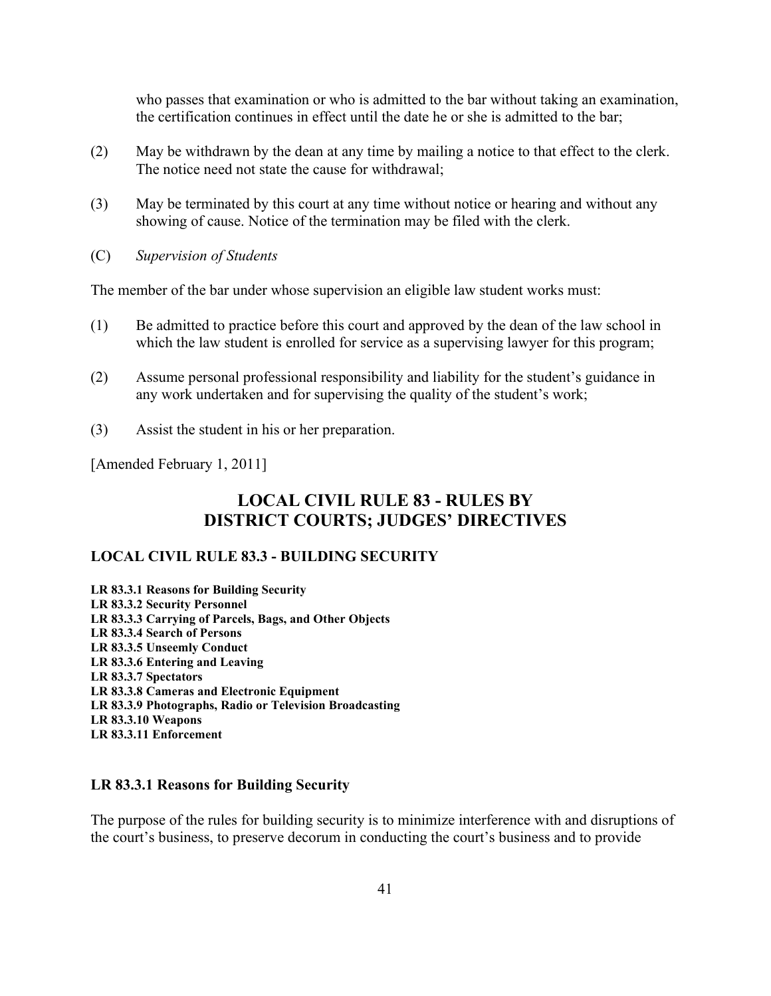who passes that examination or who is admitted to the bar without taking an examination, the certification continues in effect until the date he or she is admitted to the bar;

- (2) May be withdrawn by the dean at any time by mailing a notice to that effect to the clerk. The notice need not state the cause for withdrawal;
- (3) May be terminated by this court at any time without notice or hearing and without any showing of cause. Notice of the termination may be filed with the clerk.
- (C) *Supervision of Students*

The member of the bar under whose supervision an eligible law student works must:

- (1) Be admitted to practice before this court and approved by the dean of the law school in which the law student is enrolled for service as a supervising lawyer for this program;
- (2) Assume personal professional responsibility and liability for the student's guidance in any work undertaken and for supervising the quality of the student's work;
- (3) Assist the student in his or her preparation.

[Amended February 1, 2011]

## **LOCAL CIVIL RULE 83 - RULES BY DISTRICT COURTS; JUDGES' DIRECTIVES**

## <span id="page-40-0"></span>**LOCAL CIVIL RULE 83.3 - BUILDING SECURITY**

**LR 83.3.1 Reasons for Building Security LR 83.3.2 Security Personnel LR 83.3.3 Carrying of Parcels, Bags, and Other Objects LR 83.3.4 Search of Persons LR 83.3.5 Unseemly Conduct LR 83.3.6 Entering and Leaving LR 83.3.7 Spectators LR 83.3.8 Cameras and Electronic Equipment LR 83.3.9 Photographs, Radio or Television Broadcasting LR 83.3.10 Weapons LR 83.3.11 Enforcement**

### <span id="page-40-1"></span>**LR 83.3.1 Reasons for Building Security**

The purpose of the rules for building security is to minimize interference with and disruptions of the court's business, to preserve decorum in conducting the court's business and to provide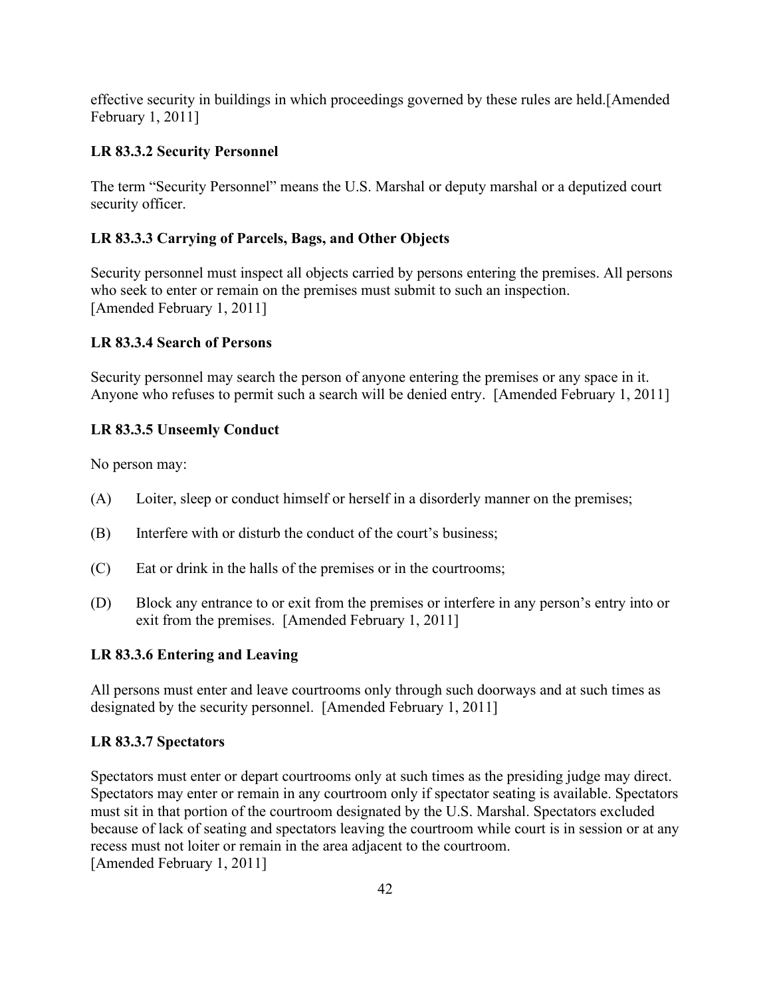effective security in buildings in which proceedings governed by these rules are held.[Amended February 1, 2011]

## <span id="page-41-0"></span>**LR 83.3.2 Security Personnel**

The term "Security Personnel" means the U.S. Marshal or deputy marshal or a deputized court security officer.

## <span id="page-41-1"></span>**LR 83.3.3 Carrying of Parcels, Bags, and Other Objects**

Security personnel must inspect all objects carried by persons entering the premises. All persons who seek to enter or remain on the premises must submit to such an inspection. [Amended February 1, 2011]

## <span id="page-41-2"></span>**LR 83.3.4 Search of Persons**

Security personnel may search the person of anyone entering the premises or any space in it. Anyone who refuses to permit such a search will be denied entry. [Amended February 1, 2011]

## <span id="page-41-3"></span>**LR 83.3.5 Unseemly Conduct**

No person may:

- (A) Loiter, sleep or conduct himself or herself in a disorderly manner on the premises;
- (B) Interfere with or disturb the conduct of the court's business;
- (C) Eat or drink in the halls of the premises or in the courtrooms;
- (D) Block any entrance to or exit from the premises or interfere in any person's entry into or exit from the premises. [Amended February 1, 2011]

#### <span id="page-41-4"></span>**LR 83.3.6 Entering and Leaving**

All persons must enter and leave courtrooms only through such doorways and at such times as designated by the security personnel. [Amended February 1, 2011]

#### <span id="page-41-5"></span>**LR 83.3.7 Spectators**

Spectators must enter or depart courtrooms only at such times as the presiding judge may direct. Spectators may enter or remain in any courtroom only if spectator seating is available. Spectators must sit in that portion of the courtroom designated by the U.S. Marshal. Spectators excluded because of lack of seating and spectators leaving the courtroom while court is in session or at any recess must not loiter or remain in the area adjacent to the courtroom. [Amended February 1, 2011]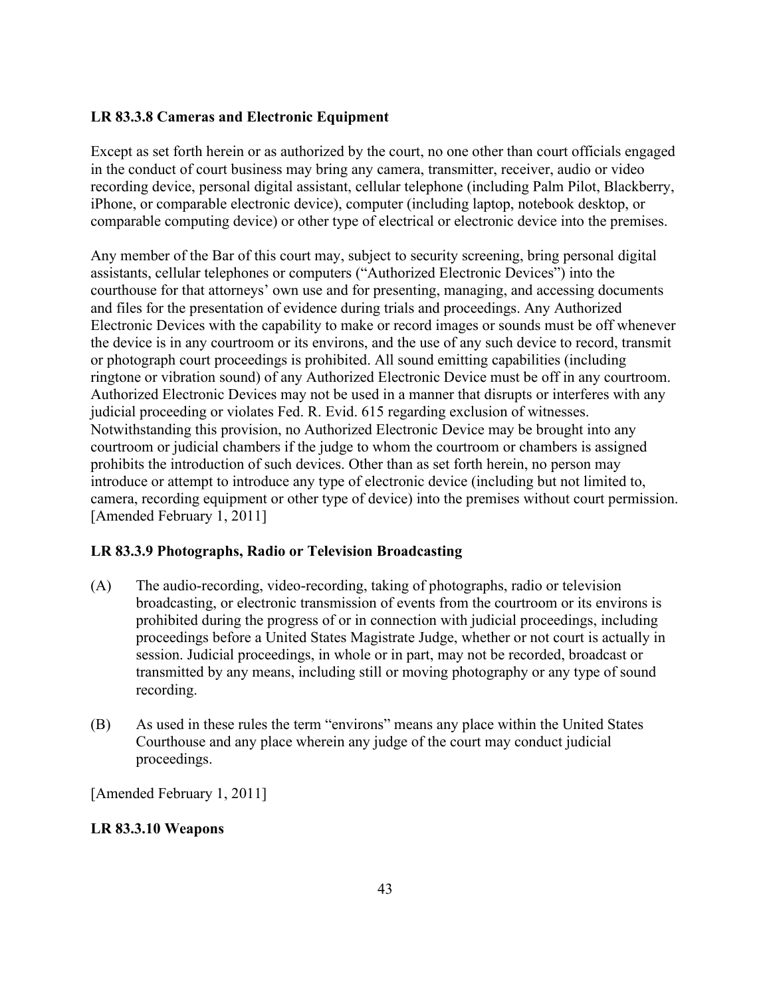## <span id="page-42-0"></span>**LR 83.3.8 Cameras and Electronic Equipment**

Except as set forth herein or as authorized by the court, no one other than court officials engaged in the conduct of court business may bring any camera, transmitter, receiver, audio or video recording device, personal digital assistant, cellular telephone (including Palm Pilot, Blackberry, iPhone, or comparable electronic device), computer (including laptop, notebook desktop, or comparable computing device) or other type of electrical or electronic device into the premises.

Any member of the Bar of this court may, subject to security screening, bring personal digital assistants, cellular telephones or computers ("Authorized Electronic Devices") into the courthouse for that attorneys' own use and for presenting, managing, and accessing documents and files for the presentation of evidence during trials and proceedings. Any Authorized Electronic Devices with the capability to make or record images or sounds must be off whenever the device is in any courtroom or its environs, and the use of any such device to record, transmit or photograph court proceedings is prohibited. All sound emitting capabilities (including ringtone or vibration sound) of any Authorized Electronic Device must be off in any courtroom. Authorized Electronic Devices may not be used in a manner that disrupts or interferes with any judicial proceeding or violates Fed. R. Evid. 615 regarding exclusion of witnesses. Notwithstanding this provision, no Authorized Electronic Device may be brought into any courtroom or judicial chambers if the judge to whom the courtroom or chambers is assigned prohibits the introduction of such devices. Other than as set forth herein, no person may introduce or attempt to introduce any type of electronic device (including but not limited to, camera, recording equipment or other type of device) into the premises without court permission. [Amended February 1, 2011]

## <span id="page-42-1"></span>**LR 83.3.9 Photographs, Radio or Television Broadcasting**

- (A) The audio-recording, video-recording, taking of photographs, radio or television broadcasting, or electronic transmission of events from the courtroom or its environs is prohibited during the progress of or in connection with judicial proceedings, including proceedings before a United States Magistrate Judge, whether or not court is actually in session. Judicial proceedings, in whole or in part, may not be recorded, broadcast or transmitted by any means, including still or moving photography or any type of sound recording.
- (B) As used in these rules the term "environs" means any place within the United States Courthouse and any place wherein any judge of the court may conduct judicial proceedings.

[Amended February 1, 2011]

## <span id="page-42-2"></span>**LR 83.3.10 Weapons**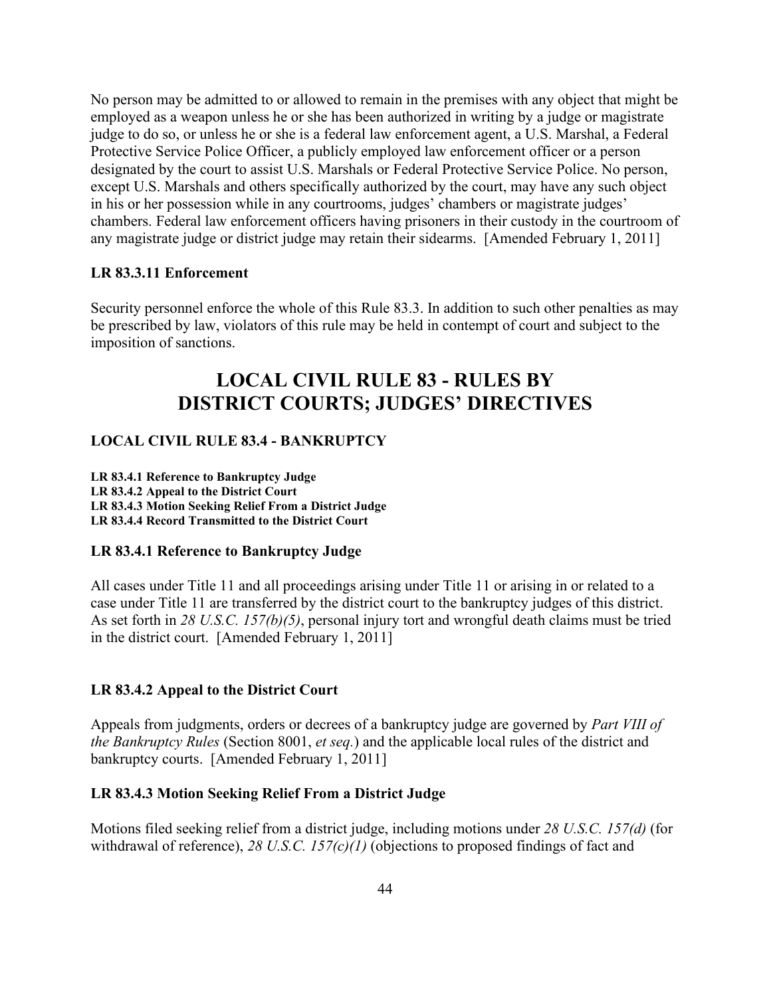No person may be admitted to or allowed to remain in the premises with any object that might be employed as a weapon unless he or she has been authorized in writing by a judge or magistrate judge to do so, or unless he or she is a federal law enforcement agent, a U.S. Marshal, a Federal Protective Service Police Officer, a publicly employed law enforcement officer or a person designated by the court to assist U.S. Marshals or Federal Protective Service Police. No person, except U.S. Marshals and others specifically authorized by the court, may have any such object in his or her possession while in any courtrooms, judges' chambers or magistrate judges' chambers. Federal law enforcement officers having prisoners in their custody in the courtroom of any magistrate judge or district judge may retain their sidearms. [Amended February 1, 2011]

#### <span id="page-43-0"></span>**LR 83.3.11 Enforcement**

Security personnel enforce the whole of this Rule 83.3. In addition to such other penalties as may be prescribed by law, violators of this rule may be held in contempt of court and subject to the imposition of sanctions.

## **LOCAL CIVIL RULE 83 - RULES BY DISTRICT COURTS; JUDGES' DIRECTIVES**

#### <span id="page-43-1"></span>**LOCAL CIVIL RULE 83.4 - BANKRUPTCY**

**LR 83.4.1 Reference to Bankruptcy Judge LR 83.4.2 Appeal to the District Court LR 83.4.3 Motion Seeking Relief From a District Judge LR 83.4.4 Record Transmitted to the District Court**

#### <span id="page-43-2"></span>**LR 83.4.1 Reference to Bankruptcy Judge**

All cases under Title 11 and all proceedings arising under Title 11 or arising in or related to a case under Title 11 are transferred by the district court to the bankruptcy judges of this district. As set forth in *28 U.S.C. 157(b)(5)*, personal injury tort and wrongful death claims must be tried in the district court. [Amended February 1, 2011]

#### <span id="page-43-3"></span>**LR 83.4.2 Appeal to the District Court**

Appeals from judgments, orders or decrees of a bankruptcy judge are governed by *Part VIII of the Bankruptcy Rules* (Section 8001, *et seq.*) and the applicable local rules of the district and bankruptcy courts. [Amended February 1, 2011]

#### <span id="page-43-4"></span>**LR 83.4.3 Motion Seeking Relief From a District Judge**

Motions filed seeking relief from a district judge, including motions under *28 U.S.C. 157(d)* (for withdrawal of reference), 28 U.S.C. 157(c)(1) (objections to proposed findings of fact and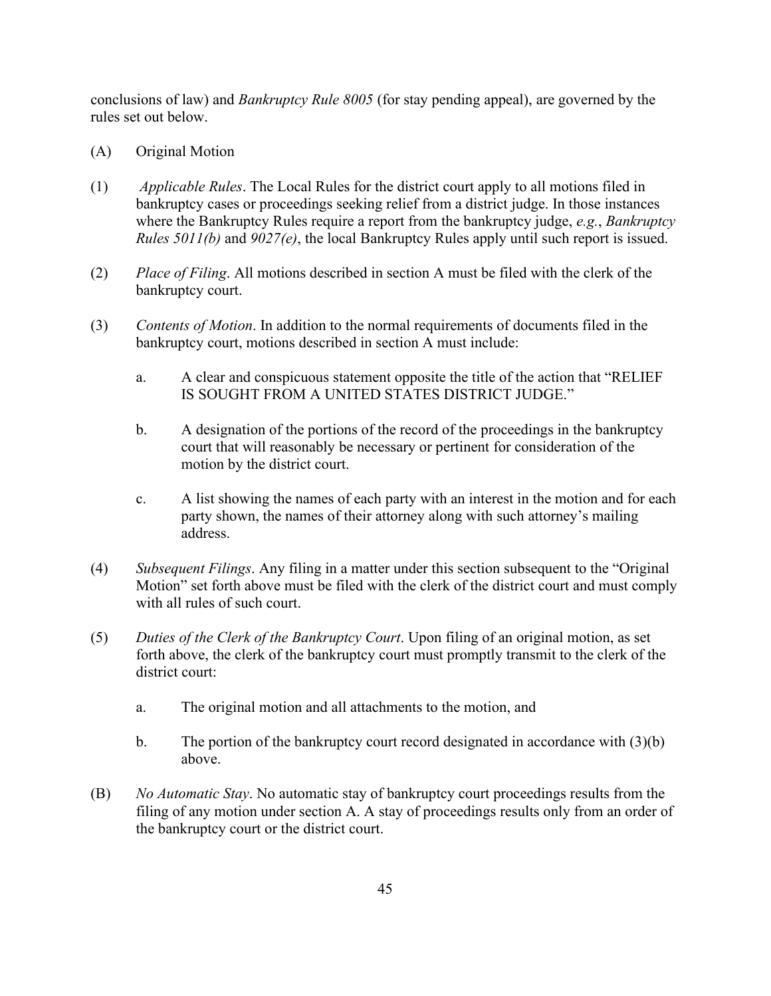conclusions of law) and *Bankruptcy Rule 8005* (for stay pending appeal), are governed by the rules set out below.

- (A) Original Motion
- (1) *Applicable Rules*. The Local Rules for the district court apply to all motions filed in bankruptcy cases or proceedings seeking relief from a district judge. In those instances where the Bankruptcy Rules require a report from the bankruptcy judge, *e.g.*, *Bankruptcy Rules 5011(b)* and *9027(e)*, the local Bankruptcy Rules apply until such report is issued.
- (2) *Place of Filing*. All motions described in section A must be filed with the clerk of the bankruptcy court.
- (3) *Contents of Motion*. In addition to the normal requirements of documents filed in the bankruptcy court, motions described in section A must include:
	- a. A clear and conspicuous statement opposite the title of the action that "RELIEF IS SOUGHT FROM A UNITED STATES DISTRICT JUDGE."
	- b. A designation of the portions of the record of the proceedings in the bankruptcy court that will reasonably be necessary or pertinent for consideration of the motion by the district court.
	- c. A list showing the names of each party with an interest in the motion and for each party shown, the names of their attorney along with such attorney's mailing address.
- (4) *Subsequent Filings*. Any filing in a matter under this section subsequent to the "Original Motion" set forth above must be filed with the clerk of the district court and must comply with all rules of such court.
- (5) *Duties of the Clerk of the Bankruptcy Court*. Upon filing of an original motion, as set forth above, the clerk of the bankruptcy court must promptly transmit to the clerk of the district court:
	- a. The original motion and all attachments to the motion, and
	- b. The portion of the bankruptcy court record designated in accordance with (3)(b) above.
- (B) *No Automatic Stay*. No automatic stay of bankruptcy court proceedings results from the filing of any motion under section A. A stay of proceedings results only from an order of the bankruptcy court or the district court.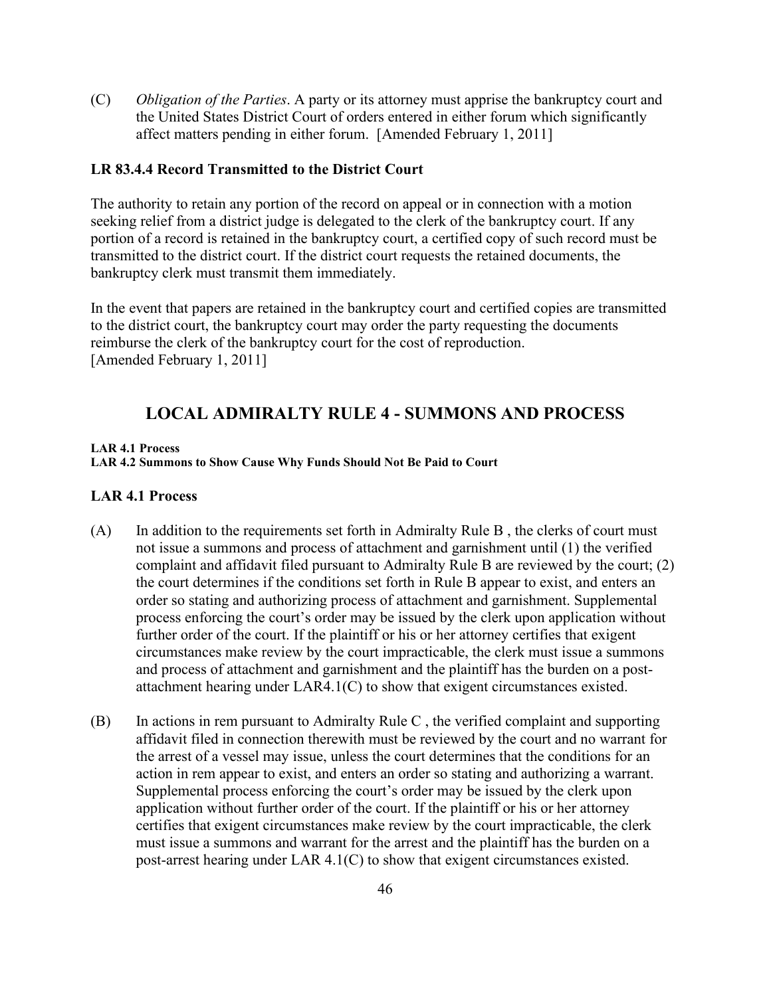(C) *Obligation of the Parties*. A party or its attorney must apprise the bankruptcy court and the United States District Court of orders entered in either forum which significantly affect matters pending in either forum. [Amended February 1, 2011]

## <span id="page-45-0"></span>**LR 83.4.4 Record Transmitted to the District Court**

The authority to retain any portion of the record on appeal or in connection with a motion seeking relief from a district judge is delegated to the clerk of the bankruptcy court. If any portion of a record is retained in the bankruptcy court, a certified copy of such record must be transmitted to the district court. If the district court requests the retained documents, the bankruptcy clerk must transmit them immediately.

In the event that papers are retained in the bankruptcy court and certified copies are transmitted to the district court, the bankruptcy court may order the party requesting the documents reimburse the clerk of the bankruptcy court for the cost of reproduction. [Amended February 1, 2011]

## **LOCAL ADMIRALTY RULE 4 - SUMMONS AND PROCESS**

#### <span id="page-45-1"></span>**LAR 4.1 Process**

#### **LAR 4.2 Summons to Show Cause Why Funds Should Not Be Paid to Court**

#### <span id="page-45-2"></span>**LAR 4.1 Process**

- (A) In addition to the requirements set forth in Admiralty Rule B , the clerks of court must not issue a summons and process of attachment and garnishment until (1) the verified complaint and affidavit filed pursuant to Admiralty Rule B are reviewed by the court; (2) the court determines if the conditions set forth in Rule B appear to exist, and enters an order so stating and authorizing process of attachment and garnishment. Supplemental process enforcing the court's order may be issued by the clerk upon application without further order of the court. If the plaintiff or his or her attorney certifies that exigent circumstances make review by the court impracticable, the clerk must issue a summons and process of attachment and garnishment and the plaintiff has the burden on a postattachment hearing under LAR4.1(C) to show that exigent circumstances existed.
- (B) In actions in rem pursuant to Admiralty Rule C , the verified complaint and supporting affidavit filed in connection therewith must be reviewed by the court and no warrant for the arrest of a vessel may issue, unless the court determines that the conditions for an action in rem appear to exist, and enters an order so stating and authorizing a warrant. Supplemental process enforcing the court's order may be issued by the clerk upon application without further order of the court. If the plaintiff or his or her attorney certifies that exigent circumstances make review by the court impracticable, the clerk must issue a summons and warrant for the arrest and the plaintiff has the burden on a post-arrest hearing under LAR 4.1(C) to show that exigent circumstances existed.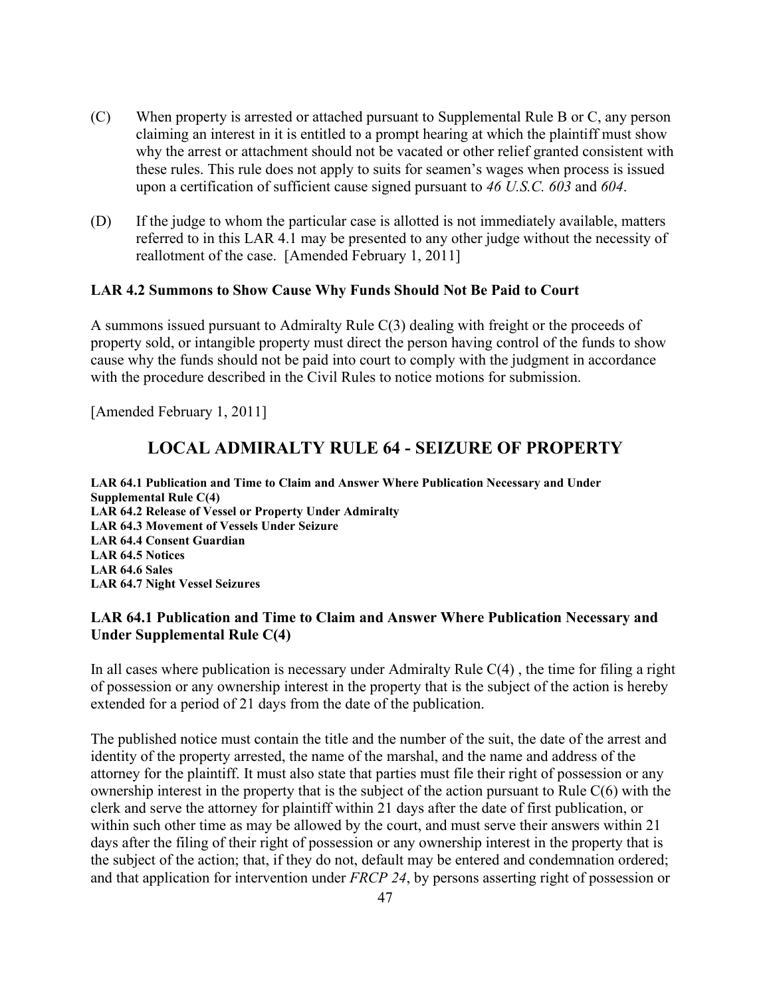- (C) When property is arrested or attached pursuant to Supplemental Rule B or C, any person claiming an interest in it is entitled to a prompt hearing at which the plaintiff must show why the arrest or attachment should not be vacated or other relief granted consistent with these rules. This rule does not apply to suits for seamen's wages when process is issued upon a certification of sufficient cause signed pursuant to *46 U.S.C. 603* and *604*.
- (D) If the judge to whom the particular case is allotted is not immediately available, matters referred to in this LAR 4.1 may be presented to any other judge without the necessity of reallotment of the case. [Amended February 1, 2011]

### <span id="page-46-0"></span>**LAR 4.2 Summons to Show Cause Why Funds Should Not Be Paid to Court**

A summons issued pursuant to Admiralty Rule C(3) dealing with freight or the proceeds of property sold, or intangible property must direct the person having control of the funds to show cause why the funds should not be paid into court to comply with the judgment in accordance with the procedure described in the Civil Rules to notice motions for submission.

<span id="page-46-1"></span>[Amended February 1, 2011]

## **LOCAL ADMIRALTY RULE 64 - SEIZURE OF PROPERTY**

**LAR 64.1 Publication and Time to Claim and Answer Where Publication Necessary and Under Supplemental Rule C(4) LAR 64.2 Release of Vessel or Property Under Admiralty LAR 64.3 Movement of Vessels Under Seizure LAR 64.4 Consent Guardian LAR 64.5 Notices LAR 64.6 Sales LAR 64.7 Night Vessel Seizures**

### <span id="page-46-2"></span>**LAR 64.1 Publication and Time to Claim and Answer Where Publication Necessary and Under Supplemental Rule C(4)**

In all cases where publication is necessary under Admiralty Rule C(4) , the time for filing a right of possession or any ownership interest in the property that is the subject of the action is hereby extended for a period of 21 days from the date of the publication.

The published notice must contain the title and the number of the suit, the date of the arrest and identity of the property arrested, the name of the marshal, and the name and address of the attorney for the plaintiff. It must also state that parties must file their right of possession or any ownership interest in the property that is the subject of the action pursuant to Rule C(6) with the clerk and serve the attorney for plaintiff within 21 days after the date of first publication, or within such other time as may be allowed by the court, and must serve their answers within 21 days after the filing of their right of possession or any ownership interest in the property that is the subject of the action; that, if they do not, default may be entered and condemnation ordered; and that application for intervention under *FRCP 24*, by persons asserting right of possession or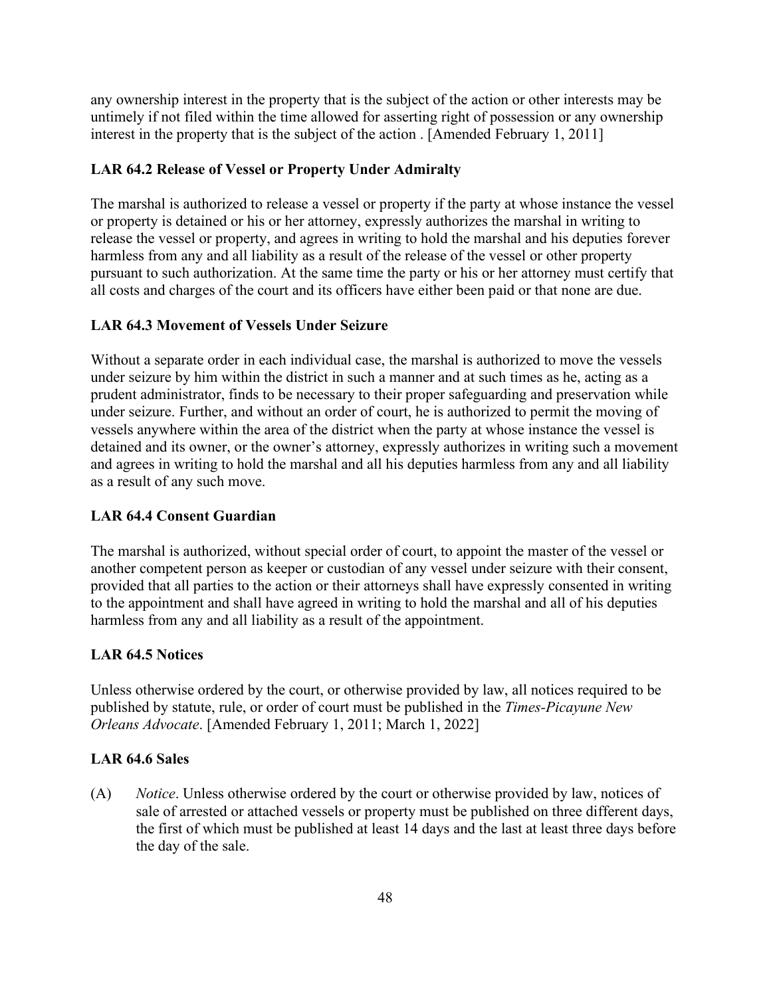any ownership interest in the property that is the subject of the action or other interests may be untimely if not filed within the time allowed for asserting right of possession or any ownership interest in the property that is the subject of the action . [Amended February 1, 2011]

### <span id="page-47-0"></span>**LAR 64.2 Release of Vessel or Property Under Admiralty**

The marshal is authorized to release a vessel or property if the party at whose instance the vessel or property is detained or his or her attorney, expressly authorizes the marshal in writing to release the vessel or property, and agrees in writing to hold the marshal and his deputies forever harmless from any and all liability as a result of the release of the vessel or other property pursuant to such authorization. At the same time the party or his or her attorney must certify that all costs and charges of the court and its officers have either been paid or that none are due.

#### <span id="page-47-1"></span>**LAR 64.3 Movement of Vessels Under Seizure**

Without a separate order in each individual case, the marshal is authorized to move the vessels under seizure by him within the district in such a manner and at such times as he, acting as a prudent administrator, finds to be necessary to their proper safeguarding and preservation while under seizure. Further, and without an order of court, he is authorized to permit the moving of vessels anywhere within the area of the district when the party at whose instance the vessel is detained and its owner, or the owner's attorney, expressly authorizes in writing such a movement and agrees in writing to hold the marshal and all his deputies harmless from any and all liability as a result of any such move.

#### <span id="page-47-2"></span>**LAR 64.4 Consent Guardian**

The marshal is authorized, without special order of court, to appoint the master of the vessel or another competent person as keeper or custodian of any vessel under seizure with their consent, provided that all parties to the action or their attorneys shall have expressly consented in writing to the appointment and shall have agreed in writing to hold the marshal and all of his deputies harmless from any and all liability as a result of the appointment.

#### <span id="page-47-3"></span>**LAR 64.5 Notices**

Unless otherwise ordered by the court, or otherwise provided by law, all notices required to be published by statute, rule, or order of court must be published in the *Times-Picayune New Orleans Advocate*. [Amended February 1, 2011; March 1, 2022]

#### <span id="page-47-4"></span>**LAR 64.6 Sales**

(A) *Notice*. Unless otherwise ordered by the court or otherwise provided by law, notices of sale of arrested or attached vessels or property must be published on three different days, the first of which must be published at least 14 days and the last at least three days before the day of the sale.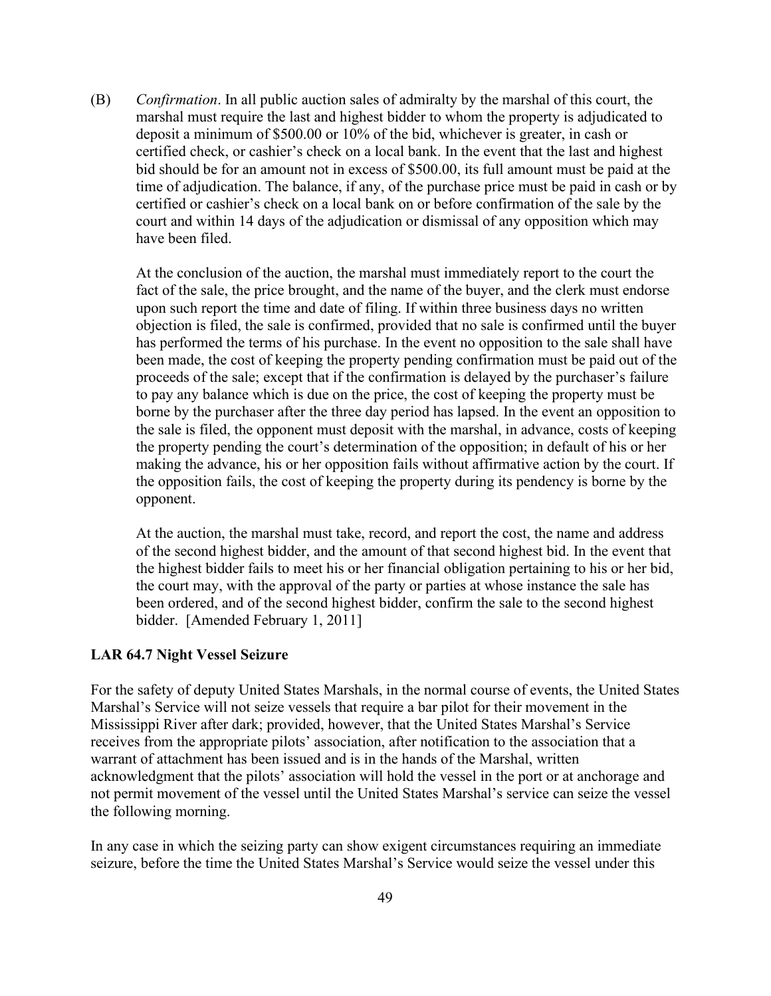(B) *Confirmation*. In all public auction sales of admiralty by the marshal of this court, the marshal must require the last and highest bidder to whom the property is adjudicated to deposit a minimum of \$500.00 or 10% of the bid, whichever is greater, in cash or certified check, or cashier's check on a local bank. In the event that the last and highest bid should be for an amount not in excess of \$500.00, its full amount must be paid at the time of adjudication. The balance, if any, of the purchase price must be paid in cash or by certified or cashier's check on a local bank on or before confirmation of the sale by the court and within 14 days of the adjudication or dismissal of any opposition which may have been filed.

At the conclusion of the auction, the marshal must immediately report to the court the fact of the sale, the price brought, and the name of the buyer, and the clerk must endorse upon such report the time and date of filing. If within three business days no written objection is filed, the sale is confirmed, provided that no sale is confirmed until the buyer has performed the terms of his purchase. In the event no opposition to the sale shall have been made, the cost of keeping the property pending confirmation must be paid out of the proceeds of the sale; except that if the confirmation is delayed by the purchaser's failure to pay any balance which is due on the price, the cost of keeping the property must be borne by the purchaser after the three day period has lapsed. In the event an opposition to the sale is filed, the opponent must deposit with the marshal, in advance, costs of keeping the property pending the court's determination of the opposition; in default of his or her making the advance, his or her opposition fails without affirmative action by the court. If the opposition fails, the cost of keeping the property during its pendency is borne by the opponent.

At the auction, the marshal must take, record, and report the cost, the name and address of the second highest bidder, and the amount of that second highest bid. In the event that the highest bidder fails to meet his or her financial obligation pertaining to his or her bid, the court may, with the approval of the party or parties at whose instance the sale has been ordered, and of the second highest bidder, confirm the sale to the second highest bidder. [Amended February 1, 2011]

#### <span id="page-48-0"></span>**LAR 64.7 Night Vessel Seizure**

For the safety of deputy United States Marshals, in the normal course of events, the United States Marshal's Service will not seize vessels that require a bar pilot for their movement in the Mississippi River after dark; provided, however, that the United States Marshal's Service receives from the appropriate pilots' association, after notification to the association that a warrant of attachment has been issued and is in the hands of the Marshal, written acknowledgment that the pilots' association will hold the vessel in the port or at anchorage and not permit movement of the vessel until the United States Marshal's service can seize the vessel the following morning.

In any case in which the seizing party can show exigent circumstances requiring an immediate seizure, before the time the United States Marshal's Service would seize the vessel under this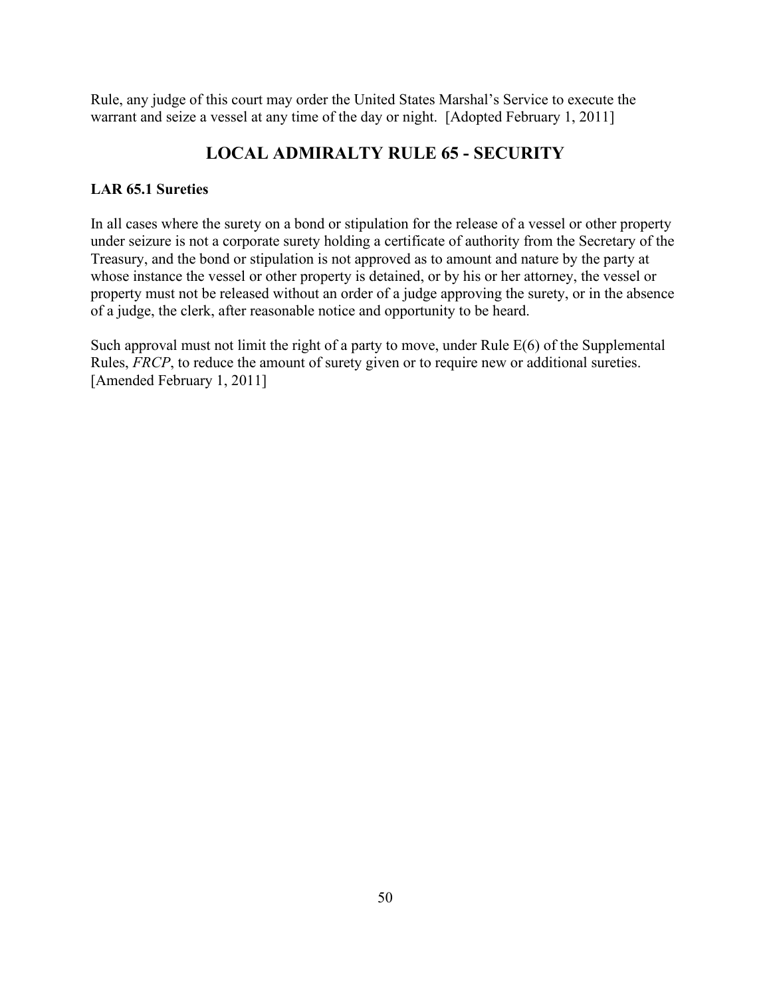Rule, any judge of this court may order the United States Marshal's Service to execute the warrant and seize a vessel at any time of the day or night. [Adopted February 1, 2011]

## **LOCAL ADMIRALTY RULE 65 - SECURITY**

## <span id="page-49-1"></span><span id="page-49-0"></span>**LAR 65.1 Sureties**

In all cases where the surety on a bond or stipulation for the release of a vessel or other property under seizure is not a corporate surety holding a certificate of authority from the Secretary of the Treasury, and the bond or stipulation is not approved as to amount and nature by the party at whose instance the vessel or other property is detained, or by his or her attorney, the vessel or property must not be released without an order of a judge approving the surety, or in the absence of a judge, the clerk, after reasonable notice and opportunity to be heard.

Such approval must not limit the right of a party to move, under Rule E(6) of the Supplemental Rules, *FRCP*, to reduce the amount of surety given or to require new or additional sureties. [Amended February 1, 2011]